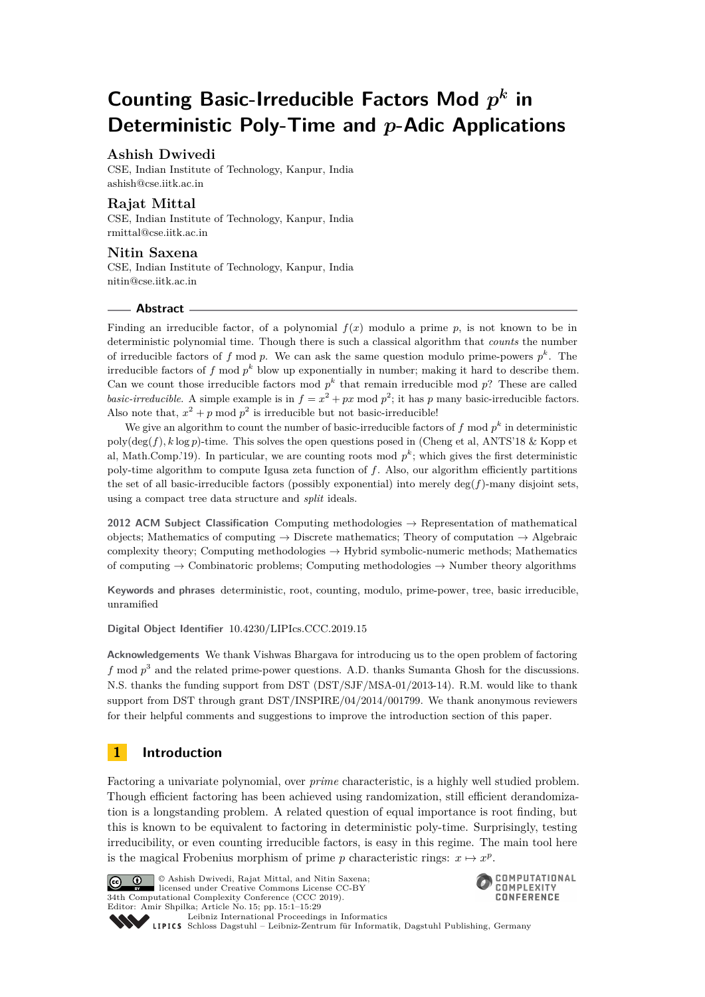# **Counting Basic-Irreducible Factors Mod** *p k* **in Deterministic Poly-Time and** *p***-Adic Applications**

## **Ashish Dwivedi**

CSE, Indian Institute of Technology, Kanpur, India [ashish@cse.iitk.ac.in](mailto:ashish@cse.iitk.ac.in)

## **Rajat Mittal**

CSE, Indian Institute of Technology, Kanpur, India [rmittal@cse.iitk.ac.in](mailto:rmittal@cse.iitk.ac.in)

## **Nitin Saxena**

CSE, Indian Institute of Technology, Kanpur, India [nitin@cse.iitk.ac.in](mailto:nitin@cse.iitk.ac.in)

## **Abstract**

Finding an irreducible factor, of a polynomial *f*(*x*) modulo a prime *p*, is not known to be in deterministic polynomial time. Though there is such a classical algorithm that *counts* the number of irreducible factors of  $f \mod p$ . We can ask the same question modulo prime-powers  $p^k$ . The irreducible factors of *f* mod *p <sup>k</sup>* blow up exponentially in number; making it hard to describe them. Can we count those irreducible factors mod  $p^k$  that remain irreducible mod  $p$ ? These are called *basic-irreducible*. A simple example is in  $f = x^2 + px \text{ mod } p^2$ ; it has *p* many basic-irreducible factors. Also note that,  $x^2 + p \mod p^2$  is irreducible but not basic-irreducible!

We give an algorithm to count the number of basic-irreducible factors of  $f \mod p^k$  in deterministic poly(deg(*f*)*, k* log *p*)-time. This solves the open questions posed in (Cheng et al, ANTS'18 & Kopp et al, Math.Comp.'19). In particular, we are counting roots mod  $p^k$ ; which gives the first deterministic poly-time algorithm to compute Igusa zeta function of *f*. Also, our algorithm efficiently partitions the set of all basic-irreducible factors (possibly exponential) into merely  $\deg(f)$ -many disjoint sets, using a compact tree data structure and *split* ideals.

**2012 ACM Subject Classification** Computing methodologies → Representation of mathematical objects; Mathematics of computing  $\rightarrow$  Discrete mathematics; Theory of computation  $\rightarrow$  Algebraic complexity theory; Computing methodologies  $\rightarrow$  Hybrid symbolic-numeric methods; Mathematics of computing  $\rightarrow$  Combinatoric problems; Computing methodologies  $\rightarrow$  Number theory algorithms

**Keywords and phrases** deterministic, root, counting, modulo, prime-power, tree, basic irreducible, unramified

**Digital Object Identifier** [10.4230/LIPIcs.CCC.2019.15](https://doi.org/10.4230/LIPIcs.CCC.2019.15)

**Acknowledgements** We thank Vishwas Bhargava for introducing us to the open problem of factoring f mod  $p^3$  and the related prime-power questions. A.D. thanks Sumanta Ghosh for the discussions. N.S. thanks the funding support from DST (DST/SJF/MSA-01/2013-14). R.M. would like to thank support from DST through grant DST/INSPIRE/04/2014/001799. We thank anonymous reviewers for their helpful comments and suggestions to improve the introduction section of this paper.

## **1 Introduction**

Factoring a univariate polynomial, over *prime* characteristic, is a highly well studied problem. Though efficient factoring has been achieved using randomization, still efficient derandomization is a longstanding problem. A related question of equal importance is root finding, but this is known to be equivalent to factoring in deterministic poly-time. Surprisingly, testing irreducibility, or even counting irreducible factors, is easy in this regime. The main tool here is the magical Frobenius morphism of prime *p* characteristic rings:  $x \mapsto x^p$ .



© Ashish Dwivedi, Rajat Mittal, and Nitin Saxena;  $\boxed{6}$  0 licensed under Creative Commons License CC-BY 34th Computational Complexity Conference (CCC 2019). Editor: Amir Shpilka; Article No. 15; pp. 15:1–15[:29](#page-28-0) [Leibniz International Proceedings in Informatics](https://www.dagstuhl.de/lipics/)



Leibniz International Froceedings in Informatik, Dagstuhl Publishing, Germany<br>LIPICS [Schloss Dagstuhl – Leibniz-Zentrum für Informatik, Dagstuhl Publishing, Germany](https://www.dagstuhl.de)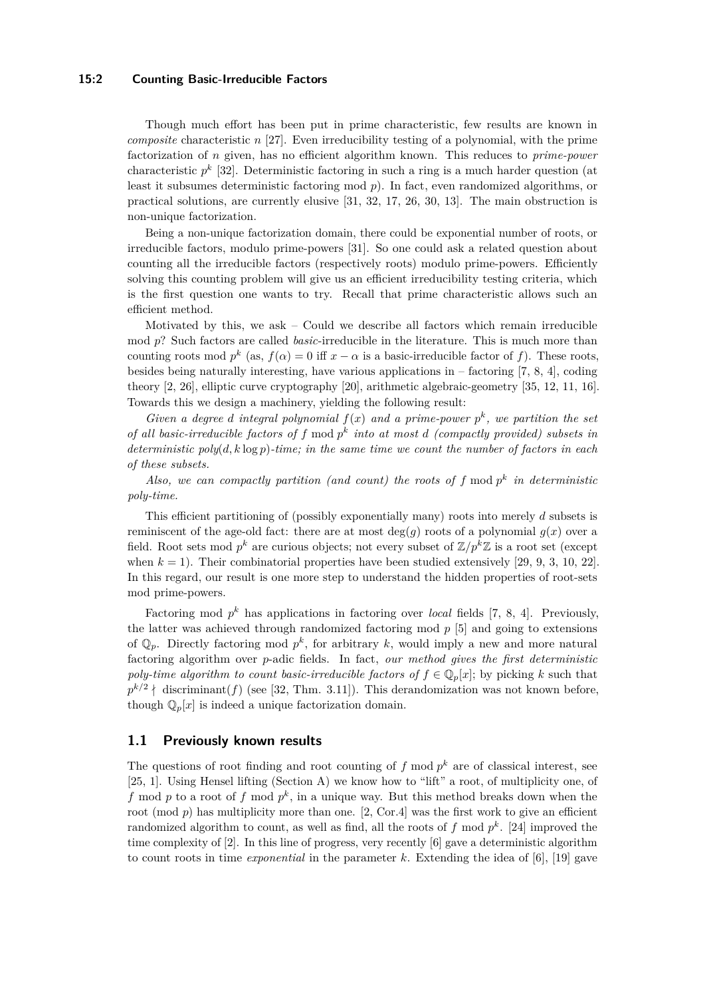#### **15:2 Counting Basic-Irreducible Factors**

Though much effort has been put in prime characteristic, few results are known in *composite* characteristic *n* [\[27\]](#page-20-0). Even irreducibility testing of a polynomial, with the prime factorization of *n* given, has no efficient algorithm known. This reduces to *prime-power* characteristic *p k* [\[32\]](#page-20-1). Deterministic factoring in such a ring is a much harder question (at least it subsumes deterministic factoring mod *p*). In fact, even randomized algorithms, or practical solutions, are currently elusive [\[31,](#page-20-2) [32,](#page-20-1) [17,](#page-20-3) [26,](#page-20-4) [30,](#page-20-5) [13\]](#page-19-0). The main obstruction is non-unique factorization.

Being a non-unique factorization domain, there could be exponential number of roots, or irreducible factors, modulo prime-powers [\[31\]](#page-20-2). So one could ask a related question about counting all the irreducible factors (respectively roots) modulo prime-powers. Efficiently solving this counting problem will give us an efficient irreducibility testing criteria, which is the first question one wants to try. Recall that prime characteristic allows such an efficient method.

Motivated by this, we ask  $-$  Could we describe all factors which remain irreducible mod *p*? Such factors are called *basic*-irreducible in the literature. This is much more than counting roots mod  $p^k$  (as,  $f(\alpha) = 0$  iff  $x - \alpha$  is a basic-irreducible factor of f). These roots, besides being naturally interesting, have various applications in  $-$  factoring [\[7,](#page-19-1) [8,](#page-19-2) [4\]](#page-19-3), coding theory [\[2,](#page-19-4) [26\]](#page-20-4), elliptic curve cryptography [\[20\]](#page-20-6), arithmetic algebraic-geometry [\[35,](#page-20-7) [12,](#page-19-5) [11,](#page-19-6) [16\]](#page-20-8). Towards this we design a machinery, yielding the following result:

*Given a degree d integral polynomial*  $f(x)$  *and a prime-power*  $p^k$ , *we partition the set of all basic-irreducible factors of f* mod *p k into at most d (compactly provided) subsets in deterministic poly*(*d, k* log *p*)*-time; in the same time we count the number of factors in each of these subsets.*

*Also, we can compactly partition (and count) the roots of*  $f$  mod  $p^k$  *in deterministic poly-time.*

This efficient partitioning of (possibly exponentially many) roots into merely *d* subsets is reminiscent of the age-old fact: there are at most  $deg(g)$  roots of a polynomial  $g(x)$  over a field. Root sets mod  $p^k$  are curious objects; not every subset of  $\mathbb{Z}/p^k\mathbb{Z}$  is a root set (except when  $k = 1$ ). Their combinatorial properties have been studied extensively [\[29,](#page-20-9) [9,](#page-19-7) [3,](#page-19-8) [10,](#page-19-9) [22\]](#page-20-10). In this regard, our result is one more step to understand the hidden properties of root-sets mod prime-powers.

Factoring mod  $p^k$  has applications in factoring over *local* fields [\[7,](#page-19-1) [8,](#page-19-2) [4\]](#page-19-3). Previously, the latter was achieved through randomized factoring mod *p* [\[5\]](#page-19-10) and going to extensions of  $\mathbb{Q}_p$ . Directly factoring mod  $p^k$ , for arbitrary k, would imply a new and more natural factoring algorithm over *p*-adic fields. In fact, *our method gives the first deterministic poly-time algorithm to count basic-irreducible factors of*  $f \in \mathbb{Q}_p[x]$ ; by picking *k* such that  $p^{k/2}$  | discriminant(*f*) (see [\[32,](#page-20-1) Thm. 3.11]). This derandomization was not known before, though  $\mathbb{Q}_p[x]$  is indeed a unique factorization domain.

#### <span id="page-1-0"></span>**1.1 Previously known results**

The questions of root finding and root counting of  $f$  mod  $p^k$  are of classical interest, see [\[25,](#page-20-11) [1\]](#page-19-11). Using Hensel lifting (Section [A\)](#page-20-12) we know how to "lift" a root, of multiplicity one, of f mod p to a root of f mod  $p^k$ , in a unique way. But this method breaks down when the root (mod *p*) has multiplicity more than one. [\[2,](#page-19-4) Cor.4] was the first work to give an efficient randomized algorithm to count, as well as find, all the roots of  $f$  mod  $p^k$ . [\[24\]](#page-20-13) improved the time complexity of [\[2\]](#page-19-4). In this line of progress, very recently [\[6\]](#page-19-12) gave a deterministic algorithm to count roots in time *exponential* in the parameter *k*. Extending the idea of [\[6\]](#page-19-12), [\[19\]](#page-20-14) gave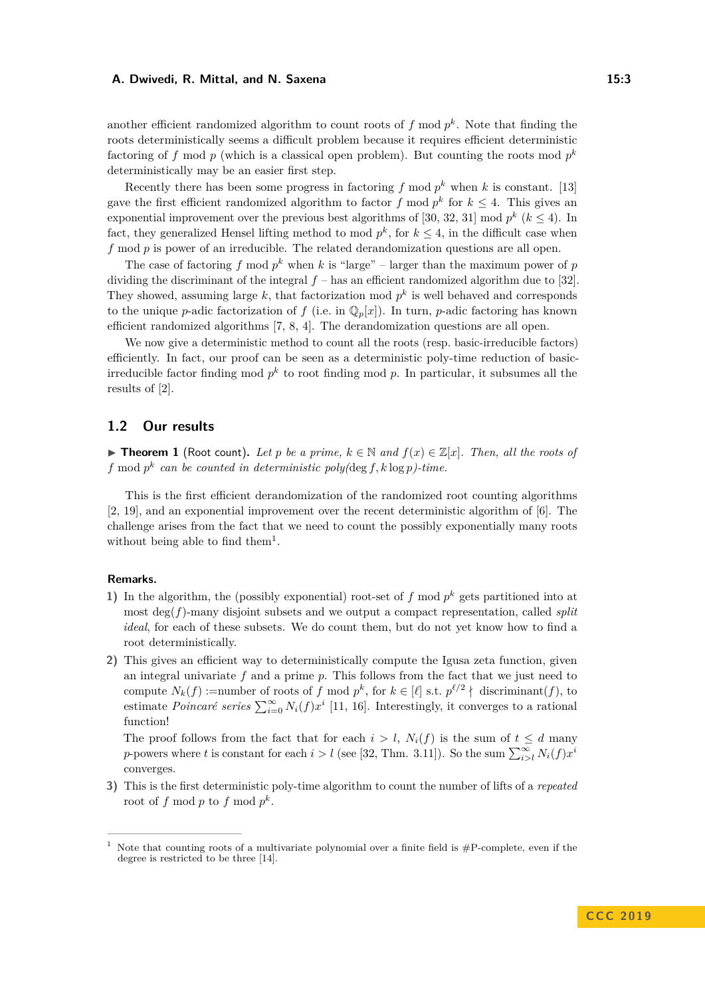another efficient randomized algorithm to count roots of  $f \mod p^k$ . Note that finding the roots deterministically seems a difficult problem because it requires efficient deterministic factoring of  $f$  mod  $p$  (which is a classical open problem). But counting the roots mod  $p^k$ deterministically may be an easier first step.

Recently there has been some progress in factoring  $f \mod p^k$  when  $k$  is constant. [\[13\]](#page-19-0) gave the first efficient randomized algorithm to factor  $f \mod p^k$  for  $k \leq 4$ . This gives an exponential improvement over the previous best algorithms of [\[30,](#page-20-5) [32,](#page-20-1) [31\]](#page-20-2) mod  $p^k$  ( $k \leq 4$ ). In fact, they generalized Hensel lifting method to mod  $p^k$ , for  $k \leq 4$ , in the difficult case when *f* mod *p* is power of an irreducible. The related derandomization questions are all open.

The case of factoring  $f \mod p^k$  when  $k$  is "large" – larger than the maximum power of  $p$ dividing the discriminant of the integral  $f$  – has an efficient randomized algorithm due to [\[32\]](#page-20-1). They showed, assuming large  $k$ , that factorization mod  $p^k$  is well behaved and corresponds to the unique *p*-adic factorization of *f* (i.e. in  $\mathbb{Q}_p[x]$ ). In turn, *p*-adic factoring has known efficient randomized algorithms [\[7,](#page-19-1) [8,](#page-19-2) [4\]](#page-19-3). The derandomization questions are all open.

We now give a deterministic method to count all the roots (resp. basic-irreducible factors) efficiently. In fact, our proof can be seen as a deterministic poly-time reduction of basicirreducible factor finding mod  $p^k$  to root finding mod  $p$ . In particular, it subsumes all the results of [\[2\]](#page-19-4).

## **1.2 Our results**

<span id="page-2-1"></span>▶ **Theorem 1** (Root count). Let p be a prime,  $k \in \mathbb{N}$  and  $f(x) \in \mathbb{Z}[x]$ . Then, all the roots of *f* mod  $p^k$  can be counted in deterministic poly( $\deg f$ ,  $k \log p$ )-time.

This is the first efficient derandomization of the randomized root counting algorithms [\[2,](#page-19-4) [19\]](#page-20-14), and an exponential improvement over the recent deterministic algorithm of [\[6\]](#page-19-12). The challenge arises from the fact that we need to count the possibly exponentially many roots without being able to find them<sup>[1](#page-2-0)</sup>.

#### **Remarks.**

- 1) In the algorithm, the (possibly exponential) root-set of  $f$  mod  $p^k$  gets partitioned into at most deg(*f*)-many disjoint subsets and we output a compact representation, called *split ideal*, for each of these subsets. We do count them, but do not yet know how to find a root deterministically.
- **2)** This gives an efficient way to deterministically compute the Igusa zeta function, given an integral univariate *f* and a prime *p*. This follows from the fact that we just need to compute  $N_k(f)$ :=number of roots of *f* mod  $p^k$ , for  $k \in [\ell]$  s.t.  $p^{\ell/2} \nmid$  discriminant(*f*), to estimate *Poincaré series*  $\sum_{i=0}^{\infty} N_i(f)x^i$  [\[11,](#page-19-6) [16\]](#page-20-8). Interestingly, it converges to a rational function!

The proof follows from the fact that for each  $i > l$ ,  $N_i(f)$  is the sum of  $t \leq d$  many *p*-powers where *t* is constant for each  $i > l$  (see [\[32,](#page-20-1) Thm. 3.11]). So the sum  $\sum_{i>l}^{\infty} N_i(f)x^i$ converges.

**3)** This is the first deterministic poly-time algorithm to count the number of lifts of a *repeated* root of  $f \mod p$  to  $f \mod p^k$ .

<span id="page-2-0"></span>Note that counting roots of a multivariate polynomial over a finite field is #P-complete, even if the degree is restricted to be three [\[14\]](#page-20-15).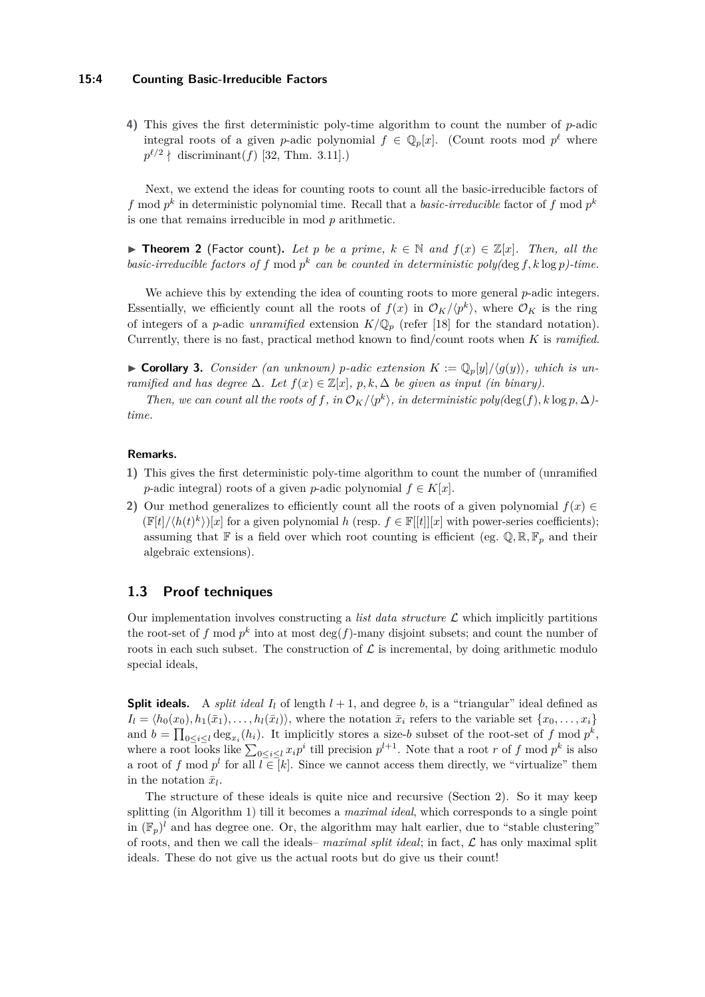#### **15:4 Counting Basic-Irreducible Factors**

**4)** This gives the first deterministic poly-time algorithm to count the number of *p*-adic integral roots of a given *p*-adic polynomial  $f \in \mathbb{Q}_p[x]$ . (Count roots mod  $p^{\ell}$  where  $p^{\ell/2}$  | discriminant(*f*) [\[32,](#page-20-1) Thm. 3.11].)

Next, we extend the ideas for counting roots to count all the basic-irreducible factors of *f* mod  $p^k$  in deterministic polynomial time. Recall that a *basic-irreducible* factor of *f* mod  $p^k$ is one that remains irreducible in mod *p* arithmetic.

<span id="page-3-0"></span>▶ **Theorem 2** (Factor count). Let p be a prime,  $k \in \mathbb{N}$  and  $f(x) \in \mathbb{Z}[x]$ . Then, all the *basic-irreducible factors of f* mod  $p^k$  *can be counted in deterministic poly(deg f, k* log *p*)-time.

We achieve this by extending the idea of counting roots to more general *p*-adic integers. Essentially, we efficiently count all the roots of  $f(x)$  in  $\mathcal{O}_K/\langle p^k \rangle$ , where  $\mathcal{O}_K$  is the ring of integers of a *p*-adic *unramified* extension  $K/\mathbb{Q}_p$  (refer [\[18\]](#page-20-16) for the standard notation). Currently, there is no fast, practical method known to find/count roots when *K* is *ramified*.

 $\triangleright$  **Corollary 3.** *Consider (an unknown) p*-adic extension  $K := \mathbb{Q}_p[y]/\langle g(y) \rangle$ , which is un*ramified and has degree*  $\Delta$ *. Let*  $f(x) \in \mathbb{Z}[x]$ *, p, k,*  $\Delta$  *be given as input (in binary).* 

*Then, we can count all the roots of*  $f$ *, in*  $\mathcal{O}_K/\langle p^k \rangle$ *, in deterministic poly*(deg( $f$ )*, k* log  $p$ *,*  $\Delta$ )*time.*

#### **Remarks.**

- **1)** This gives the first deterministic poly-time algorithm to count the number of (unramified *p*-adic integral) roots of a given *p*-adic polynomial  $f \in K[x]$ .
- **2)** Our method generalizes to efficiently count all the roots of a given polynomial  $f(x) \in$  $(\mathbb{F}[t]/\langle h(t)^k \rangle)[x]$  for a given polynomial *h* (resp.  $f \in \mathbb{F}[[t]][x]$  with power-series coefficients); assuming that  $\mathbb{F}$  is a field over which root counting is efficient (eg.  $\mathbb{Q}, \mathbb{R}, \mathbb{F}_p$  and their algebraic extensions).

## **1.3 Proof techniques**

Our implementation involves constructing a *list data structure*  $\mathcal L$  which implicitly partitions the root-set of  $f$  mod  $p^k$  into at most  $\deg(f)$ -many disjoint subsets; and count the number of roots in each such subset. The construction of  $\mathcal L$  is incremental, by doing arithmetic modulo special ideals,

**Split ideals.** A *split ideal*  $I_l$  of length  $l + 1$ , and degree *b*, is a "triangular" ideal defined as  $I_l = \langle h_0(x_0), h_1(\bar{x}_1), \ldots, h_l(\bar{x}_l) \rangle$ , where the notation  $\bar{x}_i$  refers to the variable set  $\{x_0, \ldots, x_i\}$ and  $b = \prod_{0 \le i \le l} \deg_{x_i}(h_i)$ . It implicitly stores a size-*b* subset of the root-set of *f* mod  $p^k$ , where a root looks like  $\sum_{0 \le i \le l} x_i p^i$  till precision  $p^{l+1}$ . Note that a root *r* of *f* mod  $p^k$  is also a root of f mod  $p^l$  for all  $l \in [k]$ . Since we cannot access them directly, we "virtualize" them in the notation  $\bar{x}_l$ .

The structure of these ideals is quite nice and recursive (Section [2\)](#page-7-0). So it may keep splitting (in Algorithm [1\)](#page-10-0) till it becomes a *maximal ideal*, which corresponds to a single point in  $(\mathbb{F}_p)^l$  and has degree one. Or, the algorithm may halt earlier, due to "stable clustering" of roots, and then we call the ideals–  $\textit{maximal split ideal}$ ; in fact,  $\mathcal{L}$  has only maximal split ideals. These do not give us the actual roots but do give us their count!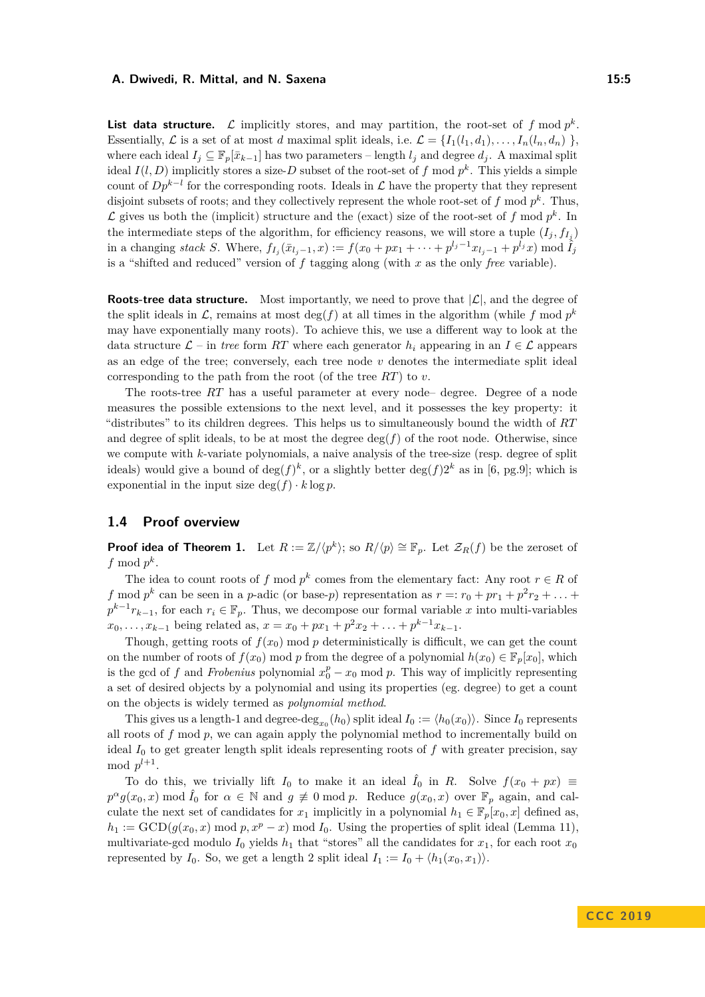**List data structure.**  $\mathcal{L}$  implicitly stores, and may partition, the root-set of  $f \mod p^k$ . Essentially,  $\mathcal{L}$  is a set of at most *d* maximal split ideals, i.e.  $\mathcal{L} = \{I_1(l_1, d_1), \ldots, I_n(l_n, d_n)\}$ , where each ideal  $I_i \subseteq \mathbb{F}_p[\bar{x}_{k-1}]$  has two parameters – length  $l_i$  and degree  $d_i$ . A maximal split ideal  $I(l, D)$  implicitly stores a size-*D* subset of the root-set of f mod  $p^k$ . This yields a simple count of  $Dp^{k-l}$  for the corresponding roots. Ideals in  $\mathcal L$  have the property that they represent disjoint subsets of roots; and they collectively represent the whole root-set of *f* mod *p k* . Thus,  $\mathcal L$  gives us both the (implicit) structure and the (exact) size of the root-set of  $f \mod p^k$ . In the intermediate steps of the algorithm, for efficiency reasons, we will store a tuple  $(I_j, f_{I_j})$ in a changing stack S. Where,  $f_{I_j}(\bar{x}_{l_j-1},x) := f(x_0+px_1+\cdots+p^{l_j-1}x_{l_j-1}+p^{l_j}x) \mod \tilde{I}_j$ is a "shifted and reduced" version of *f* tagging along (with *x* as the only *free* variable).

**Roots-tree data structure.** Most importantly, we need to prove that  $|\mathcal{L}|$ , and the degree of the split ideals in  $\mathcal{L}$ , remains at most  $\deg(f)$  at all times in the algorithm (while f mod  $p^k$ may have exponentially many roots). To achieve this, we use a different way to look at the data structure  $\mathcal{L}$  – in *tree* form *RT* where each generator  $h_i$  appearing in an  $I \in \mathcal{L}$  appears as an edge of the tree; conversely, each tree node  $v$  denotes the intermediate split ideal corresponding to the path from the root (of the tree *RT*) to *v*.

The roots-tree *RT* has a useful parameter at every node– degree. Degree of a node measures the possible extensions to the next level, and it possesses the key property: it "distributes" to its children degrees. This helps us to simultaneously bound the width of *RT* and degree of split ideals, to be at most the degree  $deg(f)$  of the root node. Otherwise, since we compute with *k*-variate polynomials, a naive analysis of the tree-size (resp. degree of split ideals) would give a bound of  $\deg(f)^k$ , or a slightly better  $\deg(f)2^k$  as in [\[6,](#page-19-12) pg.9]; which is exponential in the input size  $\deg(f) \cdot k \log p$ .

## <span id="page-4-0"></span>**1.4 Proof overview**

**Proof idea of Theorem [1.](#page-2-1)** Let  $R := \mathbb{Z}/\langle p^k \rangle$ ; so  $R/\langle p \rangle \cong \mathbb{F}_p$ . Let  $\mathcal{Z}_R(f)$  be the zeroset of  $f \mod p^k$ .

The idea to count roots of *f* mod  $p^k$  comes from the elementary fact: Any root  $r \in R$  of *f* mod  $p^k$  can be seen in a *p*-adic (or base-*p*) representation as  $r =: r_0 + pr_1 + p^2r_2 + \ldots$  $p^{k-1}r_{k-1}$ , for each  $r_i \in \mathbb{F}_p$ . Thus, we decompose our formal variable *x* into multi-variables  $x_0, \ldots, x_{k-1}$  being related as,  $x = x_0 + px_1 + p^2x_2 + \ldots + p^{k-1}x_{k-1}$ .

Though, getting roots of  $f(x_0)$  mod  $p$  deterministically is difficult, we can get the count on the number of roots of  $f(x_0)$  mod *p* from the degree of a polynomial  $h(x_0) \in \mathbb{F}_p[x_0]$ , which is the gcd of *f* and *Frobenius* polynomial  $x_0^p - x_0$  mod *p*. This way of implicitly representing a set of desired objects by a polynomial and using its properties (eg. degree) to get a count on the objects is widely termed as *polynomial method*.

This gives us a length-1 and degree-deg<sub>*x*<sup>0</sup></sub>(*h*<sub>0</sub>) split ideal  $I_0 := \langle h_0(x_0) \rangle$ . Since  $I_0$  represents all roots of *f* mod *p*, we can again apply the polynomial method to incrementally build on ideal  $I_0$  to get greater length split ideals representing roots of  $f$  with greater precision, say mod  $p^{l+1}$ .

To do this, we trivially lift  $I_0$  to make it an ideal  $\hat{I}_0$  in *R*. Solve  $f(x_0 + px) \equiv$  $p^{\alpha}g(x_0, x)$  mod  $\hat{I}_0$  for  $\alpha \in \mathbb{N}$  and  $g \not\equiv 0 \mod p$ . Reduce  $g(x_0, x)$  over  $\mathbb{F}_p$  again, and calculate the next set of candidates for  $x_1$  implicitly in a polynomial  $h_1 \in \mathbb{F}_p[x_0, x]$  defined as,  $h_1 := \text{GCD}(g(x_0, x) \text{ mod } p, x^p - x) \text{ mod } I_0$ . Using the properties of split ideal (Lemma [11\)](#page-11-0), multivariate-gcd modulo  $I_0$  yields  $h_1$  that "stores" all the candidates for  $x_1$ , for each root  $x_0$ represented by  $I_0$ . So, we get a length 2 split ideal  $I_1 := I_0 + \langle h_1(x_0, x_1) \rangle$ .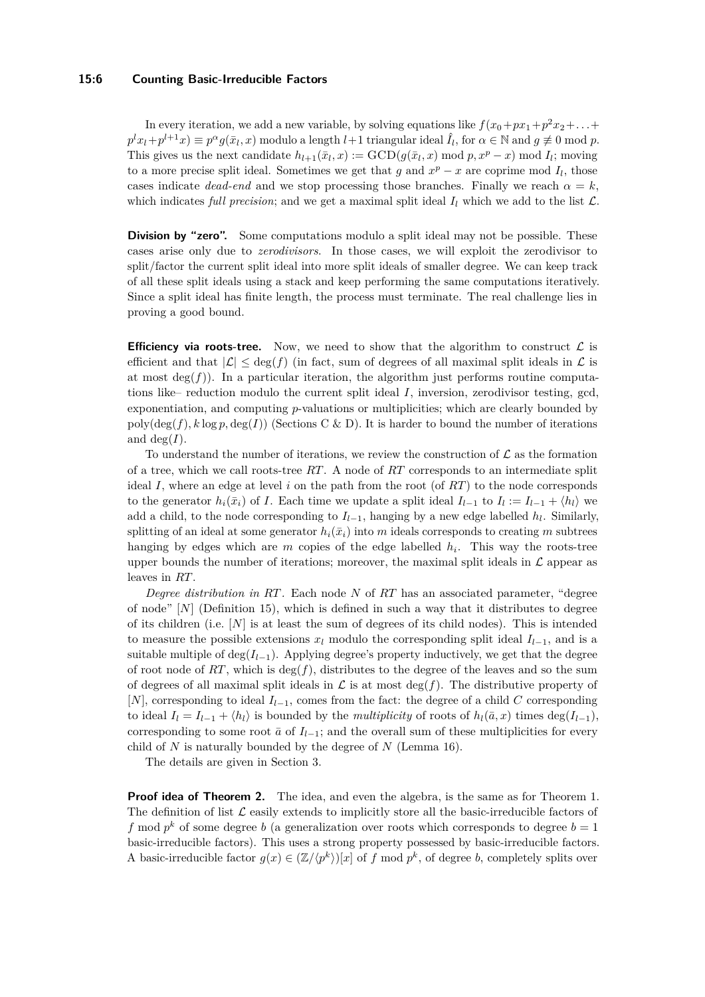#### **15:6 Counting Basic-Irreducible Factors**

In every iteration, we add a new variable, by solving equations like  $f(x_0+px_1+p^2x_2+\ldots+$  $p^l x_l + p^{l+1} x) \equiv p^{\alpha} g(\bar{x}_l, x)$  modulo a length  $l+1$  triangular ideal  $\hat{I}_l$ , for  $\alpha \in \mathbb{N}$  and  $g \not\equiv 0 \mod p$ . This gives us the next candidate  $h_{l+1}(\bar{x}_l, x) := \text{GCD}(g(\bar{x}_l, x) \mod p, x^p - x) \mod I_l$ ; moving to a more precise split ideal. Sometimes we get that  $g$  and  $x^p - x$  are coprime mod  $I_l$ , those cases indicate *dead-end* and we stop processing those branches. Finally we reach  $\alpha = k$ , which indicates *full precision*; and we get a maximal split ideal  $I_l$  which we add to the list  $\mathcal{L}$ .

**Division by "zero".** Some computations modulo a split ideal may not be possible. These cases arise only due to *zerodivisors*. In those cases, we will exploit the zerodivisor to split/factor the current split ideal into more split ideals of smaller degree. We can keep track of all these split ideals using a stack and keep performing the same computations iteratively. Since a split ideal has finite length, the process must terminate. The real challenge lies in proving a good bound.

**Efficiency via roots-tree.** Now, we need to show that the algorithm to construct  $\mathcal{L}$  is efficient and that  $|\mathcal{L}| \leq \deg(f)$  (in fact, sum of degrees of all maximal split ideals in  $\mathcal{L}$  is at most  $deg(f)$ ). In a particular iteration, the algorithm just performs routine computations like– reduction modulo the current split ideal *I*, inversion, zerodivisor testing, gcd, exponentiation, and computing *p*-valuations or multiplicities; which are clearly bounded by  $poly(\deg(f), k \log p, \deg(I))$  (Sections [C](#page-24-0) & [D\)](#page-26-0). It is harder to bound the number of iterations and  $deg(I)$ .

To understand the number of iterations, we review the construction of  $\mathcal L$  as the formation of a tree, which we call roots-tree *RT*. A node of *RT* corresponds to an intermediate split ideal *I*, where an edge at level *i* on the path from the root (of *RT*) to the node corresponds to the generator  $h_i(\bar{x}_i)$  of *I*. Each time we update a split ideal  $I_{l-1}$  to  $I_l := I_{l-1} + \langle h_l \rangle$  we add a child, to the node corresponding to  $I_{l-1}$ , hanging by a new edge labelled  $h_l$ . Similarly, splitting of an ideal at some generator  $h_i(\bar{x}_i)$  into *m* ideals corresponds to creating *m* subtrees hanging by edges which are *m* copies of the edge labelled *h<sup>i</sup>* . This way the roots-tree upper bounds the number of iterations; moreover, the maximal split ideals in  $\mathcal L$  appear as leaves in *RT*.

*Degree distribution in RT.* Each node *N* of *RT* has an associated parameter, "degree of node" [*N*] (Definition [15\)](#page-14-0), which is defined in such a way that it distributes to degree of its children (i.e. [*N*] is at least the sum of degrees of its child nodes). This is intended to measure the possible extensions  $x_l$  modulo the corresponding split ideal  $I_{l-1}$ , and is a suitable multiple of  $\deg(I_{l-1})$ . Applying degree's property inductively, we get that the degree of root node of  $RT$ , which is  $\deg(f)$ , distributes to the degree of the leaves and so the sum of degrees of all maximal split ideals in  $\mathcal L$  is at most  $\deg(f)$ . The distributive property of [*N*], corresponding to ideal *Il*−1, comes from the fact: the degree of a child *C* corresponding to ideal  $I_l = I_{l-1} + \langle h_l \rangle$  is bounded by the *multiplicity* of roots of  $h_l(\bar{a}, x)$  times deg( $I_{l-1}$ ), corresponding to some root  $\bar{a}$  of  $I_{l-1}$ ; and the overall sum of these multiplicities for every child of *N* is naturally bounded by the degree of *N* (Lemma [16\)](#page-14-1).

The details are given in Section [3.](#page-8-0)

**Proof idea of Theorem [2.](#page-3-0)** The idea, and even the algebra, is the same as for Theorem [1.](#page-2-1) The definition of list  $\mathcal L$  easily extends to implicitly store all the basic-irreducible factors of *f* mod  $p^k$  of some degree *b* (a generalization over roots which corresponds to degree  $b = 1$ basic-irreducible factors). This uses a strong property possessed by basic-irreducible factors. A basic-irreducible factor  $g(x) \in (\mathbb{Z}/\langle p^k \rangle)[x]$  of f mod  $p^k$ , of degree *b*, completely splits over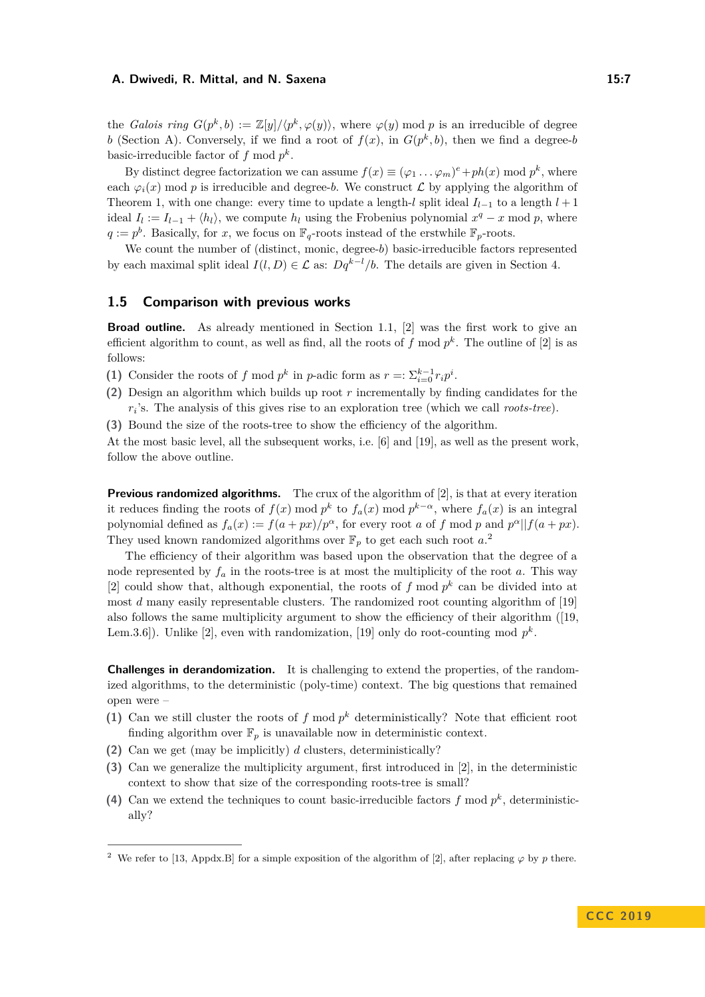the *Galois ring*  $G(p^k, b) := \mathbb{Z}[y]/\langle p^k, \varphi(y) \rangle$ , where  $\varphi(y)$  mod *p* is an irreducible of degree *b* (Section [A\)](#page-20-12). Conversely, if we find a root of  $f(x)$ , in  $G(p^k, b)$ , then we find a degree-*b* basic-irreducible factor of  $f \mod p^k$ .

By distinct degree factorization we can assume  $f(x) \equiv (\varphi_1 \dots \varphi_m)^e + ph(x) \mod p^k$ , where each  $\varphi_i(x)$  mod *p* is irreducible and degree-*b*. We construct  $\mathcal L$  by applying the algorithm of Theorem [1,](#page-2-1) with one change: every time to update a length-*l* split ideal  $I_{l-1}$  to a length  $l+1$ ideal  $I_l := I_{l-1} + \langle h_l \rangle$ , we compute  $h_l$  using the Frobenius polynomial  $x^q - x \mod p$ , where  $q := p<sup>b</sup>$ . Basically, for *x*, we focus on  $\mathbb{F}_q$ -roots instead of the erstwhile  $\mathbb{F}_p$ -roots.

We count the number of (distinct, monic, degree-*b*) basic-irreducible factors represented by each maximal split ideal  $I(l, D) \in \mathcal{L}$  as:  $Dq^{k-l}/b$ . The details are given in Section [4.](#page-16-0)

#### **1.5 Comparison with previous works**

**Broad outline.** As already mentioned in Section [1.1,](#page-1-0) [\[2\]](#page-19-4) was the first work to give an efficient algorithm to count, as well as find, all the roots of  $f \mod p^k$ . The outline of  $[2]$  is as follows:

- (1) Consider the roots of *f* mod  $p^k$  in *p*-adic form as  $r =: \sum_{i=0}^{k-1} r_i p^i$ .
- **(2)** Design an algorithm which builds up root *r* incrementally by finding candidates for the *ri* 's. The analysis of this gives rise to an exploration tree (which we call *roots-tree*).
- **(3)** Bound the size of the roots-tree to show the efficiency of the algorithm.

At the most basic level, all the subsequent works, i.e. [\[6\]](#page-19-12) and [\[19\]](#page-20-14), as well as the present work, follow the above outline.

**Previous randomized algorithms.** The crux of the algorithm of [\[2\]](#page-19-4), is that at every iteration it reduces finding the roots of  $f(x) \mod p^k$  to  $f_a(x) \mod p^{k-\alpha}$ , where  $f_a(x)$  is an integral polynomial defined as  $f_a(x) := f(a + px)/p^{\alpha}$ , for every root *a* of *f* mod *p* and  $p^{\alpha}||f(a + px)$ . They used known randomized algorithms over  $\mathbb{F}_p$  to get each such root  $a$ <sup>[2](#page-6-0)</sup>

The efficiency of their algorithm was based upon the observation that the degree of a node represented by  $f_a$  in the roots-tree is at most the multiplicity of the root *a*. This way [\[2\]](#page-19-4) could show that, although exponential, the roots of  $f \mod p^k$  can be divided into at most *d* many easily representable clusters. The randomized root counting algorithm of [\[19\]](#page-20-14) also follows the same multiplicity argument to show the efficiency of their algorithm ([\[19,](#page-20-14) Lem.3.6]). Unlike [\[2\]](#page-19-4), even with randomization, [\[19\]](#page-20-14) only do root-counting mod  $p^k$ .

**Challenges in derandomization.** It is challenging to extend the properties, of the randomized algorithms, to the deterministic (poly-time) context. The big questions that remained open were –

- (1) Can we still cluster the roots of  $f \mod p^k$  deterministically? Note that efficient root finding algorithm over  $\mathbb{F}_p$  is unavailable now in deterministic context.
- **(2)** Can we get (may be implicitly) *d* clusters, deterministically?
- **(3)** Can we generalize the multiplicity argument, first introduced in [\[2\]](#page-19-4), in the deterministic context to show that size of the corresponding roots-tree is small?
- (4) Can we extend the techniques to count basic-irreducible factors  $f \mod p^k$ , deterministically?

<span id="page-6-0"></span><sup>&</sup>lt;sup>2</sup> We refer to [\[13,](#page-19-0) Appdx.B] for a simple exposition of the algorithm of [\[2\]](#page-19-4), after replacing  $\varphi$  by *p* there.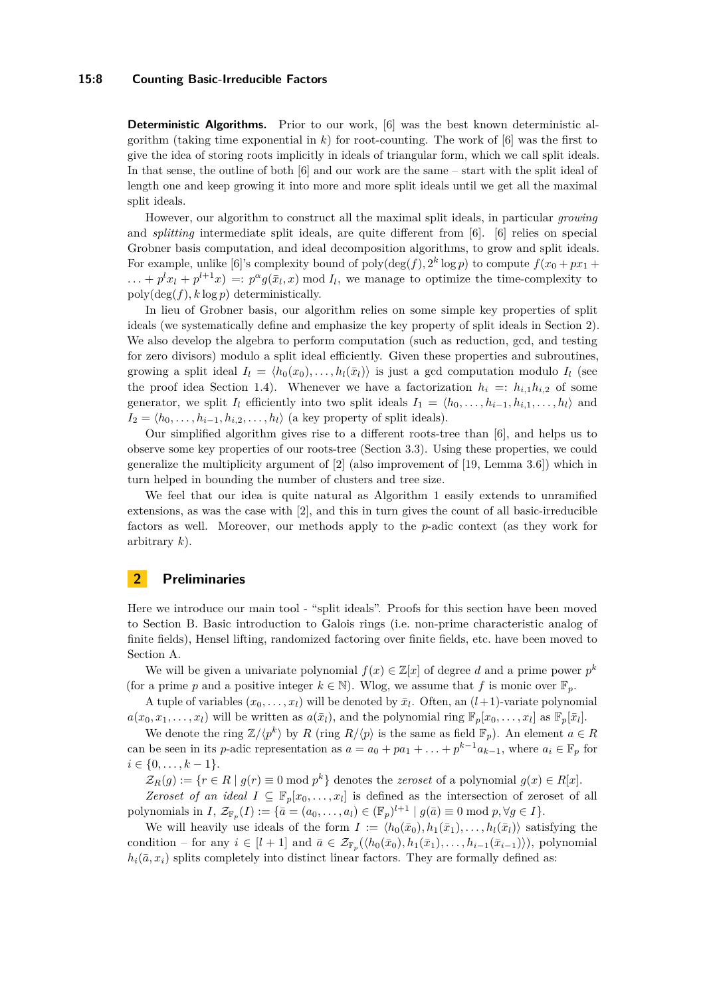#### **15:8 Counting Basic-Irreducible Factors**

**Deterministic Algorithms.** Prior to our work, [\[6\]](#page-19-12) was the best known deterministic algorithm (taking time exponential in  $k$ ) for root-counting. The work of  $[6]$  was the first to give the idea of storing roots implicitly in ideals of triangular form, which we call split ideals. In that sense, the outline of both [\[6\]](#page-19-12) and our work are the same – start with the split ideal of length one and keep growing it into more and more split ideals until we get all the maximal split ideals.

However, our algorithm to construct all the maximal split ideals, in particular *growing* and *splitting* intermediate split ideals, are quite different from [\[6\]](#page-19-12). [\[6\]](#page-19-12) relies on special Grobner basis computation, and ideal decomposition algorithms, to grow and split ideals. For example, unlike [\[6\]](#page-19-12)'s complexity bound of  $\text{poly}(\deg(f), 2^k \log p)$  to compute  $f(x_0 + px_1 +$  $\ldots + p^l x_l + p^{l+1} x$  =:  $p^{\alpha} g(\bar{x}_l, x)$  mod  $I_l$ , we manage to optimize the time-complexity to  $poly(\deg(f), k \log p)$  deterministically.

In lieu of Grobner basis, our algorithm relies on some simple key properties of split ideals (we systematically define and emphasize the key property of split ideals in Section [2\)](#page-7-0). We also develop the algebra to perform computation (such as reduction, gcd, and testing for zero divisors) modulo a split ideal efficiently. Given these properties and subroutines, growing a split ideal  $I_l = \langle h_0(x_0), \ldots, h_l(\bar{x}_l) \rangle$  is just a gcd computation modulo  $I_l$  (see the proof idea Section [1.4\)](#page-4-0). Whenever we have a factorization  $h_i =: h_{i,1}h_{i,2}$  of some generator, we split  $I_l$  efficiently into two split ideals  $I_1 = \langle h_0, \ldots, h_{i-1}, h_{i,1}, \ldots, h_l \rangle$  and  $I_2 = \langle h_0, \ldots, h_{i-1}, h_{i,2}, \ldots, h_l \rangle$  (a key property of split ideals).

Our simplified algorithm gives rise to a different roots-tree than [\[6\]](#page-19-12), and helps us to observe some key properties of our roots-tree (Section [3.3\)](#page-13-0). Using these properties, we could generalize the multiplicity argument of [\[2\]](#page-19-4) (also improvement of [\[19,](#page-20-14) Lemma 3.6]) which in turn helped in bounding the number of clusters and tree size.

We feel that our idea is quite natural as Algorithm [1](#page-10-0) easily extends to unramified extensions, as was the case with [\[2\]](#page-19-4), and this in turn gives the count of all basic-irreducible factors as well. Moreover, our methods apply to the *p*-adic context (as they work for arbitrary *k*).

## <span id="page-7-0"></span>**2 Preliminaries**

Here we introduce our main tool - "split ideals". Proofs for this section have been moved to Section [B.](#page-22-0) Basic introduction to Galois rings (i.e. non-prime characteristic analog of finite fields), Hensel lifting, randomized factoring over finite fields, etc. have been moved to Section [A.](#page-20-12)

We will be given a univariate polynomial  $f(x) \in \mathbb{Z}[x]$  of degree *d* and a prime power  $p^k$ (for a prime *p* and a positive integer  $k \in \mathbb{N}$ ). Wlog, we assume that *f* is monic over  $\mathbb{F}_p$ .

A tuple of variables  $(x_0, \ldots, x_l)$  will be denoted by  $\bar{x}_l$ . Often, an  $(l+1)$ -variate polynomial  $a(x_0, x_1, \ldots, x_l)$  will be written as  $a(\bar{x}_l)$ , and the polynomial ring  $\mathbb{F}_p[x_0, \ldots, x_l]$  as  $\mathbb{F}_p[\bar{x}_l]$ .

We denote the ring  $\mathbb{Z}/\langle p^k \rangle$  by *R* (ring  $R/\langle p \rangle$  is the same as field  $\mathbb{F}_p$ ). An element  $a \in R$ can be seen in its *p*-adic representation as  $a = a_0 + pa_1 + \ldots + p^{k-1}a_{k-1}$ , where  $a_i \in \mathbb{F}_p$  for  $i \in \{0, \ldots, k-1\}.$ 

 $\mathcal{Z}_R(g) := \{r \in R \mid g(r) \equiv 0 \text{ mod } p^k\}$  denotes the *zeroset* of a polynomial  $g(x) \in R[x]$ .

*Zeroset of an ideal*  $I \subseteq \mathbb{F}_p[x_0,\ldots,x_l]$  is defined as the intersection of zeroset of all  $p$ olynomials in *I*,  $\mathcal{Z}_{\mathbb{F}_p}(I) := \{ \bar{a} = (a_0, \ldots, a_l) \in (\mathbb{F}_p)^{l+1} \mid g(\bar{a}) \equiv 0 \text{ mod } p, \forall g \in I \}.$ 

We will heavily use ideals of the form  $I := \langle h_0(\bar{x}_0), h_1(\bar{x}_1), \ldots, h_l(\bar{x}_l) \rangle$  satisfying the condition – for any  $i \in [l+1]$  and  $\bar{a} \in \mathcal{Z}_{\mathbb{F}_p}(\langle h_0(\bar{x}_0), h_1(\bar{x}_1), \ldots, h_{i-1}(\bar{x}_{i-1})\rangle)$ , polynomial  $h_i(\bar{a}, x_i)$  splits completely into distinct linear factors. They are formally defined as: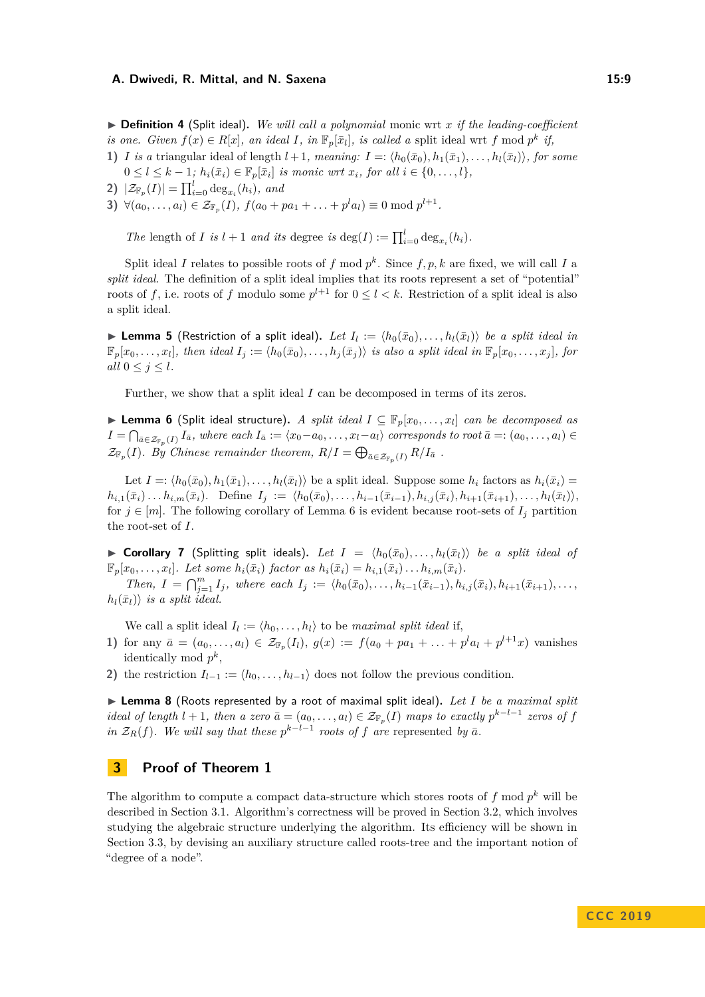$\triangleright$  **Definition 4** (Split ideal). We will call a polynomial monic wrt *x* if the leading-coefficient *is one. Given*  $f(x) \in R[x]$ *, an ideal I, in*  $\mathbb{F}_p[\bar{x}_l]$ *, is called a* split ideal wrt *f* mod  $p^k$  *if,* 

- **1)** *I is a* triangular ideal of length  $l + 1$ *, meaning:*  $I = \langle h_0(\bar{x}_0), h_1(\bar{x}_1), \ldots, h_l(\bar{x}_l) \rangle$ *, for some*  $0 \le l \le k - 1$ ;  $h_i(\bar{x}_i) \in \mathbb{F}_p[\bar{x}_i]$  *is monic wrt*  $x_i$ *, for all*  $i \in \{0, ..., l\}$ *,*
- **2)**  $|\mathcal{Z}_{\mathbb{F}_p}(I)| = \prod_{i=0}^l \deg_{x_i}(h_i)$ , and
- **3)**  $\forall (a_0, \ldots, a_l) \in \mathcal{Z}_{\mathbb{F}_p}(I), f(a_0 + pa_1 + \ldots + p^l a_l) \equiv 0 \bmod p^{l+1}.$

*The* length of *I is*  $l + 1$  *and its* degree *is* deg(*I*) :=  $\prod_{i=0}^{l} \deg_{x_i}(h_i)$ *.* 

Split ideal *I* relates to possible roots of *f* mod  $p^k$ . Since  $f, p, k$  are fixed, we will call *I* a *split ideal*. The definition of a split ideal implies that its roots represent a set of "potential" roots of f, i.e. roots of f modulo some  $p^{l+1}$  for  $0 \le l < k$ . Restriction of a split ideal is also a split ideal.

<span id="page-8-4"></span>▶ **Lemma 5** (Restriction of a split ideal). Let  $I_l := \langle h_0(\bar{x}_0), \ldots, h_l(\bar{x}_l) \rangle$  be a split ideal in  $\mathbb{F}_p[x_0,\ldots,x_l]$ , then ideal  $I_j := \langle h_0(\bar{x}_0),\ldots,h_j(\bar{x}_j) \rangle$  is also a split ideal in  $\mathbb{F}_p[x_0,\ldots,x_j]$ , for *all*  $0 \leq j \leq l$ *.* 

Further, we show that a split ideal *I* can be decomposed in terms of its zeros.

<span id="page-8-1"></span>**► Lemma 6** (Split ideal structure). *A split ideal*  $I \subseteq \mathbb{F}_p[x_0, \ldots, x_l]$  *can be decomposed as*  $I=\bigcap_{\bar{a}\in\mathcal{Z}_{\mathbb{F}_p}(I)} I_{\bar{a}}$ , where each  $I_{\bar{a}}:=\langle x_0-a_0,\ldots,x_l-a_l\rangle$  corresponds to root  $\bar{a}=(a_0,\ldots,a_l)\in I$  $\mathcal{Z}_{\mathbb{F}_p}(I)$ *. By Chinese remainder theorem,*  $R/I = \bigoplus_{\bar{a} \in \mathcal{Z}_{\mathbb{F}_p}(I)} R/I_{\bar{a}}$ .

Let  $I =: \langle h_0(\bar{x}_0), h_1(\bar{x}_1), \ldots, h_l(\bar{x}_l) \rangle$  be a split ideal. Suppose some  $h_i$  factors as  $h_i(\bar{x}_i)$  $h_{i,1}(\bar{x}_i) \dots h_{i,m}(\bar{x}_i)$ . Define  $I_j := \langle h_0(\bar{x}_0), \dots, h_{i-1}(\bar{x}_{i-1}), h_{i,j}(\bar{x}_i), h_{i+1}(\bar{x}_{i+1}), \dots, h_l(\bar{x}_l) \rangle$ for  $j \in [m]$ . The following corollary of Lemma [6](#page-8-1) is evident because root-sets of  $I_j$  partition the root-set of *I*.

<span id="page-8-3"></span>▶ Corollary 7 (Splitting split ideals). Let  $I = \langle h_0(\bar{x}_0), \ldots, h_l(\bar{x}_l) \rangle$  be a split ideal of  $\mathbb{F}_p[x_0,\ldots,x_l]$ . Let some  $h_i(\bar{x}_i)$  factor as  $h_i(\bar{x}_i) = h_{i,1}(\bar{x}_i) \ldots h_{i,m}(\bar{x}_i)$ .

Then,  $I = \bigcap_{j=1}^{m} I_j$ , where each  $I_j := \langle h_0(\bar{x}_0), \ldots, h_{i-1}(\bar{x}_{i-1}), h_{i,j}(\bar{x}_i), h_{i+1}(\bar{x}_{i+1}), \ldots, h_{i-1}(\bar{x}_{i-1})\rangle$  $h_l(\bar{x}_l)$  *is a split ideal.* 

We call a split ideal  $I_l := \langle h_0, \ldots, h_l \rangle$  to be *maximal split ideal* if,

- 1) for any  $\bar{a} = (a_0, \ldots, a_l) \in \mathcal{Z}_{\mathbb{F}_p}(I_l)$ ,  $g(x) := f(a_0 + pa_1 + \ldots + p^l a_l + p^{l+1} x)$  vanishes identically mod  $p^k$ ,
- **2)** the restriction  $I_{l-1} := \langle h_0, \ldots, h_{l-1} \rangle$  does not follow the previous condition.

<span id="page-8-2"></span>▶ Lemma 8 (Roots represented by a root of maximal split ideal). Let I be a maximal split *ideal of length*  $l + 1$ , then a zero  $\bar{a} = (a_0, \ldots, a_l) \in \mathcal{Z}_{\mathbb{F}_p}(I)$  maps to exactly  $p^{k-l-1}$  zeros of f *in*  $\mathcal{Z}_R(f)$ *. We will say that these*  $p^{k-l-1}$  *roots of f* are represented by  $\bar{a}$ *.* 

## <span id="page-8-0"></span>**3 Proof of Theorem [1](#page-2-1)**

The algorithm to compute a compact data-structure which stores roots of  $f$  mod  $p^k$  will be described in Section [3.1.](#page-9-0) Algorithm's correctness will be proved in Section [3.2,](#page-11-1) which involves studying the algebraic structure underlying the algorithm. Its efficiency will be shown in Section [3.3,](#page-13-0) by devising an auxiliary structure called roots-tree and the important notion of "degree of a node".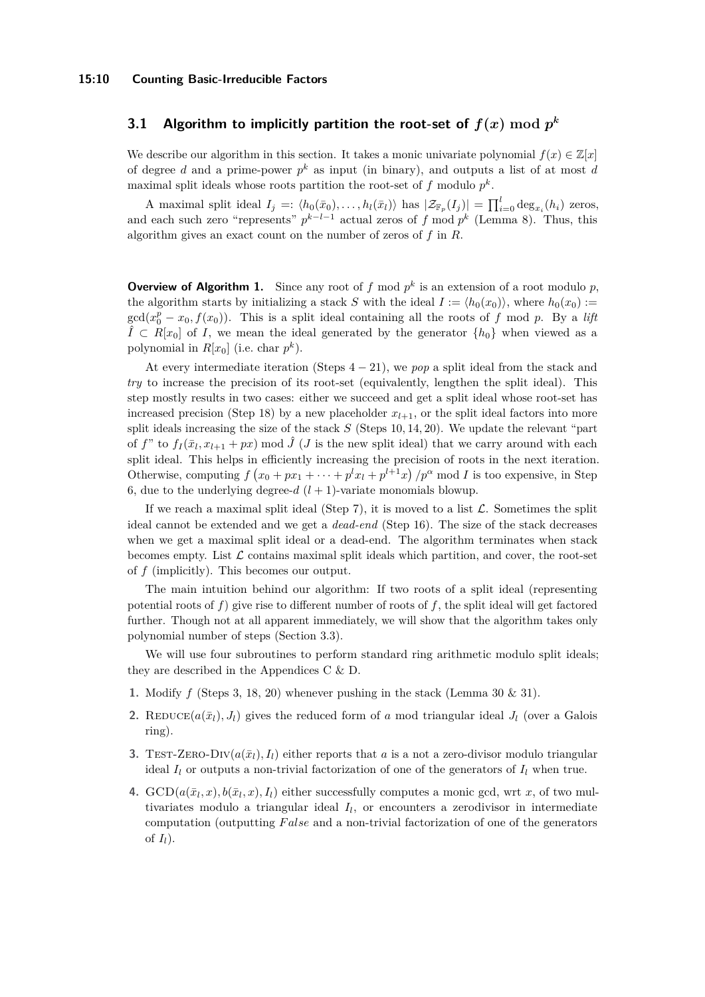## <span id="page-9-0"></span>**3.1 Algorithm to implicitly partition the root-set of**  $f(x) \bmod p^k$

We describe our algorithm in this section. It takes a monic univariate polynomial  $f(x) \in \mathbb{Z}[x]$ of degree *d* and a prime-power  $p^k$  as input (in binary), and outputs a list of at most *d* maximal split ideals whose roots partition the root-set of  $f$  modulo  $p^k$ .

A maximal split ideal  $I_j =: \langle h_0(\bar{x}_0), \ldots, h_l(\bar{x}_l) \rangle$  has  $|\mathcal{Z}_{\mathbb{F}_p}(I_j)| = \prod_{i=0}^l \deg_{x_i}(h_i)$  zeros, and each such zero "represents"  $p^{k-l-1}$  actual zeros of  $f \mod p^k$  (Lemma [8\)](#page-8-2). Thus, this algorithm gives an exact count on the number of zeros of *f* in *R*.

**Overview of Algorithm [1.](#page-10-0)** Since any root of  $f$  mod  $p^k$  is an extension of a root modulo  $p$ , the algorithm starts by initializing a stack *S* with the ideal  $I := \langle h_0(x_0) \rangle$ , where  $h_0(x_0) :=$  $gcd(x_0^p - x_0, f(x_0))$ . This is a split ideal containing all the roots of *f* mod *p*. By a *lift*  $\hat{I}$  ⊂ *R*[*x*<sub>0</sub>] of *I*, we mean the ideal generated by the generator  $\{h_0\}$  when viewed as a polynomial in  $R[x_0]$  (i.e. char  $p^k$ ).

At every intermediate iteration (Steps  $4 - 21$ ), we *pop* a split ideal from the stack and *try* to increase the precision of its root-set (equivalently, lengthen the split ideal). This step mostly results in two cases: either we succeed and get a split ideal whose root-set has increased precision (Step 18) by a new placeholder  $x_{l+1}$ , or the split ideal factors into more split ideals increasing the size of the stack *S* (Steps 10*,* 14*,* 20). We update the relevant "part of *f*" to  $f_I(\bar{x}_l, x_{l+1} + px)$  mod  $\hat{J}$  (*J* is the new split ideal) that we carry around with each split ideal. This helps in efficiently increasing the precision of roots in the next iteration. Otherwise, computing  $f(x_0 + px_1 + \cdots + p^l x_l + p^{l+1} x) / p^{\alpha} \text{ mod } I$  is too expensive, in Step 6, due to the underlying degree- $d$   $(l + 1)$ -variate monomials blowup.

If we reach a maximal split ideal (Step 7), it is moved to a list  $\mathcal{L}$ . Sometimes the split ideal cannot be extended and we get a *dead-end* (Step 16). The size of the stack decreases when we get a maximal split ideal or a dead-end. The algorithm terminates when stack becomes empty. List  $\mathcal L$  contains maximal split ideals which partition, and cover, the root-set of *f* (implicitly). This becomes our output.

The main intuition behind our algorithm: If two roots of a split ideal (representing potential roots of  $f$ ) give rise to different number of roots of  $f$ , the split ideal will get factored further. Though not at all apparent immediately, we will show that the algorithm takes only polynomial number of steps (Section [3.3\)](#page-13-0).

We will use four subroutines to perform standard ring arithmetic modulo split ideals; they are described in the Appendices [C](#page-24-0) & [D.](#page-26-0)

- **1.** Modify *f* (Steps 3, 18, 20) whenever pushing in the stack (Lemma [30](#page-25-0) & [31\)](#page-26-1).
- **2.** REDUCE( $a(\bar{x}_l)$ ,  $J_l$ ) gives the reduced form of *a* mod triangular ideal  $J_l$  (over a Galois ring).
- **3.** TEST-ZERO-DIV $(a(\bar{x}_l), I_l)$  either reports that *a* is a not a zero-divisor modulo triangular ideal  $I_l$  or outputs a non-trivial factorization of one of the generators of  $I_l$  when true.
- **4.**  $GCD(a(\bar{x}_l, x), b(\bar{x}_l, x), I_l)$  either successfully computes a monic gcd, wrt *x*, of two multivariates modulo a triangular ideal *I<sup>l</sup>* , or encounters a zerodivisor in intermediate computation (outputting *F alse* and a non-trivial factorization of one of the generators of  $I_l$ ).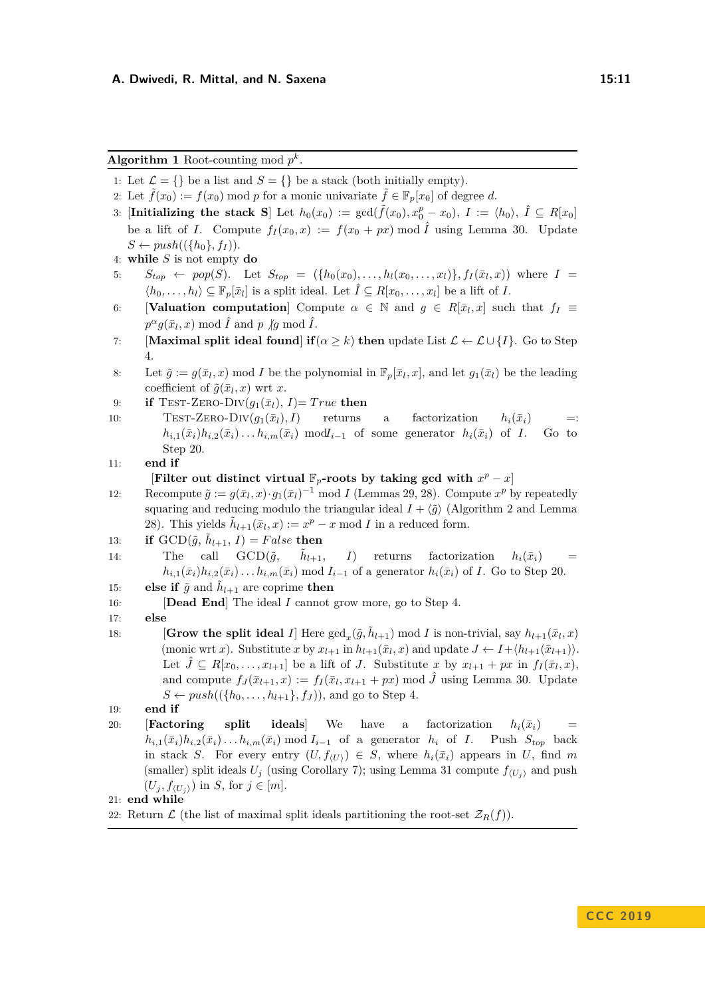<span id="page-10-0"></span>Algorithm 1 Root-counting mod  $p^k$ .

- 1: Let  $\mathcal{L} = \{\}$  be a list and  $S = \{\}$  be a stack (both initially empty).
- 2: Let  $f(x_0) := f(x_0) \text{ mod } p$  for a monic univariate  $f \in \mathbb{F}_p[x_0]$  of degree *d*.
- 3: [Initializing the stack S] Let  $h_0(x_0) := \gcd(\tilde{f}(x_0), x_0^p x_0), \ I := \langle h_0 \rangle, \ \hat{I} \subseteq R[x_0]$ be a lift of *I*. Compute  $f_I(x_0, x) := f(x_0 + px) \mod \hat{I}$  using Lemma [30.](#page-25-0) Update  $S \leftarrow push((\lbrace h_0 \rbrace, f_I)).$
- 4: **while** *S* is not empty **do**
- 5:  $S_{top} \leftarrow pop(S)$ . Let  $S_{top} = (\{h_0(x_0), \ldots, h_l(x_0, \ldots, x_l)\}, f_I(\bar{x}_l, x)$  where  $I =$  $\langle h_0, \ldots, h_l \rangle \subseteq \mathbb{F}_p[\bar{x}_l]$  is a split ideal. Let  $\hat{I} \subseteq R[x_0, \ldots, x_l]$  be a lift of *I*.
- 6: **[Valuation computation**] Compute  $\alpha \in \mathbb{N}$  and  $g \in R[\bar{x}_l, x]$  such that  $f_I \equiv$  $p^{\alpha}g(\bar{x}_l,x) \bmod \hat{I}$  and *p*  $\not|g \bmod \hat{I}$ .
- 7: **[Maximal split ideal found**] **if**  $(\alpha \geq k)$  **then** update List  $\mathcal{L} \leftarrow \mathcal{L} \cup \{I\}$ . Go to Step 4.
- 8: Let  $\tilde{g} := g(\bar{x}_l, x) \mod I$  be the polynomial in  $\mathbb{F}_p[\bar{x}_l, x]$ , and let  $g_1(\bar{x}_l)$  be the leading coefficient of  $\tilde{g}(\bar{x}_l, x)$  wrt  $x$ .
- 9: **if** TEST-ZERO-DIV $(g_1(\bar{x}_l), I)$ = True **then**
- 10: TEST-ZERO-DIV $(g_1(\bar{x}_l), I)$  returns a factorization  $h_i(\bar{x}_i)$  =:  $h_{i,1}(\bar{x}_i)h_{i,2}(\bar{x}_i) \ldots h_{i,m}(\bar{x}_i)$  mod $I_{i-1}$  of some generator  $h_i(\bar{x}_i)$  of *I*. Go to Step 20.
- 11: **end if**

[Filter out distinct virtual  $\mathbb{F}_p$ **-roots by taking gcd with**  $x^p - x$ ]

- 12: Recompute  $\tilde{g} := g(\bar{x}_l, x) \cdot g_1(\bar{x}_l)^{-1} \text{ mod } I$  (Lemmas [29,](#page-25-1) [28\)](#page-24-1). Compute  $x^p$  by repeatedly squaring and reducing modulo the triangular ideal  $I + \langle \tilde{g} \rangle$  (Algorithm [2](#page-24-2) and Lemma [28\)](#page-24-1). This yields  $\tilde{h}_{l+1}(\bar{x}_l, x) := x^p - x \mod I$  in a reduced form.
- 13: **if**  $\text{GCD}(\tilde{g}, \tilde{h}_{l+1}, I) = False$  **then**
- 14: The call  $\text{GCD}(\tilde{q}, \tilde{h}_{l+1},$ *I*) returns factorization  $h_i(\bar{x}_i)$  $h_{i,1}(\bar{x}_i)h_{i,2}(\bar{x}_i)\dots h_{i,m}(\bar{x}_i)$  mod  $I_{i-1}$  of a generator  $h_i(\bar{x}_i)$  of *I*. Go to Step 20.
- 15: **else if**  $\tilde{g}$  and  $\tilde{h}_{l+1}$  are coprime **then**
- 16: [**Dead End**] The ideal *I* cannot grow more, go to Step 4.
- 17: **else**
- 18: **[Grow the split ideal** *I*] Here  $gcd_x(\tilde{g}, \tilde{h}_{l+1}) \mod I$  is non-trivial, say  $h_{l+1}(\bar{x}_l, x)$  $(\text{monic wrt } x)$ . Substitute *x* by  $x_{l+1}$  in  $h_{l+1}(\bar{x}_l, x)$  and update  $J \leftarrow I + \langle h_{l+1}(\bar{x}_{l+1}) \rangle$ . Let  $\hat{J} \subseteq R[x_0, \ldots, x_{l+1}]$  be a lift of *J*. Substitute *x* by  $x_{l+1} + px$  in  $f_I(\bar{x}_l, x)$ , and compute  $f_J(\bar{x}_{l+1}, x) := f_I(\bar{x}_l, x_{l+1} + px) \mod \hat{J}$  using Lemma [30.](#page-25-0) Update  $S \leftarrow push((\{h_0, \ldots, h_{l+1}\}, f_J))$ , and go to Step 4.
- 19: **end if**
- 20: **[Factoring split ideals] We** have a factorization  $h_i(\bar{x}_i)$  $h_{i,1}(\bar{x}_i)h_{i,2}(\bar{x}_i)\ldots h_{i,m}(\bar{x}_i)$  mod  $I_{i-1}$  of a generator  $h_i$  of *I*. Push  $S_{top}$  back in stack *S*. For every entry  $(U, f_{(U)}) \in S$ , where  $h_i(\bar{x}_i)$  appears in *U*, find *m* (smaller) split ideals  $U_j$  (using Corollary [7\)](#page-8-3); using Lemma [31](#page-26-1) compute  $f_{(U_i)}$  and push  $(U_j, f_{\langle U_j \rangle})$  in *S*, for  $j \in [m]$ .

21: **end while**

22: Return  $\mathcal{L}$  (the list of maximal split ideals partitioning the root-set  $\mathcal{Z}_R(f)$ ).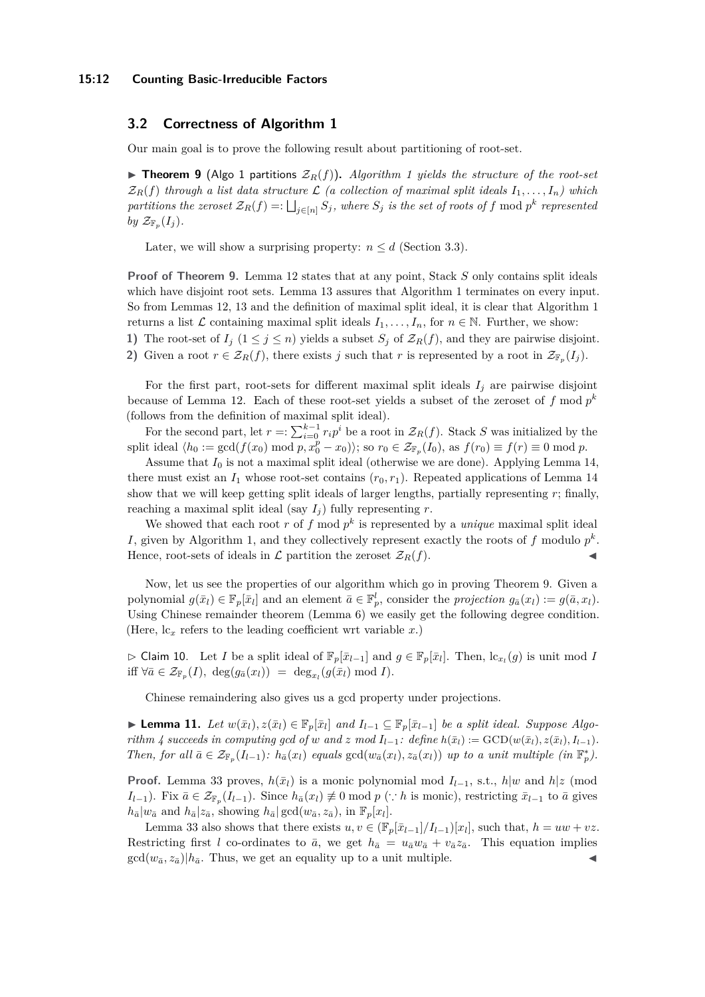## <span id="page-11-1"></span>**3.2 Correctness of Algorithm [1](#page-10-0)**

<span id="page-11-2"></span>Our main goal is to prove the following result about partitioning of root-set.

 $\triangleright$  **Theorem 9** (Algo [1](#page-10-0) partitions  $Z_R(f)$ ). Algorithm 1 yields the structure of the root-set  $\mathcal{Z}_R(f)$  *through a list data structure*  $\mathcal{L}$  *(a collection of maximal split ideals*  $I_1, \ldots, I_n$ *) which*  $p$ *artitions the zeroset*  $\mathcal{Z}_R(f) =: \bigsqcup_{j \in [n]} S_j$ , where  $S_j$  is the set of roots of  $f$  mod  $p^k$  represented *by*  $\mathcal{Z}_{\mathbb{F}_p}(I_j)$ *.* 

Later, we will show a surprising property:  $n \leq d$  (Section [3.3\)](#page-13-0).

**Proof of Theorem [9.](#page-11-2)** Lemma [12](#page-12-0) states that at any point, Stack *S* only contains split ideals which have disjoint root sets. Lemma [13](#page-12-1) assures that Algorithm [1](#page-10-0) terminates on every input. So from Lemmas [12,](#page-12-0) [13](#page-12-1) and the definition of maximal split ideal, it is clear that Algorithm [1](#page-10-0) returns a list  $\mathcal L$  containing maximal split ideals  $I_1, \ldots, I_n$ , for  $n \in \mathbb N$ . Further, we show: **1)** The root-set of  $I_j$  ( $1 \leq j \leq n$ ) yields a subset  $S_j$  of  $\mathcal{Z}_R(f)$ , and they are pairwise disjoint.

**2)** Given a root  $r \in \mathcal{Z}_R(f)$ , there exists *j* such that *r* is represented by a root in  $\mathcal{Z}_{\mathbb{F}_p}(I_j)$ .

For the first part, root-sets for different maximal split ideals  $I_j$  are pairwise disjoint because of Lemma [12.](#page-12-0) Each of these root-set yields a subset of the zeroset of *f* mod *p k* (follows from the definition of maximal split ideal).

For the second part, let  $r =: \sum_{i=0}^{k-1} r_i p^i$  be a root in  $\mathcal{Z}_R(f)$ . Stack *S* was initialized by the split ideal  $\langle h_0 := \gcd(f(x_0) \mod p, x_0^p - x_0) \rangle$ ; so  $r_0 \in \mathcal{Z}_{\mathbb{F}_p}(I_0)$ , as  $f(r_0) \equiv f(r) \equiv 0 \mod p$ .

Assume that  $I_0$  is not a maximal split ideal (otherwise we are done). Applying Lemma [14,](#page-13-1) there must exist an  $I_1$  whose root-set contains  $(r_0, r_1)$ . Repeated applications of Lemma [14](#page-13-1) show that we will keep getting split ideals of larger lengths, partially representing *r*; finally, reaching a maximal split ideal (say  $I_i$ ) fully representing  $r$ .

We showed that each root  $r$  of  $f$  mod  $p^k$  is represented by a *unique* maximal split ideal *I*, given by Algorithm [1,](#page-10-0) and they collectively represent exactly the roots of  $f$  modulo  $p^k$ . Hence, root-sets of ideals in  $\mathcal{L}$  partition the zeroset  $\mathcal{Z}_R(f)$ .

Now, let us see the properties of our algorithm which go in proving Theorem [9.](#page-11-2) Given a polynomial  $g(\bar{x}_l) \in \mathbb{F}_p[\bar{x}_l]$  and an element  $\bar{a} \in \mathbb{F}_p^l$ , consider the *projection*  $g_{\bar{a}}(x_l) := g(\bar{a}, x_l)$ . Using Chinese remainder theorem (Lemma [6\)](#page-8-1) we easily get the following degree condition. (Here,  $lc<sub>x</sub>$  refers to the leading coefficient wrt variable  $x$ .)

<span id="page-11-3"></span> $\triangleright$  Claim 10. Let *I* be a split ideal of  $\mathbb{F}_p[\bar{x}_{l-1}]$  and  $g \in \mathbb{F}_p[\bar{x}_l]$ . Then,  $\text{lc}_{x_l}(g)$  is unit mod *I* iff  $\forall \bar{a} \in \mathcal{Z}_{\mathbb{F}_p}(I)$ ,  $\deg(g_{\bar{a}}(x_l)) = \deg_{x_l}(g(\bar{x}_l) \mod I)$ .

Chinese remaindering also gives us a gcd property under projections.

<span id="page-11-0"></span>► **Lemma 11.** *Let*  $w(\bar{x}_l), z(\bar{x}_l) \in \mathbb{F}_p[\bar{x}_l]$  and  $I_{l-1} \subseteq \mathbb{F}_p[\bar{x}_{l-1}]$  *be a split ideal. Suppose Algo-*rithm [4](#page-28-1) succeeds in computing gcd of w and z mod  $I_{l-1}$ : define  $h(\bar{x}_l) := \text{GCD}(w(\bar{x}_l), z(\bar{x}_l), I_{l-1})$ . Then, for all  $\bar{a} \in \mathcal{Z}_{\mathbb{F}_p}(I_{l-1})$ :  $h_{\bar{a}}(x_l)$  equals  $gcd(w_{\bar{a}}(x_l), z_{\bar{a}}(x_l))$  up to a unit multiple  $(in \mathbb{F}_p^*)$ .

**Proof.** Lemma [33](#page-28-2) proves,  $h(\bar{x}_l)$  is a monic polynomial mod  $I_{l-1}$ , s.t.,  $h|w$  and  $h|z$  (mod *I*<sub>l−1</sub>). Fix  $\bar{a} \in \mathcal{Z}_{\mathbb{F}_p}(I_{l-1})$ . Since  $h_{\bar{a}}(x_l) \neq 0 \text{ mod } p$  (∵ *h* is monic), restricting  $\bar{x}_{l-1}$  to  $\bar{a}$  gives  $h_{\bar{a}}|w_{\bar{a}}$  and  $h_{\bar{a}}|z_{\bar{a}},$  showing  $h_{\bar{a}}| \gcd(w_{\bar{a}}, z_{\bar{a}}),$  in  $\mathbb{F}_p[x_l].$ 

Lemma [33](#page-28-2) also shows that there exists  $u, v \in (\mathbb{F}_p[\bar{x}_{l-1}]/I_{l-1})[x_l]$ , such that,  $h = uw + vz$ . Restricting first *l* co-ordinates to  $\bar{a}$ , we get  $h_{\bar{a}} = u_{\bar{a}}w_{\bar{a}} + v_{\bar{a}}z_{\bar{a}}$ . This equation implies  $gcd(w_{\bar{a}}, z_{\bar{a}})|h_{\bar{a}}$ . Thus, we get an equality up to a unit multiple.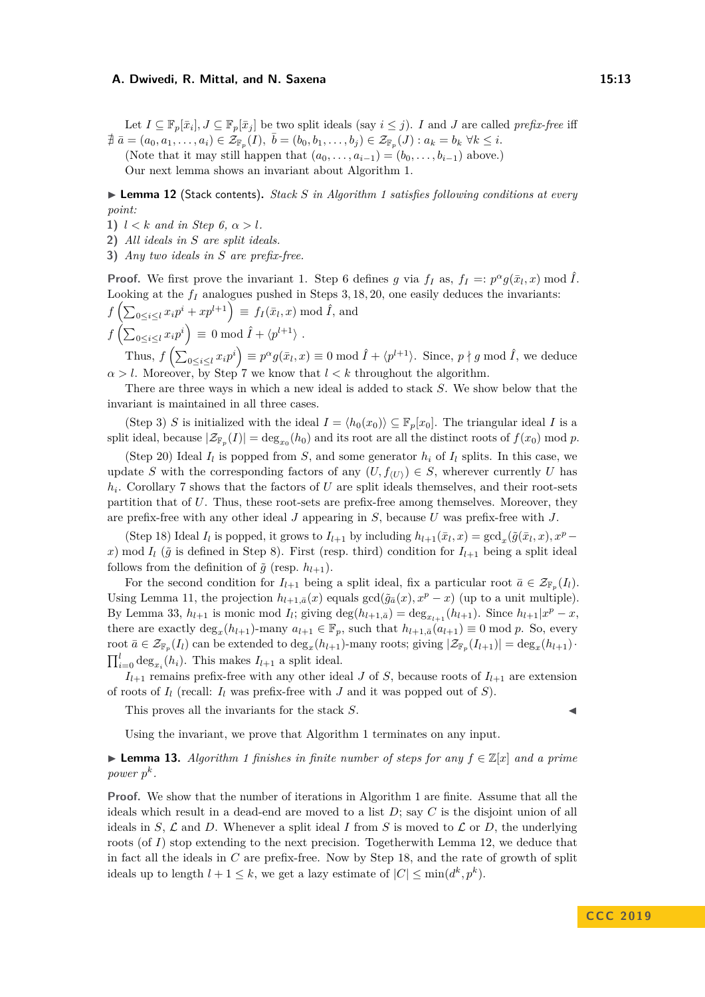Let  $I \subseteq \mathbb{F}_p[\bar{x}_i], J \subseteq \mathbb{F}_p[\bar{x}_j]$  be two split ideals (say  $i \leq j$ ). *I* and *J* are called *prefix-free* iff  $\nexists \bar{a} = (a_0, a_1, \ldots, a_i) \in \mathcal{Z}_{\mathbb{F}_p}(I), \ \bar{b} = (b_0, b_1, \ldots, b_j) \in \mathcal{Z}_{\mathbb{F}_p}(J) : a_k = b_k \ \forall k \leq i.$ (Note that it may still happen that  $(a_0, \ldots, a_{i-1}) = (b_0, \ldots, b_{i-1})$  above.) Our next lemma shows an invariant about Algorithm [1.](#page-10-0)

<span id="page-12-0"></span>▶ **Lemma [1](#page-10-0)2** (Stack contents). *Stack S in Algorithm 1 satisfies following conditions at every point:*

- **1)**  $l < k$  *and in Step 6,*  $\alpha > l$ *.*
- **2)** *All ideals in S are split ideals.*
- **3)** *Any two ideals in S are prefix-free.*

**Proof.** We first prove the invariant 1. Step 6 defines *g* via  $f_I$  as,  $f_I =: p^{\alpha} g(\bar{x}_I, x) \text{ mod } \hat{I}$ . Looking at the *f<sup>I</sup>* analogues pushed in Steps 3*,* 18*,* 20, one easily deduces the invariants:

*, x*) mod ˆ*I*, and

$$
f\left(\sum_{0 \le i \le l} x_i p^i + x p^{l+1}\right) \equiv f_I(\bar{x}_l, x) \bmod \hat{I},
$$
  

$$
f\left(\sum_{0 \le i \le l} x_i p^i\right) \equiv 0 \bmod \hat{I} + \langle p^{l+1} \rangle.
$$

Thus,  $f\left(\sum_{0 \le i \le l} x_i p^i\right) \equiv p^{\alpha} g(\bar{x}_l, x) \equiv 0 \mod \hat{I} + \langle p^{l+1} \rangle$ . Since,  $p \nmid g \mod \hat{I}$ , we deduce  $\alpha > l$ . Moreover, by Step 7 we know that  $l < k$  throughout the algorithm.

There are three ways in which a new ideal is added to stack *S*. We show below that the invariant is maintained in all three cases.

(Step 3) *S* is initialized with the ideal  $I = \langle h_0(x_0) \rangle \subseteq \mathbb{F}_p[x_0]$ . The triangular ideal *I* is a split ideal, because  $|\mathcal{Z}_{\mathbb{F}_p}(I)| = \deg_{x_0}(h_0)$  and its root are all the distinct roots of  $f(x_0) \mod p$ .

(Step 20) Ideal  $I_l$  is popped from  $S$ , and some generator  $h_i$  of  $I_l$  splits. In this case, we update *S* with the corresponding factors of any  $(U, f_{(U)}) \in S$ , wherever currently *U* has *hi* . Corollary [7](#page-8-3) shows that the factors of *U* are split ideals themselves, and their root-sets partition that of *U*. Thus, these root-sets are prefix-free among themselves. Moreover, they are prefix-free with any other ideal *J* appearing in *S*, because *U* was prefix-free with *J*.

(Step 18) Ideal  $I_l$  is popped, it grows to  $I_{l+1}$  by including  $h_{l+1}(\bar{x}_l, x) = \gcd_x(\tilde{g}(\bar{x}_l, x), x^p$ *x*) mod  $I_l$  ( $\tilde{g}$  is defined in Step 8). First (resp. third) condition for  $I_{l+1}$  being a split ideal follows from the definition of  $\tilde{g}$  (resp.  $h_{l+1}$ ).

For the second condition for  $I_{l+1}$  being a split ideal, fix a particular root  $\bar{a} \in \mathcal{Z}_{\mathbb{F}_p}(I_l)$ . Using Lemma [11,](#page-11-0) the projection  $h_{l+1,\bar{a}}(x)$  equals  $gcd(\tilde{g}_{\bar{a}}(x), x^p - x)$  (up to a unit multiple). By Lemma [33,](#page-28-2)  $h_{l+1}$  is monic mod  $I_l$ ; giving  $\deg(h_{l+1,\bar{a}}) = \deg_{x_{l+1}}(h_{l+1})$ . Since  $h_{l+1}|x^p - x$ , there are exactly  $\deg_x(h_{l+1})$ -many  $a_{l+1} \in \mathbb{F}_p$ , such that  $h_{l+1,\bar{a}}(a_{l+1}) \equiv 0 \mod p$ . So, every root  $\bar{a} \in \mathcal{Z}_{\mathbb{F}_p}(I_l)$  can be extended to  $\deg_x(h_{l+1})$ -many roots; giving  $|\mathcal{Z}_{\mathbb{F}_p}(I_{l+1})| = \deg_x(h_{l+1})$ ·  $\prod_{i=0}^{l} \deg_{x_i}(h_i)$ . This makes  $I_{l+1}$  a split ideal.

 $I_{l+1}$  remains prefix-free with any other ideal *J* of *S*, because roots of  $I_{l+1}$  are extension of roots of  $I_l$  (recall:  $I_l$  was prefix-free with  $J$  and it was popped out of  $S$ ).

This proves all the invariants for the stack *S*.

Using the invariant, we prove that Algorithm [1](#page-10-0) terminates on any input.

<span id="page-12-1"></span>**► Lemma [1](#page-10-0)3.** Algorithm 1 finishes in finite number of steps for any  $f \in \mathbb{Z}[x]$  and a prime *power*  $p^k$ .

**Proof.** We show that the number of iterations in Algorithm [1](#page-10-0) are finite. Assume that all the ideals which result in a dead-end are moved to a list *D*; say *C* is the disjoint union of all ideals in *S*,  $\mathcal{L}$  and *D*. Whenever a split ideal *I* from *S* is moved to  $\mathcal{L}$  or *D*, the underlying roots (of *I*) stop extending to the next precision. Togetherwith Lemma [12,](#page-12-0) we deduce that in fact all the ideals in *C* are prefix-free. Now by Step 18, and the rate of growth of split ideals up to length  $l + 1 \leq k$ , we get a lazy estimate of  $|C| \leq \min(d^k, p^k)$ .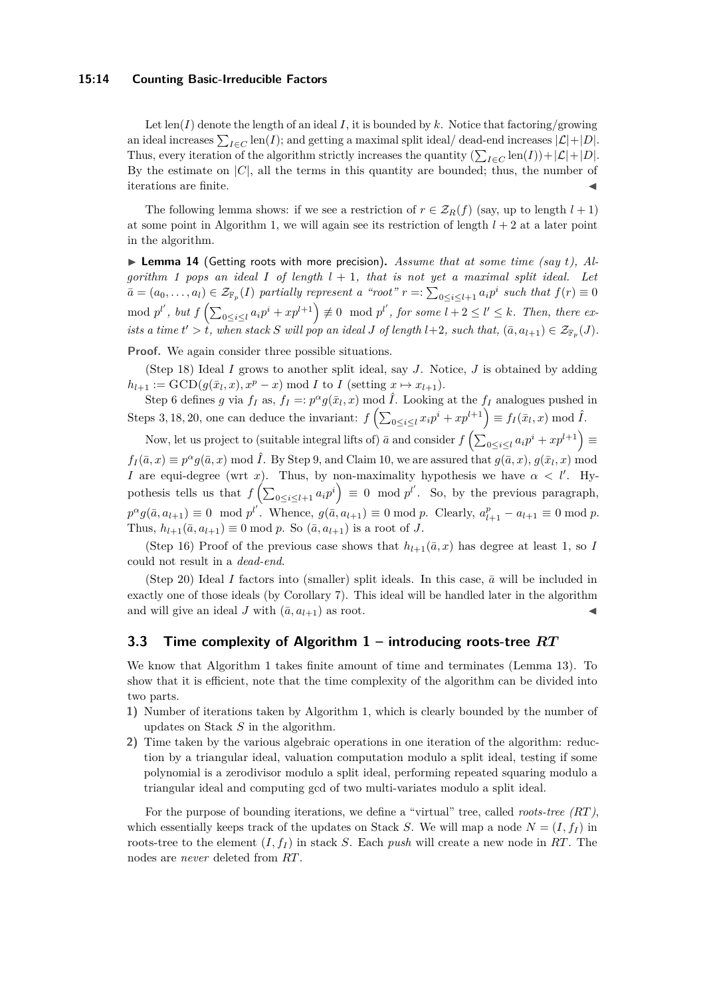#### **15:14 Counting Basic-Irreducible Factors**

Let  $\text{len}(I)$  denote the length of an ideal *I*, it is bounded by *k*. Notice that factoring/growing an ideal increases  $\sum_{I \in C} \text{len}(I)$ ; and getting a maximal split ideal/ dead-end increases  $|\mathcal{L}| + |D|$ . Thus, every iteration of the algorithm strictly increases the quantity  $(\sum_{I \in C} \text{len}(I)) + |\mathcal{L}| + |D|$ . By the estimate on  $|C|$ , all the terms in this quantity are bounded; thus, the number of iterations are finite.

The following lemma shows: if we see a restriction of  $r \in \mathcal{Z}_R(f)$  (say, up to length  $l + 1$ ) at some point in Algorithm [1,](#page-10-0) we will again see its restriction of length  $l + 2$  at a later point in the algorithm.

<span id="page-13-1"></span> $\triangleright$  **Lemma 14** (Getting roots with more precision). Assume that at some time (say t), Al*gorithm [1](#page-10-0) pops an ideal I of length l* + 1*, that is not yet a maximal split ideal. Let*  $\overline{a} = (a_0, \ldots, a_l) \in \mathcal{Z}_{\mathbb{F}_p}(I)$  partially represent a "root"  $r =: \sum_{0 \le i \le l+1} a_i p^i$  such that  $f(r) \equiv 0$  $\mod p^{l'}$ , but  $f\left(\sum_{0\leq i\leq l}a_ip^i+xp^{l+1}\right)\not\equiv 0\mod p^{l'}$ , for some  $l+2\leq l'\leq k$ . Then, there ex*ists a time*  $t' > t$ , when stack *S* will pop an ideal *J* of length  $l+2$ , such that,  $(\bar{a}, a_{l+1}) \in \mathcal{Z}_{\mathbb{F}_p}(J)$ .

**Proof.** We again consider three possible situations.

(Step 18) Ideal *I* grows to another split ideal, say *J*. Notice, *J* is obtained by adding  $h_{l+1} := \text{GCD}(g(\bar{x}_l, x), x^p - x) \text{ mod } I$  to *I* (setting  $x \mapsto x_{l+1}$ ).

Step 6 defines *g* via  $f_I$  as,  $f_I =: p^{\alpha} g(\bar{x}_I, x) \mod \hat{I}$ . Looking at the  $f_I$  analogues pushed in Steps 3, 18, 20, one can deduce the invariant:  $f\left(\sum_{0 \le i \le l} x_i p^i + x p^{l+1}\right) \equiv f_I(\bar{x}_l, x) \bmod \hat{I}$ .

Now, let us project to (suitable integral lifts of)  $\bar{a}$  and consider  $f\left(\sum_{0 \leq i \leq l} a_i p^i + x p^{l+1}\right) \equiv$  $f_I(\bar{a}, x) \equiv p^{\alpha}g(\bar{a}, x) \mod \hat{I}$ . By Step 9, and Claim [10,](#page-11-3) we are assured that  $g(\bar{a}, x)$ ,  $g(\bar{x}_l, x) \mod I$ *I* are equi-degree (wrt *x*). Thus, by non-maximality hypothesis we have  $\alpha < l'$ . Hypothesis tells us that  $f\left(\sum_{0 \le i \le l+1} a_i p^i\right) \equiv 0 \mod p^{l'}$ . So, by the previous paragraph,  $p^{\alpha}g(\bar{a}, a_{l+1}) \equiv 0 \mod p^{l'}$ . Whence,  $g(\bar{a}, a_{l+1}) \equiv 0 \mod p$ . Clearly,  $a_{l+1}^{p} - a_{l+1} \equiv 0 \mod p$ . Thus,  $h_{l+1}(\bar{a}, a_{l+1}) \equiv 0 \text{ mod } p$ . So  $(\bar{a}, a_{l+1})$  is a root of *J*.

(Step 16) Proof of the previous case shows that  $h_{l+1}(\bar{a},x)$  has degree at least 1, so *I* could not result in a *dead-end*.

(Step 20) Ideal *I* factors into (smaller) split ideals. In this case,  $\bar{a}$  will be included in exactly one of those ideals (by Corollary [7\)](#page-8-3). This ideal will be handled later in the algorithm and will give an ideal *J* with  $(\bar{a}, a_{l+1})$  as root.

## <span id="page-13-0"></span>**3.3 Time complexity of Algorithm [1](#page-10-0) – introducing roots-tree** *RT*

We know that Algorithm [1](#page-10-0) takes finite amount of time and terminates (Lemma [13\)](#page-12-1). To show that it is efficient, note that the time complexity of the algorithm can be divided into two parts.

- **1)** Number of iterations taken by Algorithm [1,](#page-10-0) which is clearly bounded by the number of updates on Stack *S* in the algorithm.
- **2)** Time taken by the various algebraic operations in one iteration of the algorithm: reduction by a triangular ideal, valuation computation modulo a split ideal, testing if some polynomial is a zerodivisor modulo a split ideal, performing repeated squaring modulo a triangular ideal and computing gcd of two multi-variates modulo a split ideal.

For the purpose of bounding iterations, we define a "virtual" tree, called *roots-tree (RT)*, which essentially keeps track of the updates on Stack *S*. We will map a node  $N = (I, f_I)$  in roots-tree to the element  $(I, f_I)$  in stack *S*. Each *push* will create a new node in *RT*. The nodes are *never* deleted from *RT*.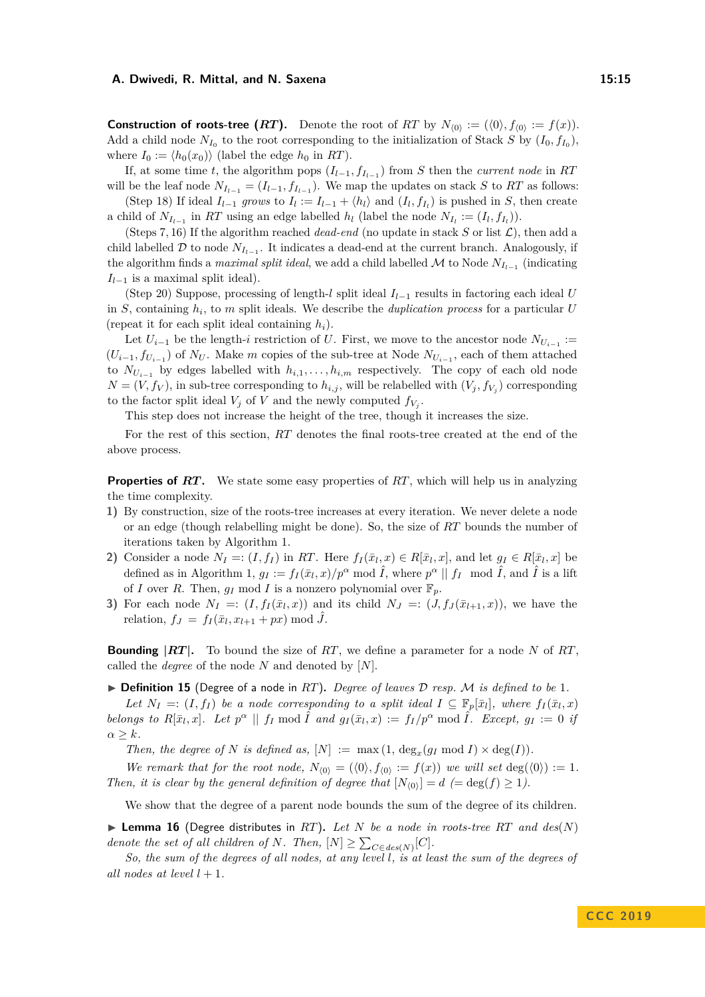**Construction of roots-tree (***RT***).** Denote the root of *RT* by  $N_{(0)} := (\langle 0 \rangle, f_{(0)} := f(x))$ . Add a child node  $N_{I_0}$  to the root corresponding to the initialization of Stack *S* by  $(I_0, f_{I_0})$ , where  $I_0 := \langle h_0(x_0) \rangle$  (label the edge  $h_0$  in *RT*).

If, at some time *t*, the algorithm pops  $(I_{l-1}, f_{I_{l-1}})$  from *S* then the *current node* in *RT* will be the leaf node  $N_{I_{l-1}} = (I_{l-1}, f_{I_{l-1}})$ . We map the updates on stack *S* to *RT* as follows:

(Step 18) If ideal  $I_{l-1}$  grows to  $I_l := I_{l-1} + \langle h_l \rangle$  and  $(I_l, f_{I_l})$  is pushed in *S*, then create a child of  $N_{I_{l-1}}$  in  $RT$  using an edge labelled  $h_l$  (label the node  $N_{I_l} := (I_l, f_{I_l})$ ).

(Steps 7, 16) If the algorithm reached *dead-end* (no update in stack  $S$  or list  $\mathcal{L}$ ), then add a child labelled  $D$  to node  $N_{I_{l-1}}$ . It indicates a dead-end at the current branch. Analogously, if the algorithm finds a *maximal split ideal*, we add a child labelled  $\mathcal M$  to Node  $N_{I_{l-1}}$  (indicating *I*<sub>*l*−1</sub> is a maximal split ideal).

(Step 20) Suppose, processing of length-*l* split ideal *Il*−<sup>1</sup> results in factoring each ideal *U* in *S*, containing *h<sup>i</sup>* , to *m* split ideals. We describe the *duplication process* for a particular *U* (repeat it for each split ideal containing *hi*).

Let  $U_{i-1}$  be the length-*i* restriction of *U*. First, we move to the ancestor node  $N_{U_{i-1}} :=$  $(U_{i-1}, f_{U_{i-1}})$  of  $N_U$ . Make *m* copies of the sub-tree at Node  $N_{U_{i-1}}$ , each of them attached to  $N_{U_{i-1}}$  by edges labelled with  $h_{i,1}, \ldots, h_{i,m}$  respectively. The copy of each old node  $N = (V, f_V)$ , in sub-tree corresponding to  $h_{i,j}$ , will be relabelled with  $(V_j, f_{V_j})$  corresponding to the factor split ideal  $V_j$  of  $V$  and the newly computed  $f_{V_j}$ .

This step does not increase the height of the tree, though it increases the size.

For the rest of this section, *RT* denotes the final roots-tree created at the end of the above process.

**Properties of RT.** We state some easy properties of RT, which will help us in analyzing the time complexity.

- **1)** By construction, size of the roots-tree increases at every iteration. We never delete a node or an edge (though relabelling might be done). So, the size of *RT* bounds the number of iterations taken by Algorithm [1.](#page-10-0)
- 2) Consider a node  $N_I = (I, f_I)$  in RT. Here  $f_I(\bar{x}_l, x) \in R[\bar{x}_l, x]$ , and let  $g_I \in R[\bar{x}_l, x]$  be defined as in Algorithm [1,](#page-10-0)  $g_I := f_I(\bar{x}_l, x)/p^{\alpha} \mod \hat{I}$ , where  $p^{\alpha} \parallel f_I \mod \hat{I}$ , and  $\hat{I}$  is a lift of *I* over *R*. Then,  $g_I \text{ mod } I$  is a nonzero polynomial over  $\mathbb{F}_p$ .
- **3)** For each node  $N_I =: (I, f_I(\bar{x}_l, x))$  and its child  $N_J =: (J, f_J(\bar{x}_{l+1}, x))$ , we have the relation,  $f_J = f_I(\bar{x}_l, x_{l+1} + px) \mod \hat{J}$ .

**Bounding |***RT* **|.** To bound the size of *RT*, we define a parameter for a node *N* of *RT*, called the *degree* of the node *N* and denoted by [*N*].

<span id="page-14-0"></span> $\triangleright$  **Definition 15** (Degree of a node in *RT*). *Degree of leaves D resp. M is defined to be* 1*.* 

*Let*  $N_I =: (I, f_I)$  *be a node corresponding to a split ideal*  $I \subseteq \mathbb{F}_p[\bar{x}_l]$ *, where*  $f_I(\bar{x}_l, x)$ belongs to  $R[\bar{x}_l, x]$ . Let  $p^{\alpha} \parallel f_I \mod \hat{I}$  and  $g_I(\bar{x}_l, x) := f_I/p^{\alpha} \mod \hat{I}$ . Except,  $g_I := 0$  is  $\alpha > k$ *.* 

*Then, the degree of N is defined as,*  $[N] := \max(1, \deg_x(g_I \mod I) \times \deg(I)).$ 

*We remark that for the root node,*  $N_{(0)} = (\langle 0 \rangle, f_{(0)} := f(x))$  *we will set* deg( $\langle 0 \rangle$ ) := 1*. Then, it is clear by the general definition of degree that*  $[N_{(0)}] = d$  ( $= \deg(f) \ge 1$ ).

We show that the degree of a parent node bounds the sum of the degree of its children.

<span id="page-14-1"></span> $\blacktriangleright$  **Lemma 16** (Degree distributes in *RT*), Let *N* be a node in roots-tree *RT* and  $des(N)$ *denote the set of all children of N. Then,*  $[N] \ge \sum_{C \in des(N)} [C]$ *.* 

*So, the sum of the degrees of all nodes, at any level l, is at least the sum of the degrees of all nodes at level*  $l + 1$ *.*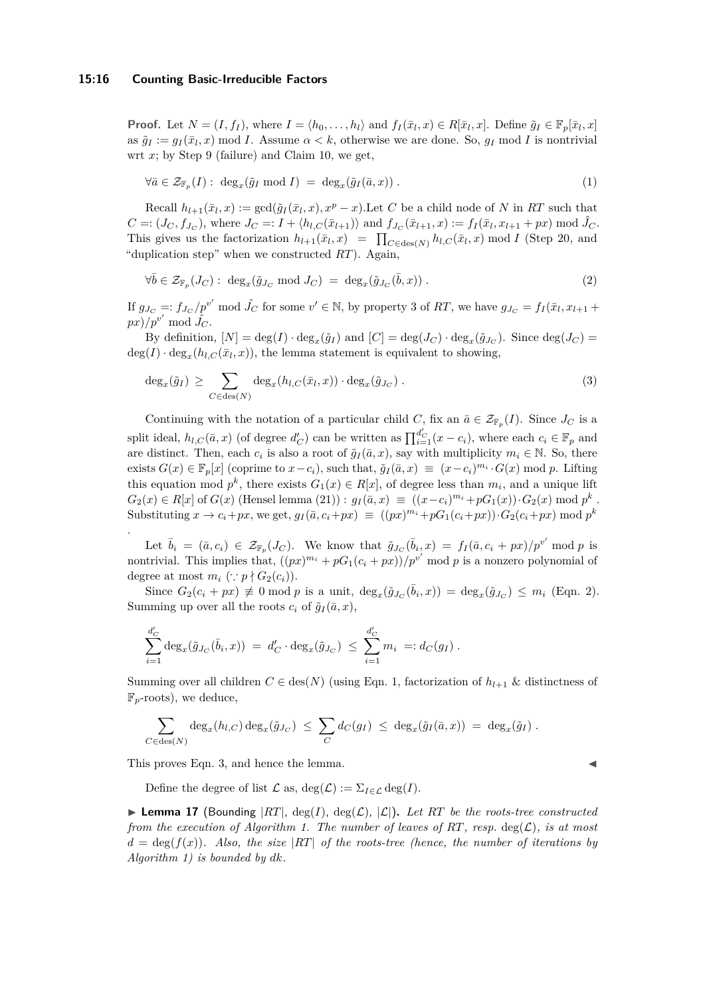#### **15:16 Counting Basic-Irreducible Factors**

**Proof.** Let  $N = (I, f_I)$ , where  $I = \langle h_0, \ldots, h_l \rangle$  and  $f_I(\bar{x}_l, x) \in R[\bar{x}_l, x]$ . Define  $\tilde{g}_I \in \mathbb{F}_p[\bar{x}_l, x]$ as  $\tilde{g}_I := g_I(\bar{x}_I, x) \mod I$ . Assume  $\alpha < k$ , otherwise we are done. So,  $g_I \mod I$  is nontrivial wrt *x*; by Step 9 (failure) and Claim [10,](#page-11-3) we get,

<span id="page-15-1"></span>
$$
\forall \bar{a} \in \mathcal{Z}_{\mathbb{F}_p}(I): \deg_x(\tilde{g}_I \bmod I) = \deg_x(\tilde{g}_I(\bar{a}, x)) . \tag{1}
$$

Recall  $h_{l+1}(\bar{x}_l, x) := \gcd(\tilde{g}_I(\bar{x}_l, x), x^p - x)$ . Let *C* be a child node of *N* in *RT* such that  $C =: (J_C, f_{J_C})$ , where  $J_C =: I + \langle h_{l,C}(\bar{x}_{l+1}) \rangle$  and  $f_{J_C}(\bar{x}_{l+1}, x) := f_I(\bar{x}_l, x_{l+1} + px) \mod \hat{J}_C$ . This gives us the factorization  $h_{l+1}(\bar{x}_l, x) = \prod_{C \in \text{des}(N)} h_{l,C}(\bar{x}_l, x) \mod I$  (Step 20, and "duplication step" when we constructed *RT*). Again,

<span id="page-15-0"></span>
$$
\forall \bar{b} \in \mathcal{Z}_{\mathbb{F}_p}(J_C): \deg_x(\tilde{g}_{J_C} \text{ mod } J_C) = \deg_x(\tilde{g}_{J_C}(\bar{b}, x)). \tag{2}
$$

If  $g_{J_C} =: f_{J_C}/p^{v'}$  mod  $\hat{J_C}$  for some  $v' \in \mathbb{N}$ , by property 3 of RT, we have  $g_{J_C} = f_I(\bar{x}_l, x_{l+1} + \bar{x}_l)$  $px)/p^{v'}$  mod  $\hat{J}_C$ .

By definition,  $[N] = \deg(I) \cdot \deg_x(\tilde{g}_I)$  and  $[C] = \deg(J_C) \cdot \deg_x(\tilde{g}_{J_C})$ . Since  $\deg(J_C)$  $deg(I) \cdot deg_x(h_{l,C}(\bar{x}_l,x))$ , the lemma statement is equivalent to showing,

<span id="page-15-2"></span>
$$
\deg_x(\tilde{g}_I) \geq \sum_{C \in \text{des}(N)} \deg_x(h_{l,C}(\bar{x}_l,x)) \cdot \deg_x(\tilde{g}_{J_C}). \tag{3}
$$

Continuing with the notation of a particular child *C*, fix an  $\bar{a} \in \mathcal{Z}_{\mathbb{F}_p}(I)$ . Since  $J_C$  is a split ideal,  $h_{l,C}(\bar{a},x)$  (of degree  $d'_{C}$ ) can be written as  $\prod_{i=1}^{d'_{C}}(x-c_{i})$ , where each  $c_{i} \in \mathbb{F}_{p}$  and are distinct. Then, each  $c_i$  is also a root of  $\tilde{g}_I(\bar{a},x)$ , say with multiplicity  $m_i \in \mathbb{N}$ . So, there exists  $G(x) \in \mathbb{F}_p[x]$  (coprime to  $x - c_i$ ), such that,  $\tilde{g}_I(\bar{a}, x) \equiv (x - c_i)^{m_i} \cdot G(x) \mod p$ . Lifting this equation mod  $p^k$ , there exists  $G_1(x) \in R[x]$ , of degree less than  $m_i$ , and a unique lift  $G_2(x) \in R[x]$  of  $G(x)$  (Hensel lemma [\(21\)](#page-20-17)):  $g_I(\bar{a}, x) \equiv ((x-c_i)^{m_i} + pG_1(x)) \cdot G_2(x) \mod p^k$ . Substituting  $x \to c_i + px$ , we get,  $g_I(\bar{a}, c_i + px) \equiv ((px)^{m_i} + pG_1(c_i + px)) \cdot G_2(c_i + px) \mod p^k$ .

Let  $\bar{b}_i = (\bar{a}, c_i) \in \mathcal{Z}_{\mathbb{F}_p}(J_C)$ . We know that  $\tilde{g}_{J_C}(\bar{b}_i, x) = f_I(\bar{a}, c_i + px)/p^{v'}$  mod p is nontrivial. This implies that,  $((px)^{m_i} + pG_1(c_i + px))/p^{v'}$  mod p is a nonzero polynomial of degree at most  $m_i$  ( $\because p \nmid G_2(c_i)$ ).

Since  $G_2(c_i + px) \neq 0 \text{ mod } p$  is a unit,  $deg_x(\tilde{g}_{J_C}(\bar{b}_i, x)) = deg_x(\tilde{g}_{J_C}) \leq m_i$  (Eqn. [2\)](#page-15-0). Summing up over all the roots  $c_i$  of  $\tilde{q}_I(\bar{a},x)$ ,

$$
\sum_{i=1}^{d'_{C}} \deg_{x}(\tilde{g}_{J_{C}}(\bar{b}_{i}, x)) = d'_{C} \cdot \deg_{x}(\tilde{g}_{J_{C}}) \leq \sum_{i=1}^{d'_{C}} m_{i} =: d_{C}(g_{I}).
$$

Summing over all children  $C \in \text{des}(N)$  (using Eqn. [1,](#page-15-1) factorization of  $h_{l+1}$  & distinctness of F*p*-roots), we deduce,

$$
\sum_{C \in \text{des}(N)} \deg_x(h_{l,C}) \deg_x(\tilde{g}_{J_C}) \leq \sum_C d_C(g_I) \leq \deg_x(\tilde{g}_I(\bar{a},x)) = \deg_x(\tilde{g}_I).
$$

This proves Eqn. [3,](#page-15-2) and hence the lemma.

Define the degree of list  $\mathcal L$  as,  $\deg(\mathcal L) := \sum_{I \in \mathcal L} \deg(I)$ .

<span id="page-15-3"></span>**Lemma 17** (Bounding  $|RT|$ , deg(*I*), deg(*L*),  $|\mathcal{L}|$ ). Let RT be the roots-tree constructed *from the execution of Algorithm [1.](#page-10-0) The number of leaves of RT, resp.* deg( $\mathcal{L}$ )*, is at most*  $d = \deg(f(x))$ . Also, the size  $|RT|$  of the roots-tree (hence, the number of iterations by *Algorithm [1\)](#page-10-0) is bounded by dk.*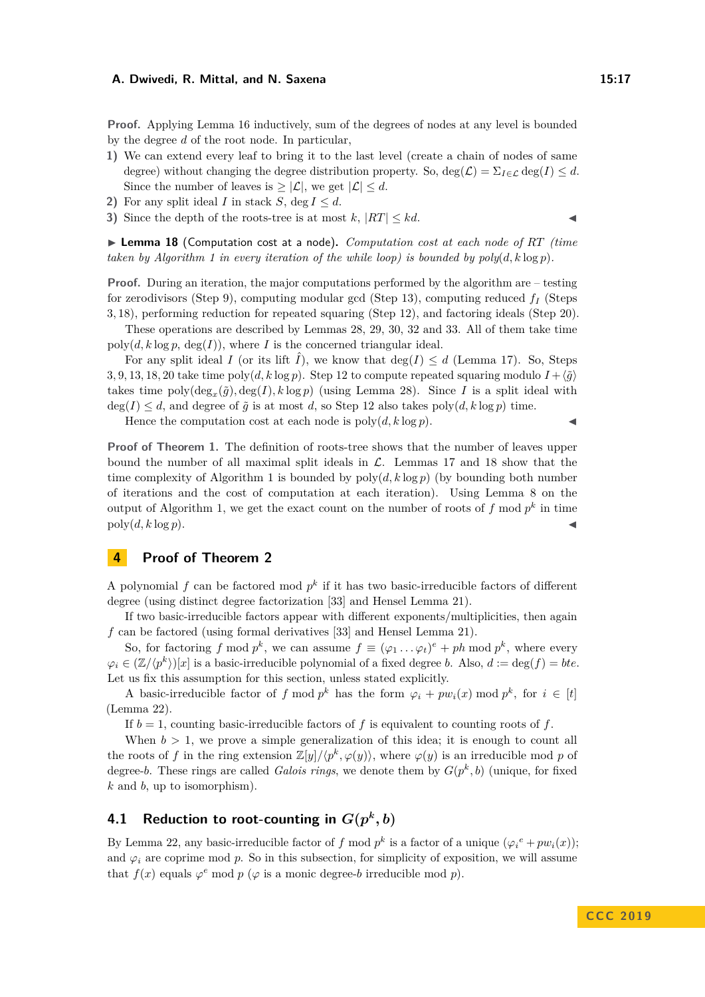**Proof.** Applying Lemma [16](#page-14-1) inductively, sum of the degrees of nodes at any level is bounded by the degree *d* of the root node. In particular,

- **1)** We can extend every leaf to bring it to the last level (create a chain of nodes of same degree) without changing the degree distribution property. So,  $\deg(\mathcal{L}) = \sum_{I \in \mathcal{L}} \deg(I) \leq d$ . Since the number of leaves is  $\geq |\mathcal{L}|$ , we get  $|\mathcal{L}| \leq d$ .
- **2)** For any split ideal *I* in stack *S*, deg  $I \leq d$ .
- **3)** Since the depth of the roots-tree is at most  $k$ ,  $|RT| \leq kd$ .

<span id="page-16-1"></span>▶ **Lemma 18** (Computation cost at a node). *Computation cost at each node of RT (time taken by Algorithm [1](#page-10-0) in every iteration of the while loop) is bounded by*  $poly(d, k \log p)$ *.* 

**Proof.** During an iteration, the major computations performed by the algorithm are – testing for zerodivisors (Step 9), computing modular gcd (Step 13), computing reduced *f<sup>I</sup>* (Steps 3*,* 18), performing reduction for repeated squaring (Step 12), and factoring ideals (Step 20).

These operations are described by Lemmas [28,](#page-24-1) [29,](#page-25-1) [30,](#page-25-0) [32](#page-26-2) and [33.](#page-28-2) All of them take time  $poly(d, k \log p, \deg(I))$ , where *I* is the concerned triangular ideal.

For any split ideal *I* (or its lift  $\hat{I}$ ), we know that deg( $I$ )  $\leq d$  (Lemma [17\)](#page-15-3). So, Steps 3, 9, 13, 18, 20 take time poly $(d, k \log p)$ . Step 12 to compute repeated squaring modulo  $I + \langle \tilde{q} \rangle$ takes time  $\text{poly}(\text{deg}_x(\tilde{g}), \text{deg}(I), k \log p)$  (using Lemma [28\)](#page-24-1). Since *I* is a split ideal with  $deg(I) \leq d$ , and degree of  $\tilde{g}$  is at most *d*, so Step 12 also takes poly $(d, k \log p)$  time.

Hence the computation cost at each node is  $poly(d, k \log p)$ .

**Proof of Theorem [1.](#page-2-1)** The definition of roots-tree shows that the number of leaves upper bound the number of all maximal split ideals in  $\mathcal{L}$ . Lemmas [17](#page-15-3) and [18](#page-16-1) show that the time complexity of Algorithm [1](#page-10-0) is bounded by  $\text{poly}(d, k \log p)$  (by bounding both number of iterations and the cost of computation at each iteration). Using Lemma [8](#page-8-2) on the output of Algorithm [1,](#page-10-0) we get the exact count on the number of roots of  $f$  mod  $p^k$  in time  $poly(d, k \log p)$ .

## <span id="page-16-0"></span>**4 Proof of Theorem [2](#page-3-0)**

A polynomial  $f$  can be factored mod  $p^k$  if it has two basic-irreducible factors of different degree (using distinct degree factorization [\[33\]](#page-20-18) and Hensel Lemma [21\)](#page-20-17).

If two basic-irreducible factors appear with different exponents/multiplicities, then again *f* can be factored (using formal derivatives [\[33\]](#page-20-18) and Hensel Lemma [21\)](#page-20-17).

So, for factoring *f* mod  $p^k$ , we can assume  $f \equiv (\varphi_1 \dots \varphi_t)^e + ph \bmod p^k$ , where every  $\varphi_i \in (\mathbb{Z}/\langle p^k \rangle)[x]$  is a basic-irreducible polynomial of a fixed degree *b*. Also,  $d := \deg(f) = bte$ . Let us fix this assumption for this section, unless stated explicitly.

A basic-irreducible factor of *f* mod  $p^k$  has the form  $\varphi_i + pw_i(x) \mod p^k$ , for  $i \in [t]$ (Lemma [22\)](#page-21-0).

If  $b = 1$ , counting basic-irreducible factors of f is equivalent to counting roots of f.

When  $b > 1$ , we prove a simple generalization of this idea; it is enough to count all the roots of *f* in the ring extension  $\mathbb{Z}[y]/\langle p^k, \varphi(y) \rangle$ , where  $\varphi(y)$  is an irreducible mod *p* of degree-*b*. These rings are called *Galois rings*, we denote them by  $G(p^k, b)$  (unique, for fixed *k* and *b*, up to isomorphism).

## **4.1 Reduction to root-counting in**  $G(p^k, b)$

By Lemma [22,](#page-21-0) any basic-irreducible factor of *f* mod  $p^k$  is a factor of a unique  $(\varphi_i^e + pw_i(x));$ and  $\varphi_i$  are coprime mod  $p$ . So in this subsection, for simplicity of exposition, we will assume that  $f(x)$  equals  $\varphi^e$  mod  $p$  ( $\varphi$  is a monic degree-*b* irreducible mod  $p$ ).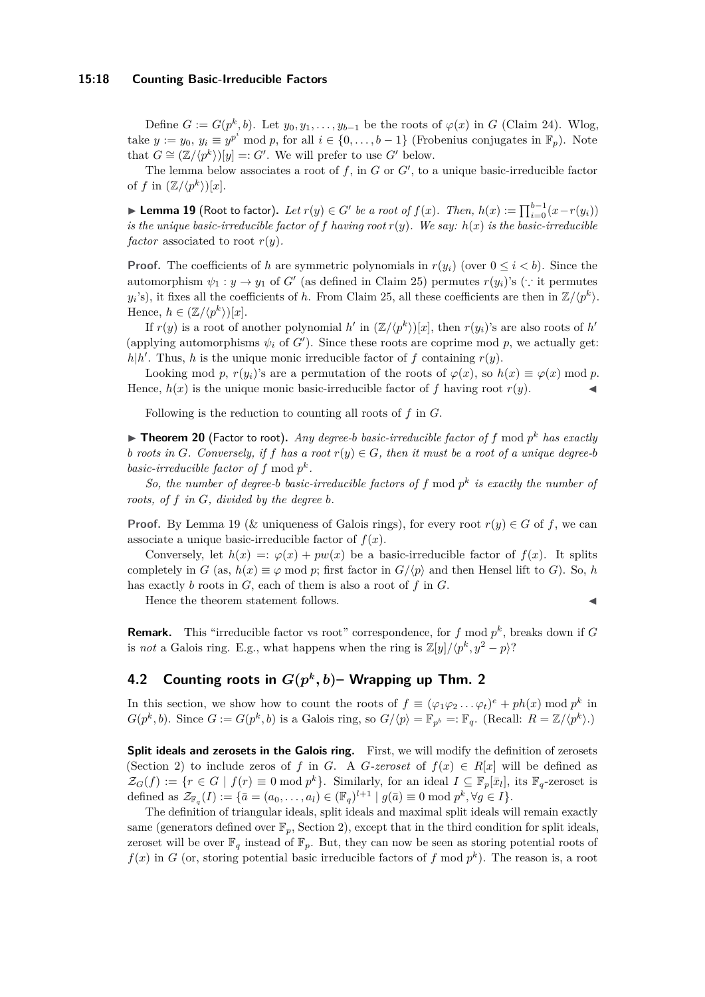#### **15:18 Counting Basic-Irreducible Factors**

Define  $G := G(p^k, b)$ . Let  $y_0, y_1, \ldots, y_{b-1}$  be the roots of  $\varphi(x)$  in *G* (Claim [24\)](#page-21-1). Wlog, take  $y := y_0, y_i \equiv y^{p^i} \mod p$ , for all  $i \in \{0, \ldots, b-1\}$  (Frobenius conjugates in  $\mathbb{F}_p$ ). Note that  $G \cong (\mathbb{Z}/\langle p^k \rangle)[y] =: G'$ . We will prefer to use  $G'$  below.

The lemma below associates a root of  $f$ , in  $G$  or  $G'$ , to a unique basic-irreducible factor of  $f$  in  $(\mathbb{Z}/\langle p^k \rangle)[x]$ .

<span id="page-17-0"></span>▶ **Lemma 19** (Root to factor). Let  $r(y) \in G'$  be a root of  $f(x)$ . Then,  $h(x) := \prod_{i=0}^{b-1} (x - r(y_i))$ *is the unique basic-irreducible factor of*  $f$  *having root*  $r(y)$ *. We say:*  $h(x)$  *is the basic-irreducible factor* associated to root  $r(y)$ .

**Proof.** The coefficients of *h* are symmetric polynomials in  $r(y_i)$  (over  $0 \leq i \leq b$ ). Since the automorphism  $\psi_1 : y \to y_1$  of *G*<sup> $\prime$ </sup> (as defined in Claim [25\)](#page-22-1) permutes  $r(y_i)$ 's (∵ it permutes  $y_i$ 's), it fixes all the coefficients of *h*. From Claim [25,](#page-22-1) all these coefficients are then in  $\mathbb{Z}/\langle p^k \rangle$ . Hence,  $h \in (\mathbb{Z}/\langle p^k \rangle)[x]$ .

If  $r(y)$  is a root of another polynomial *h*' in  $(\mathbb{Z}/\langle p^k \rangle)[x]$ , then  $r(y_i)$ 's are also roots of *h*' (applying automorphisms  $\psi_i$  of  $G'$ ). Since these roots are coprime mod p, we actually get:  $h|h'$ . Thus, *h* is the unique monic irreducible factor of *f* containing  $r(y)$ .

Looking mod *p*,  $r(y_i)$ 's are a permutation of the roots of  $\varphi(x)$ , so  $h(x) \equiv \varphi(x) \mod p$ . Hence,  $h(x)$  is the unique monic basic-irreducible factor of f having root  $r(y)$ .

Following is the reduction to counting all roots of *f* in *G*.

<span id="page-17-1"></span> $\blacktriangleright$  **Theorem 20** (Factor to root). *Any degree-b basic-irreducible factor of*  $f$  mod  $p^k$  *has exactly b* roots in *G*. Conversely, if *f* has a root  $r(y) \in G$ , then it must be a root of a unique degree-b *basic-irreducible factor of*  $f \mod p^k$ .

*So, the number of degree-b basic-irreducible factors of*  $f$  mod  $p^k$  *is exactly the number of roots, of f in G, divided by the degree b.*

**Proof.** By Lemma [19](#page-17-0) ( $\&$  uniqueness of Galois rings), for every root  $r(y) \in G$  of  $f$ , we can associate a unique basic-irreducible factor of  $f(x)$ .

Conversely, let  $h(x) =: \varphi(x) + pw(x)$  be a basic-irreducible factor of  $f(x)$ . It splits completely in *G* (as,  $h(x) \equiv \varphi \mod p$ ; first factor in  $G/\langle p \rangle$  and then Hensel lift to *G*). So, *h* has exactly *b* roots in *G*, each of them is also a root of *f* in *G*.

Hence the theorem statement follows.

**Remark.** This "irreducible factor vs root" correspondence, for  $f \mod p^k$ , breaks down if  $G$ is *not* a Galois ring. E.g., what happens when the ring is  $\mathbb{Z}[y]/\langle p^k, y^2 - p \rangle$ ?

## **4.2 Counting roots in**  $G(p^k, b)$ – Wrapping up Thm. [2](#page-3-0)

In this section, we show how to count the roots of  $f \equiv (\varphi_1 \varphi_2 \dots \varphi_t)^e + ph(x) \mod p^k$  in  $G(p^k, b)$ . Since  $G := G(p^k, b)$  is a Galois ring, so  $G/\langle p \rangle = \mathbb{F}_{p^b} =: \mathbb{F}_q$ . (Recall:  $R = \mathbb{Z}/\langle p^k \rangle$ .)

Split ideals and zerosets in the Galois ring. First, we will modify the definition of zerosets (Section [2\)](#page-7-0) to include zeros of *f* in *G*. A *G*-zeroset of  $f(x) \in R[x]$  will be defined as  $\mathcal{Z}_G(f) := \{r \in G \mid f(r) \equiv 0 \mod p^k\}.$  Similarly, for an ideal  $I \subseteq \mathbb{F}_p[\bar{x}_l]$ , its  $\mathbb{F}_q$ -zeroset is defined as  $\mathcal{Z}_{\mathbb{F}_q}(I) := \{\bar{a} = (a_0, \ldots, a_l) \in (\mathbb{F}_q)^{l+1} \mid g(\bar{a}) \equiv 0 \mod p^k, \forall g \in I\}.$ 

The definition of triangular ideals, split ideals and maximal split ideals will remain exactly same (generators defined over  $\mathbb{F}_p$ , Section [2\)](#page-7-0), except that in the third condition for split ideals, zeroset will be over  $\mathbb{F}_q$  instead of  $\mathbb{F}_p$ . But, they can now be seen as storing potential roots of  $f(x)$  in *G* (or, storing potential basic irreducible factors of f mod  $p^k$ ). The reason is, a root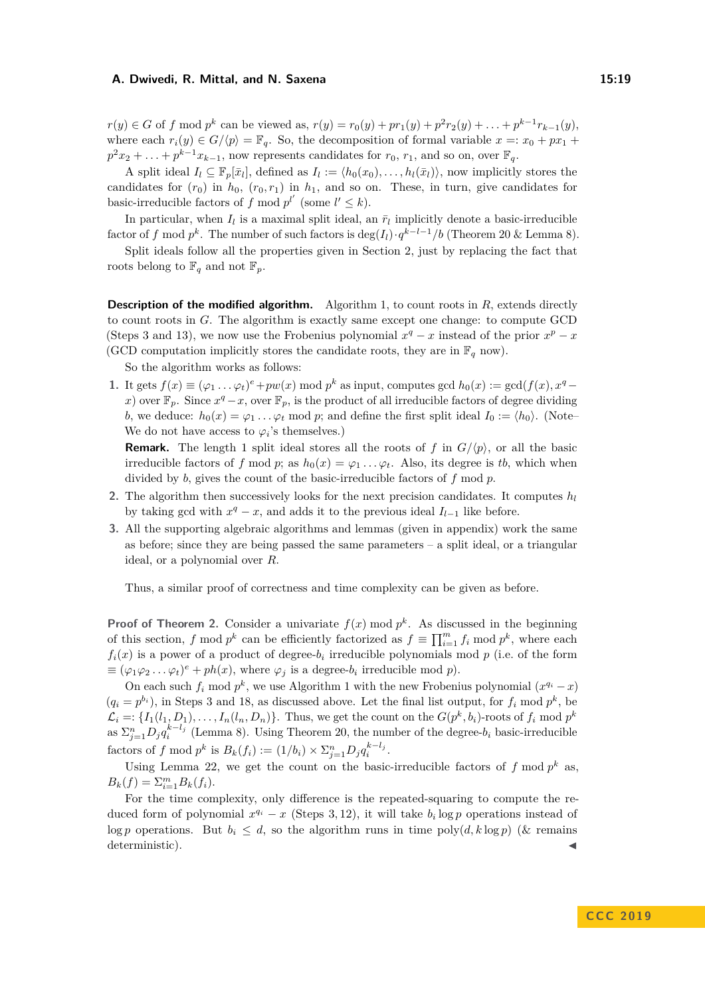$r(y) \in G$  of f mod  $p^k$  can be viewed as,  $r(y) = r_0(y) + pr_1(y) + p^2r_2(y) + \ldots + p^{k-1}r_{k-1}(y)$ , where each  $r_i(y) \in G/\langle p \rangle = \mathbb{F}_q$ . So, the decomposition of formal variable  $x =: x_0 + px_1 +$  $p^2x_2 + \ldots + p^{k-1}x_{k-1}$ , now represents candidates for  $r_0$ ,  $r_1$ , and so on, over  $\mathbb{F}_q$ .

A split ideal  $I_l \subseteq \mathbb{F}_p[\bar{x}_l]$ , defined as  $I_l := \langle h_0(x_0), \ldots, h_l(\bar{x}_l) \rangle$ , now implicitly stores the candidates for  $(r_0)$  in  $h_0$ ,  $(r_0, r_1)$  in  $h_1$ , and so on. These, in turn, give candidates for basic-irreducible factors of *f* mod  $p^{l'}$  (some  $l' \leq k$ ).

In particular, when  $I_l$  is a maximal split ideal, an  $\bar{r}_l$  implicitly denote a basic-irreducible factor of *f* mod  $p^k$ . The number of such factors is  $\deg(I_l) \cdot q^{k-l-1}/b$  (Theorem [20](#page-17-1) & Lemma [8\)](#page-8-2).

Split ideals follow all the properties given in Section [2,](#page-7-0) just by replacing the fact that roots belong to  $\mathbb{F}_q$  and not  $\mathbb{F}_p$ .

**Description of the modified algorithm.** Algorithm [1,](#page-10-0) to count roots in *R*, extends directly to count roots in *G*. The algorithm is exactly same except one change: to compute GCD (Steps 3 and 13), we now use the Frobenius polynomial  $x^q - x$  instead of the prior  $x^p - x$ (GCD computation implicitly stores the candidate roots, they are in  $\mathbb{F}_q$  now).

So the algorithm works as follows:

**1.** It gets  $f(x) \equiv (\varphi_1 \dots \varphi_t)^e + pw(x) \text{ mod } p^k$  as input, computes gcd  $h_0(x) := \text{gcd}(f(x), x^q$ *x*) over  $\mathbb{F}_p$ . Since  $x^q - x$ , over  $\mathbb{F}_p$ , is the product of all irreducible factors of degree dividing *b*, we deduce:  $h_0(x) = \varphi_1 \dots \varphi_t \text{ mod } p$ ; and define the first split ideal  $I_0 := \langle h_0 \rangle$ . (Note– We do not have access to  $\varphi_i$ 's themselves.)

**Remark.** The length 1 split ideal stores all the roots of f in  $G/\langle p \rangle$ , or all the basic irreducible factors of *f* mod *p*; as  $h_0(x) = \varphi_1 \dots \varphi_t$ . Also, its degree is *tb*, which when divided by *b*, gives the count of the basic-irreducible factors of *f* mod *p*.

- 2. The algorithm then successively looks for the next precision candidates. It computes  $h_l$ by taking gcd with  $x^q - x$ , and adds it to the previous ideal  $I_{l-1}$  like before.
- **3.** All the supporting algebraic algorithms and lemmas (given in appendix) work the same as before; since they are being passed the same parameters  $-$  a split ideal, or a triangular ideal, or a polynomial over *R*.

Thus, a similar proof of correctness and time complexity can be given as before.

**Proof of Theorem [2.](#page-3-0)** Consider a univariate  $f(x) \text{ mod } p^k$ . As discussed in the beginning of this section, *f* mod  $p^k$  can be efficiently factorized as  $f \equiv \prod_{i=1}^m f_i \mod p^k$ , where each  $f_i(x)$  is a power of a product of degree- $b_i$  irreducible polynomials mod  $p$  (i.e. of the form  $\equiv (\varphi_1 \varphi_2 \dots \varphi_t)^e + ph(x)$ , where  $\varphi_j$  is a degree- $b_i$  irreducible mod  $p$ ).

On each such  $f_i$  mod  $p^k$ , we use Algorithm [1](#page-10-0) with the new Frobenius polynomial  $(x^{q_i} - x)$  $(q_i = p^{b_i})$ , in Steps 3 and 18, as discussed above. Let the final list output, for  $f_i \mod p^k$ , be  $\mathcal{L}_i = \{I_1(l_1, D_1), \ldots, I_n(l_n, D_n)\}\.$  Thus, we get the count on the  $G(p^k, b_i)$ -roots of  $f_i \text{ mod } p^k$ as  $\sum_{j=1}^{n} D_j q_i^{k-l_j}$  (Lemma [8\)](#page-8-2). Using Theorem [20,](#page-17-1) the number of the degree- $b_i$  basic-irreducible factors of *f* mod  $p^k$  is  $B_k(f_i) := (1/b_i) \times \sum_{j=1}^n D_j q_i^{k-l_j}$ .

Using Lemma [22,](#page-21-0) we get the count on the basic-irreducible factors of  $f \mod p^k$  as,  $B_k(f) = \sum_{i=1}^m B_k(f_i).$ 

For the time complexity, only difference is the repeated-squaring to compute the reduced form of polynomial  $x^{q_i} - x$  (Steps 3, 12), it will take  $b_i \log p$  operations instead of log *p* operations. But  $b_i \leq d$ , so the algorithm runs in time poly $(d, k \log p)$  (& remains deterministic).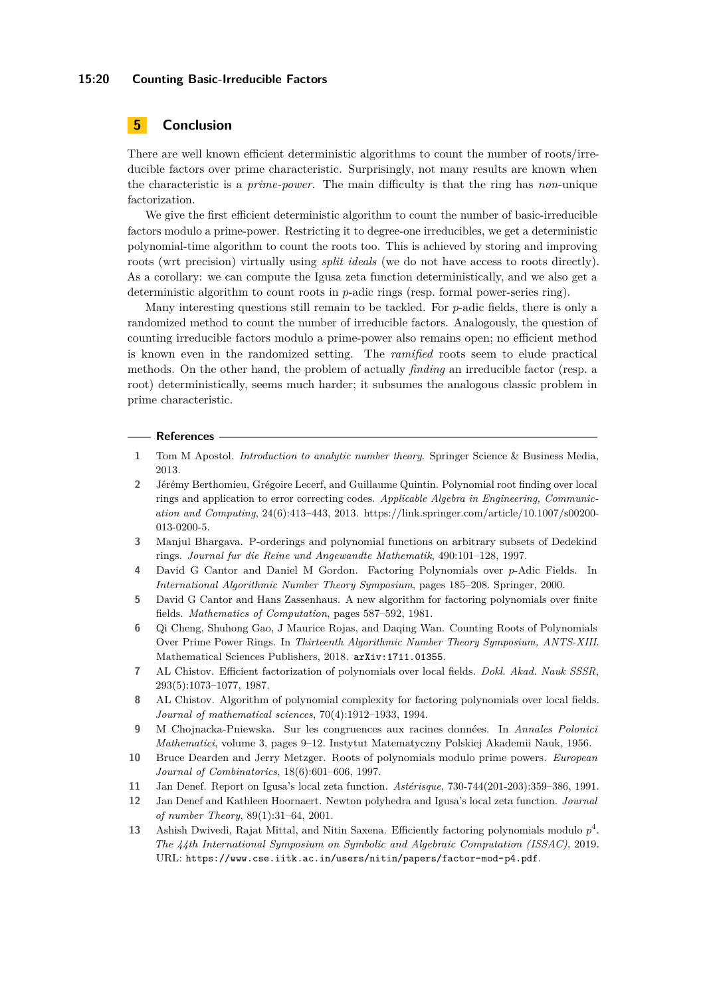#### **15:20 Counting Basic-Irreducible Factors**

## **5 Conclusion**

There are well known efficient deterministic algorithms to count the number of roots/irreducible factors over prime characteristic. Surprisingly, not many results are known when the characteristic is a *prime-power*. The main difficulty is that the ring has *non*-unique factorization.

We give the first efficient deterministic algorithm to count the number of basic-irreducible factors modulo a prime-power. Restricting it to degree-one irreducibles, we get a deterministic polynomial-time algorithm to count the roots too. This is achieved by storing and improving roots (wrt precision) virtually using *split ideals* (we do not have access to roots directly). As a corollary: we can compute the Igusa zeta function deterministically, and we also get a deterministic algorithm to count roots in *p*-adic rings (resp. formal power-series ring).

Many interesting questions still remain to be tackled. For *p*-adic fields, there is only a randomized method to count the number of irreducible factors. Analogously, the question of counting irreducible factors modulo a prime-power also remains open; no efficient method is known even in the randomized setting. The *ramified* roots seem to elude practical methods. On the other hand, the problem of actually *finding* an irreducible factor (resp. a root) deterministically, seems much harder; it subsumes the analogous classic problem in prime characteristic.

#### **References**

- <span id="page-19-11"></span>**1** Tom M Apostol. *Introduction to analytic number theory*. Springer Science & Business Media, 2013.
- <span id="page-19-4"></span>**2** Jérémy Berthomieu, Grégoire Lecerf, and Guillaume Quintin. Polynomial root finding over local rings and application to error correcting codes. *Applicable Algebra in Engineering, Communication and Computing*, 24(6):413–443, 2013. https://link.springer.com/article/10.1007/s00200- 013-0200-5.
- <span id="page-19-8"></span>**3** Manjul Bhargava. P-orderings and polynomial functions on arbitrary subsets of Dedekind rings. *Journal fur die Reine und Angewandte Mathematik*, 490:101–128, 1997.
- <span id="page-19-3"></span>**4** David G Cantor and Daniel M Gordon. Factoring Polynomials over *p*-Adic Fields. In *International Algorithmic Number Theory Symposium*, pages 185–208. Springer, 2000.
- <span id="page-19-10"></span>**5** David G Cantor and Hans Zassenhaus. A new algorithm for factoring polynomials over finite fields. *Mathematics of Computation*, pages 587–592, 1981.
- <span id="page-19-12"></span>**6** Qi Cheng, Shuhong Gao, J Maurice Rojas, and Daqing Wan. Counting Roots of Polynomials Over Prime Power Rings. In *Thirteenth Algorithmic Number Theory Symposium, ANTS-XIII*. Mathematical Sciences Publishers, 2018. [arXiv:1711.01355](http://arxiv.org/abs/1711.01355).
- <span id="page-19-1"></span>**7** AL Chistov. Efficient factorization of polynomials over local fields. *Dokl. Akad. Nauk SSSR*, 293(5):1073–1077, 1987.
- <span id="page-19-2"></span>**8** AL Chistov. Algorithm of polynomial complexity for factoring polynomials over local fields. *Journal of mathematical sciences*, 70(4):1912–1933, 1994.
- <span id="page-19-7"></span>**9** M Chojnacka-Pniewska. Sur les congruences aux racines données. In *Annales Polonici Mathematici*, volume 3, pages 9–12. Instytut Matematyczny Polskiej Akademii Nauk, 1956.
- <span id="page-19-9"></span>**10** Bruce Dearden and Jerry Metzger. Roots of polynomials modulo prime powers. *European Journal of Combinatorics*, 18(6):601–606, 1997.
- <span id="page-19-6"></span>**11** Jan Denef. Report on Igusa's local zeta function. *Astérisque*, 730-744(201-203):359–386, 1991.
- <span id="page-19-5"></span>**12** Jan Denef and Kathleen Hoornaert. Newton polyhedra and Igusa's local zeta function. *Journal of number Theory*, 89(1):31–64, 2001.
- <span id="page-19-0"></span>**13** Ashish Dwivedi, Rajat Mittal, and Nitin Saxena. Efficiently factoring polynomials modulo *p* 4 . *The 44th International Symposium on Symbolic and Algebraic Computation (ISSAC)*, 2019. URL: <https://www.cse.iitk.ac.in/users/nitin/papers/factor-mod-p4.pdf>.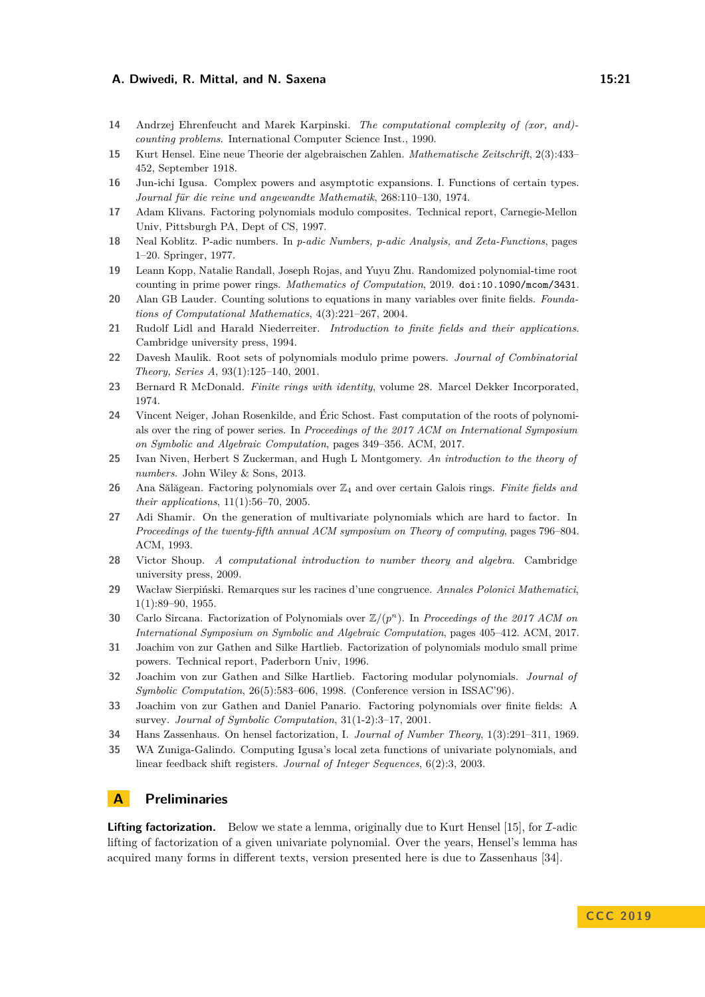- <span id="page-20-15"></span>**14** Andrzej Ehrenfeucht and Marek Karpinski. *The computational complexity of (xor, and) counting problems*. International Computer Science Inst., 1990.
- <span id="page-20-19"></span>**15** Kurt Hensel. Eine neue Theorie der algebraischen Zahlen. *Mathematische Zeitschrift*, 2(3):433– 452, September 1918.
- <span id="page-20-8"></span>**16** Jun-ichi Igusa. Complex powers and asymptotic expansions. I. Functions of certain types. *Journal für die reine und angewandte Mathematik*, 268:110–130, 1974.
- <span id="page-20-3"></span>**17** Adam Klivans. Factoring polynomials modulo composites. Technical report, Carnegie-Mellon Univ, Pittsburgh PA, Dept of CS, 1997.
- <span id="page-20-16"></span>**18** Neal Koblitz. P-adic numbers. In *p-adic Numbers, p-adic Analysis, and Zeta-Functions*, pages 1–20. Springer, 1977.
- <span id="page-20-14"></span>**19** Leann Kopp, Natalie Randall, Joseph Rojas, and Yuyu Zhu. Randomized polynomial-time root counting in prime power rings. *Mathematics of Computation*, 2019. [doi:10.1090/mcom/3431](https://doi.org/10.1090/mcom/3431).
- <span id="page-20-6"></span>**20** Alan GB Lauder. Counting solutions to equations in many variables over finite fields. *Foundations of Computational Mathematics*, 4(3):221–267, 2004.
- <span id="page-20-22"></span>**21** Rudolf Lidl and Harald Niederreiter. *Introduction to finite fields and their applications*. Cambridge university press, 1994.
- <span id="page-20-10"></span>**22** Davesh Maulik. Root sets of polynomials modulo prime powers. *Journal of Combinatorial Theory, Series A*, 93(1):125–140, 2001.
- <span id="page-20-21"></span>**23** Bernard R McDonald. *Finite rings with identity*, volume 28. Marcel Dekker Incorporated, 1974.
- <span id="page-20-13"></span>**24** Vincent Neiger, Johan Rosenkilde, and Éric Schost. Fast computation of the roots of polynomials over the ring of power series. In *Proceedings of the 2017 ACM on International Symposium on Symbolic and Algebraic Computation*, pages 349–356. ACM, 2017.
- <span id="page-20-11"></span>**25** Ivan Niven, Herbert S Zuckerman, and Hugh L Montgomery. *An introduction to the theory of numbers*. John Wiley & Sons, 2013.
- <span id="page-20-4"></span>**26** Ana Sălăgean. Factoring polynomials over Z<sup>4</sup> and over certain Galois rings. *Finite fields and their applications*, 11(1):56–70, 2005.
- <span id="page-20-0"></span>**27** Adi Shamir. On the generation of multivariate polynomials which are hard to factor. In *Proceedings of the twenty-fifth annual ACM symposium on Theory of computing*, pages 796–804. ACM, 1993.
- <span id="page-20-23"></span>**28** Victor Shoup. *A computational introduction to number theory and algebra*. Cambridge university press, 2009.
- <span id="page-20-9"></span>**29** Wacław Sierpiński. Remarques sur les racines d'une congruence. *Annales Polonici Mathematici*, 1(1):89–90, 1955.
- <span id="page-20-5"></span>**30** Carlo Sircana. Factorization of Polynomials over Z*/*(*p n* ). In *Proceedings of the 2017 ACM on International Symposium on Symbolic and Algebraic Computation*, pages 405–412. ACM, 2017.
- <span id="page-20-2"></span>**31** Joachim von zur Gathen and Silke Hartlieb. Factorization of polynomials modulo small prime powers. Technical report, Paderborn Univ, 1996.
- <span id="page-20-1"></span>**32** Joachim von zur Gathen and Silke Hartlieb. Factoring modular polynomials. *Journal of Symbolic Computation*, 26(5):583–606, 1998. (Conference version in ISSAC'96).
- <span id="page-20-18"></span>**33** Joachim von zur Gathen and Daniel Panario. Factoring polynomials over finite fields: A survey. *Journal of Symbolic Computation*, 31(1-2):3–17, 2001.
- <span id="page-20-20"></span>**34** Hans Zassenhaus. On hensel factorization, I. *Journal of Number Theory*, 1(3):291–311, 1969.
- <span id="page-20-7"></span>**35** WA Zuniga-Galindo. Computing Igusa's local zeta functions of univariate polynomials, and linear feedback shift registers. *Journal of Integer Sequences*, 6(2):3, 2003.

## <span id="page-20-12"></span>**A Preliminaries**

<span id="page-20-17"></span>**Lifting factorization.** Below we state a lemma, originally due to Kurt Hensel [\[15\]](#page-20-19), for  $\mathcal{I}$ -adic lifting of factorization of a given univariate polynomial. Over the years, Hensel's lemma has acquired many forms in different texts, version presented here is due to Zassenhaus [\[34\]](#page-20-20).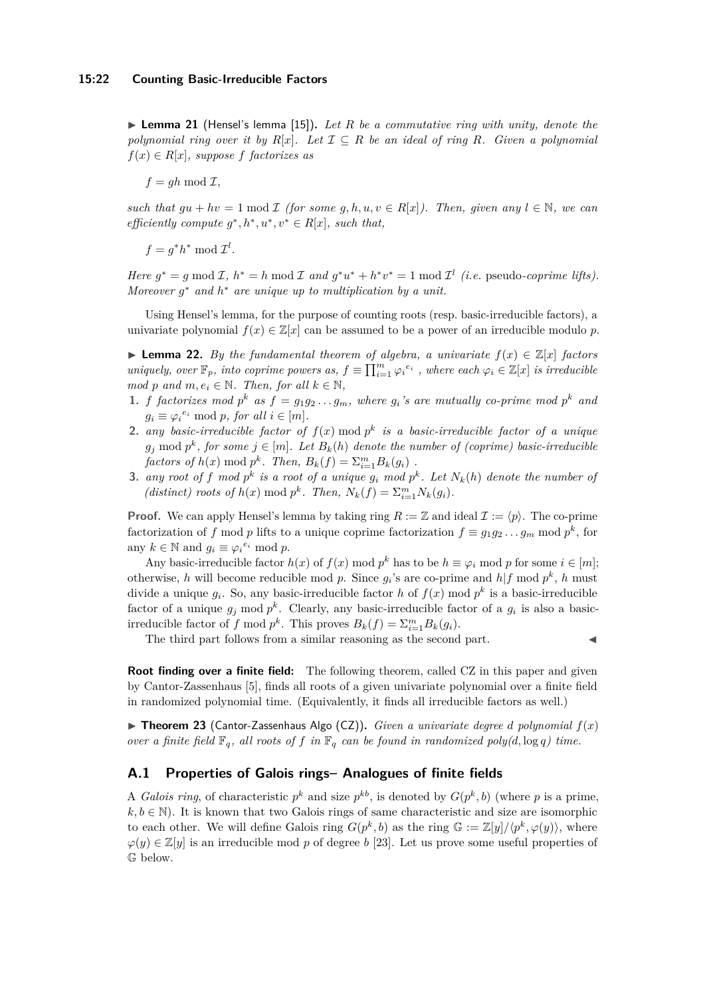▶ Lemma 21 (Hensel's lemma [\[15\]](#page-20-19)). Let R be a commutative ring with unity, denote the *polynomial ring over it by*  $R[x]$ *. Let*  $\mathcal{I} \subseteq R$  *be an ideal of ring*  $R$ *. Given a polynomial*  $f(x) \in R[x]$ *, suppose f factorizes as* 

 $f = gh \mod \mathcal{I}$ ,

*such that*  $gu + hv = 1 \text{ mod } \mathcal{I}$  *(for some*  $g, h, u, v \in R[x]$ ). Then, given any  $l \in \mathbb{N}$ , we can *efficiently compute*  $g^*, h^*, u^*, v^* \in R[x]$ *, such that,* 

 $f = g^*h^* \mod \mathcal{I}^l$ .

*Here*  $g^* = g \mod I$ ,  $h^* = h \mod I$  and  $g^*u^* + h^*v^* = 1 \mod I^l$  (*i.e.* pseudo-*coprime lifts*). *Moreover g* <sup>∗</sup> *and h* <sup>∗</sup> *are unique up to multiplication by a unit.*

Using Hensel's lemma, for the purpose of counting roots (resp. basic-irreducible factors), a univariate polynomial  $f(x) \in \mathbb{Z}[x]$  can be assumed to be a power of an irreducible modulo p.

<span id="page-21-0"></span>**► Lemma 22.** By the fundamental theorem of algebra, a univariate  $f(x) \in \mathbb{Z}[x]$  factors *uniquely, over*  $\mathbb{F}_p$ *, into coprime powers as,*  $f \equiv \prod_{i=1}^m \varphi_i^{e_i}$ *, where each*  $\varphi_i \in \mathbb{Z}[x]$  *is irreducible mod p* and  $m, e_i \in \mathbb{N}$ *. Then, for all*  $k \in \mathbb{N}$ *,* 

- **1.** *f factorizes* mod  $p^k$  *as*  $f = g_1 g_2 \ldots g_m$ *, where*  $g_i$ *'s are mutually co-prime mod*  $p^k$  *and*  $g_i \equiv \varphi_i^{e_i} \mod p$ , for all  $i \in [m]$ .
- **2.** *any basic-irreducible factor of*  $f(x)$  mod  $p^k$  *is a basic-irreducible factor of a unique*  $g_j$  mod  $p^k$ , for some  $j \in [m]$ . Let  $B_k(h)$  denote the number of (coprime) basic-irreducible *factors of*  $h(x) \mod p^k$ . *Then,*  $B_k(f) = \sum_{i=1}^m B_k(g_i)$ .
- **3.** *any root of f mod*  $p^k$  *is a root of a unique*  $g_i$  *mod*  $p^k$ *. Let*  $N_k(h)$  *denote the number of* (distinct) roots of  $h(x) \mod p^k$ . Then,  $N_k(f) = \sum_{i=1}^m N_k(g_i)$ .

**Proof.** We can apply Hensel's lemma by taking ring  $R := \mathbb{Z}$  and ideal  $\mathcal{I} := \langle p \rangle$ . The co-prime factorization of *f* mod *p* lifts to a unique coprime factorization  $f \equiv g_1 g_2 \dots g_m$  mod  $p^k$ , for any  $k \in \mathbb{N}$  and  $g_i \equiv \varphi_i^{e_i} \mod p$ .

Any basic-irreducible factor  $h(x)$  of  $f(x) \mod p^k$  has to be  $h \equiv \varphi_i \mod p$  for some  $i \in [m]$ ; otherwise, *h* will become reducible mod *p*. Since  $g_i$ 's are co-prime and  $h|f \text{ mod } p^k$ , *h* must divide a unique  $g_i$ . So, any basic-irreducible factor *h* of  $f(x)$  mod  $p^k$  is a basic-irreducible factor of a unique  $g_j$  mod  $p^k$ . Clearly, any basic-irreducible factor of a  $g_i$  is also a basicirreducible factor of *f* mod  $p^k$ . This proves  $B_k(f) = \sum_{i=1}^m B_k(g_i)$ .

The third part follows from a similar reasoning as the second part.

**Root finding over a finite field:** The following theorem, called CZ in this paper and given by Cantor-Zassenhaus [\[5\]](#page-19-10), finds all roots of a given univariate polynomial over a finite field in randomized polynomial time. (Equivalently, it finds all irreducible factors as well.)

 $\triangleright$  **Theorem 23** (Cantor-Zassenhaus Algo (CZ)). *Given a univariate degree d polynomial*  $f(x)$ *over a finite field*  $\mathbb{F}_q$ *, all roots of f in*  $\mathbb{F}_q$  *can be found in randomized poly(d,* log *q) time.* 

## **A.1 Properties of Galois rings– Analogues of finite fields**

<span id="page-21-1"></span>A *Galois ring*, of characteristic  $p^k$  and size  $p^{kb}$ , is denoted by  $G(p^k, b)$  (where p is a prime,  $k, b \in \mathbb{N}$ ). It is known that two Galois rings of same characteristic and size are isomorphic to each other. We will define Galois ring  $G(p^k, b)$  as the ring  $\mathbb{G} := \mathbb{Z}[y]/\langle p^k, \varphi(y) \rangle$ , where  $\varphi(y) \in \mathbb{Z}[y]$  is an irreducible mod p of degree b [\[23\]](#page-20-21). Let us prove some useful properties of G below.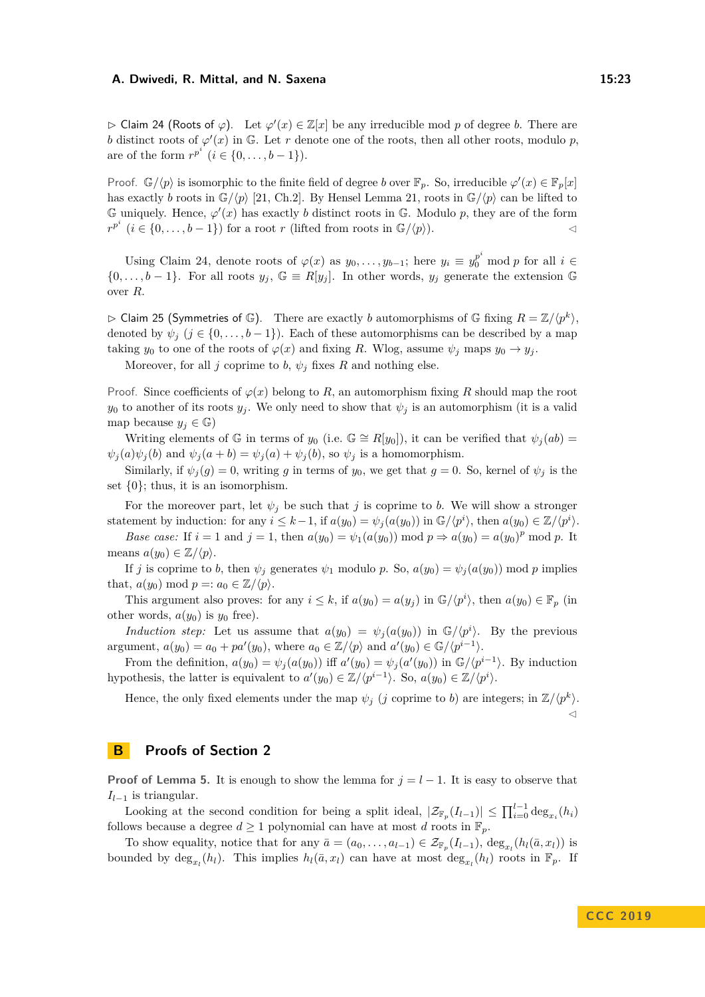$\triangleright$  Claim 24 (Roots of  $\varphi$ ). Let  $\varphi'(x) \in \mathbb{Z}[x]$  be any irreducible mod p of degree b. There are *b* distinct roots of  $\varphi'(x)$  in G. Let *r* denote one of the roots, then all other roots, modulo *p*, are of the form  $r^{p^i}$  (*i* ∈ {0, . . . , *b* − 1}).

Proof.  $\mathbb{G}/\langle p \rangle$  is isomorphic to the finite field of degree *b* over  $\mathbb{F}_p$ . So, irreducible  $\varphi'(x) \in \mathbb{F}_p[x]$ has exactly *b* roots in  $\mathbb{G}/\langle p \rangle$  [\[21,](#page-20-22) Ch.2]. By Hensel Lemma [21,](#page-20-17) roots in  $\mathbb{G}/\langle p \rangle$  can be lifted to  $\mathbb{G}$  uniquely. Hence,  $\varphi'(x)$  has exactly *b* distinct roots in  $\mathbb{G}$ . Modulo *p*, they are of the form  $r^{p^i}$  (*i* ∈ {0, . . . , *b* − 1}) for a root *r* (lifted from roots in  $\mathbb{G}/\langle p \rangle$ ).

Using Claim [24,](#page-21-1) denote roots of  $\varphi(x)$  as  $y_0, \ldots, y_{b-1}$ ; here  $y_i \equiv y_0^{p^i} \mod p$  for all  $i \in$  $\{0,\ldots,b-1\}$ . For all roots  $y_j$ ,  $\mathbb{G} \equiv R[y_j]$ . In other words,  $y_j$  generate the extension  $\mathbb{G}$ over *R*.

<span id="page-22-1"></span> $\triangleright$  Claim 25 (Symmetries of G). There are exactly *b* automorphisms of G fixing  $R = \mathbb{Z}/\langle p^k \rangle$ , denoted by  $\psi_i$  ( $j \in \{0, \ldots, b-1\}$ ). Each of these automorphisms can be described by a map taking  $y_0$  to one of the roots of  $\varphi(x)$  and fixing *R*. Wlog, assume  $\psi_j$  maps  $y_0 \to y_j$ .

Moreover, for all *j* coprime to *b*,  $\psi_j$  fixes *R* and nothing else.

Proof. Since coefficients of  $\varphi(x)$  belong to R, an automorphism fixing R should map the root *y*<sup>0</sup> to another of its roots  $y_j$ . We only need to show that  $\psi_j$  is an automorphism (it is a valid map because  $y_j \in \mathbb{G}$ 

Writing elements of  $\mathbb{G}$  in terms of  $y_0$  (i.e.  $\mathbb{G} \cong R[y_0]$ ), it can be verified that  $\psi_j(ab)$  $\psi_j(a)\psi_j(b)$  and  $\psi_j(a+b) = \psi_j(a) + \psi_j(b)$ , so  $\psi_j$  is a homomorphism.

Similarly, if  $\psi_j(g) = 0$ , writing *g* in terms of  $y_0$ , we get that  $g = 0$ . So, kernel of  $\psi_j$  is the set  $\{0\}$ ; thus, it is an isomorphism.

For the moreover part, let  $\psi_j$  be such that *j* is coprime to *b*. We will show a stronger statement by induction: for any  $i \leq k-1$ , if  $a(y_0) = \psi_j(a(y_0))$  in  $\mathbb{G}/\langle p^i \rangle$ , then  $a(y_0) \in \mathbb{Z}/\langle p^i \rangle$ .

*Base case:* If  $i = 1$  and  $j = 1$ , then  $a(y_0) = \psi_1(a(y_0)) \text{ mod } p \Rightarrow a(y_0) = a(y_0)^p \text{ mod } p$ . It means  $a(y_0) \in \mathbb{Z}/\langle p \rangle$ .

If *j* is coprime to *b*, then  $\psi_j$  generates  $\psi_1$  modulo *p*. So,  $a(y_0) = \psi_j(a(y_0))$  mod *p* implies that,  $a(y_0) \mod p =: a_0 \in \mathbb{Z}/\langle p \rangle$ .

This argument also proves: for any  $i \leq k$ , if  $a(y_0) = a(y_j)$  in  $\mathbb{G}/\langle p^i \rangle$ , then  $a(y_0) \in \mathbb{F}_p$  (in other words,  $a(y_0)$  is  $y_0$  free).

*Induction step:* Let us assume that  $a(y_0) = \psi_j(a(y_0))$  in  $\mathbb{G}/\langle p^i \rangle$ . By the previous argument,  $a(y_0) = a_0 + pa'(y_0)$ , where  $a_0 \in \mathbb{Z}/\langle p \rangle$  and  $a'(y_0) \in \mathbb{G}/\langle p^{i-1} \rangle$ .

From the definition,  $a(y_0) = \psi_j(a(y_0))$  iff  $a'(y_0) = \psi_j(a'(y_0))$  in  $\mathbb{G}/\langle p^{i-1} \rangle$ . By induction hypothesis, the latter is equivalent to  $a'(y_0) \in \mathbb{Z}/\langle p^{i-1} \rangle$ . So,  $a(y_0) \in \mathbb{Z}/\langle p^i \rangle$ .

Hence, the only fixed elements under the map  $\psi_j$  (*j* coprime to *b*) are integers; in  $\mathbb{Z}/\langle p^k \rangle$ .  $\triangleleft$ 

## <span id="page-22-0"></span>**B Proofs of Section [2](#page-7-0)**

**Proof of Lemma [5.](#page-8-4)** It is enough to show the lemma for  $j = l - 1$ . It is easy to observe that *Il*−<sup>1</sup> is triangular.

Looking at the second condition for being a split ideal,  $|\mathcal{Z}_{\mathbb{F}_p}(I_{l-1})| \le \prod_{i=0}^{l-1} \deg_{x_i}(h_i)$ follows because a degree  $d \geq 1$  polynomial can have at most *d* roots in  $\mathbb{F}_p$ .

To show equality, notice that for any  $\bar{a} = (a_0, \ldots, a_{l-1}) \in \mathcal{Z}_{\mathbb{F}_p}(I_{l-1}), \deg_{x_l}(h_l(\bar{a}, x_l))$  is bounded by  $\deg_{x_l}(h_l)$ . This implies  $h_l(\bar{a}, x_l)$  can have at most  $\deg_{x_l}(h_l)$  roots in  $\mathbb{F}_p$ . If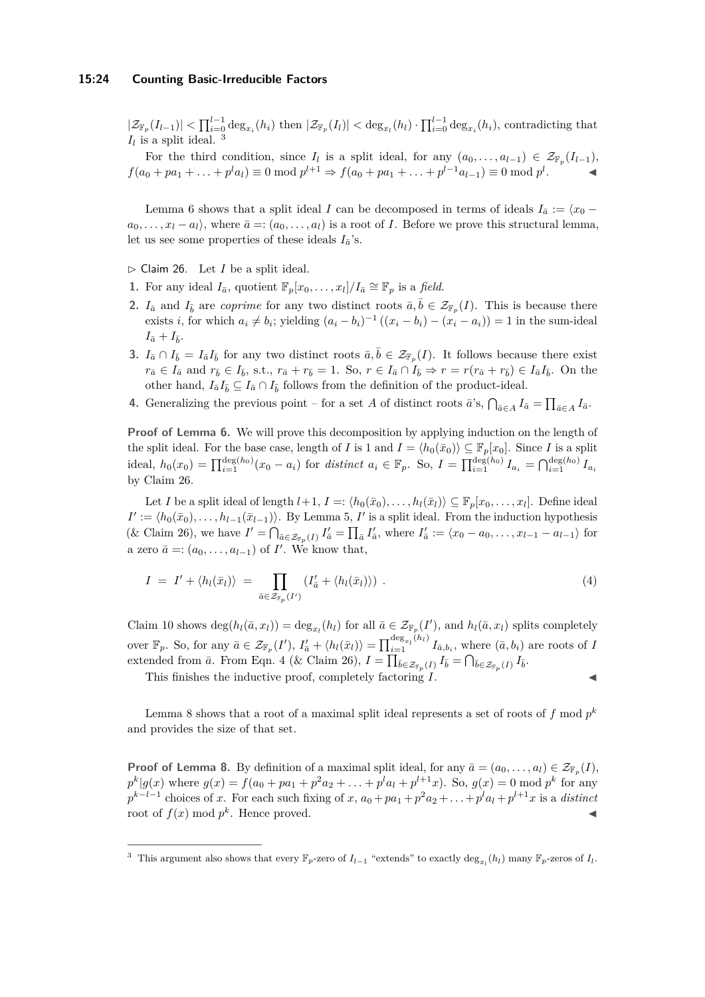#### **15:24 Counting Basic-Irreducible Factors**

 $|\mathcal{Z}_{\mathbb{F}_p}(I_{l-1})| < \prod_{i=0}^{l-1} \deg_{x_i}(h_i)$  then  $|\mathcal{Z}_{\mathbb{F}_p}(I_l)| < \deg_{x_l}(h_l) \cdot \prod_{i=0}^{l-1} \deg_{x_i}(h_i)$ , contradicting that  $I_l$  is a split ideal. <sup>[3](#page-23-0)</sup>

For the third condition, since  $I_l$  is a split ideal, for any  $(a_0, \ldots, a_{l-1}) \in \mathcal{Z}_{\mathbb{F}_p}(I_{l-1}),$  $f(a_0 + pa_1 + ... + p^l a_l) \equiv 0 \mod p^{l+1} \Rightarrow f(a_0 + pa_1 + ... + p^{l-1} a_{l-1}) \equiv 0 \mod p^l$ *.* J

Lemma [6](#page-8-1) shows that a split ideal *I* can be decomposed in terms of ideals  $I_{\bar{a}} := \langle x_0 - \rangle$  $a_0, \ldots, x_l - a_l$ , where  $\bar{a} = (a_0, \ldots, a_l)$  is a root of *I*. Before we prove this structural lemma, let us see some properties of these ideals  $I_{\bar{a}}$ 's.

- <span id="page-23-1"></span> $\triangleright$  Claim 26. Let *I* be a split ideal.
- **1.** For any ideal  $I_{\bar{a}}$ , quotient  $\mathbb{F}_p[x_0,\ldots,x_l]/I_{\bar{a}} \cong \mathbb{F}_p$  is a *field*.
- **2.** *I*<sup> $a$ </sup> and *I*<sup> $b$ </sup> are *coprime* for any two distinct roots  $\bar{a}, \bar{b} \in \mathcal{Z}_{\mathbb{F}_p}(I)$ . This is because there exists *i*, for which  $a_i \neq b_i$ ; yielding  $(a_i - b_i)^{-1} ((x_i - b_i) - (x_i - a_i)) = 1$  in the sum-ideal  $I_{\bar{a}} + I_{\bar{b}}$ .
- **3.**  $I_{\bar{a}} \cap I_{\bar{b}} = I_{\bar{a}}I_{\bar{b}}$  for any two distinct roots  $\bar{a}, \bar{b} \in \mathcal{Z}_{\mathbb{F}_p}(I)$ . It follows because there exist  $r_{\bar{a}} \in I_{\bar{a}}$  and  $r_{\bar{b}} \in I_{\bar{b}}$ , s.t.,  $r_{\bar{a}} + r_{\bar{b}} = 1$ . So,  $r \in I_{\bar{a}} \cap I_{\bar{b}} \Rightarrow r = r(r_{\bar{a}} + r_{\bar{b}}) \in I_{\bar{a}}I_{\bar{b}}$ . On the other hand,  $I_{\bar{a}}I_{\bar{b}} \subseteq I_{\bar{a}} \cap I_{\bar{b}}$  follows from the definition of the product-ideal.
- **4.** Generalizing the previous point for a set *A* of distinct roots  $\vec{a}$ 's,  $\bigcap_{\vec{a}\in A} I_{\vec{a}} = \prod_{\vec{a}\in A} I_{\vec{a}}$ .

**Proof of Lemma [6.](#page-8-1)** We will prove this decomposition by applying induction on the length of the split ideal. For the base case, length of *I* is 1 and  $I = \langle h_0(\bar{x}_0) \rangle \subseteq \mathbb{F}_p[x_0]$ . Since *I* is a split ideal,  $h_0(x_0) = \prod_{i=1}^{\deg(h_0)} (x_0 - a_i)$  for distinct  $a_i \in \mathbb{F}_p$ . So,  $I = \prod_{i=1}^{\deg(h_0)} I_{a_i} = \bigcap_{i=1}^{\deg(h_0)} I_{a_i}$ by Claim [26.](#page-23-1)

Let *I* be a split ideal of length  $l+1$ ,  $I =: \langle h_0(\bar{x}_0), \ldots, h_l(\bar{x}_l) \rangle \subseteq \mathbb{F}_p[x_0, \ldots, x_l]$ . Define ideal  $I' := \langle h_0(\bar{x}_0), \ldots, h_{l-1}(\bar{x}_{l-1}) \rangle$ . By Lemma [5,](#page-8-4) *I*' is a split ideal. From the induction hypothesis (& Claim [26\)](#page-23-1), we have  $I' = \bigcap_{\bar{a} \in \mathcal{Z}_{\mathbb{F}_p}(I)} I'_{\bar{a}} = \prod_{\bar{a}} I'_{\bar{a}}$ , where  $I'_{\bar{a}} := \langle x_0 - a_0, \ldots, x_{l-1} - a_{l-1} \rangle$  for a zero  $\bar{a} =: (a_0, \ldots, a_{l-1})$  of *I'*. We know that,

<span id="page-23-2"></span>
$$
I = I' + \langle h_l(\bar{x}_l) \rangle = \prod_{\bar{a} \in \mathcal{Z}_{\bar{r}_p}(I')} (I'_{\bar{a}} + \langle h_l(\bar{x}_l) \rangle) . \tag{4}
$$

Claim [10](#page-11-3) shows  $\deg(h_l(\bar{a}, x_l)) = \deg_{x_l}(h_l)$  for all  $\bar{a} \in \mathcal{Z}_{\mathbb{F}_p}(I')$ , and  $h_l(\bar{a}, x_l)$  splits completely over  $\mathbb{F}_p$ . So, for any  $\bar{a} \in \mathcal{Z}_{\mathbb{F}_p}(I'),$   $I'_{\bar{a}} + \langle h_l(\bar{x}_l) \rangle = \prod_{i=1}^{\deg_{x_l}(h_l)} I_{\bar{a},b_i}$ , where  $(\bar{a},b_i)$  are roots of I extended from  $\bar{a}$ . From Eqn. [4](#page-23-2) (& Claim [26\)](#page-23-1),  $I = \prod_{\bar{b} \in \mathcal{Z}_{\mathbb{F}_p}(I)} I_{\bar{b}} = \bigcap_{\bar{b} \in \mathcal{Z}_{\mathbb{F}_p}(I)} I_{\bar{b}}$ .

This finishes the inductive proof, completely factoring *I*.

Lemma [8](#page-8-2) shows that a root of a maximal split ideal represents a set of roots of  $f \mod p^k$ and provides the size of that set.

**Proof of Lemma [8.](#page-8-2)** By definition of a maximal split ideal, for any  $\bar{a} = (a_0, \ldots, a_l) \in \mathcal{Z}_{\mathbb{F}_p}(I)$ ,  $p^{k}|g(x)$  where  $g(x) = f(a_0 + pa_1 + p^2a_2 + ... + p^la_l + p^{l+1}x)$ . So,  $g(x) = 0$  mod  $p^{k}$  for any  $p^{k-l-1}$  choices of *x*. For each such fixing of *x*,  $a_0 + pa_1 + p^2a_2 + \ldots + p^la_l + n^2a_l$  is a *distinct* root of  $f(x) \mod p^k$ . Hence proved.

<span id="page-23-0"></span><sup>&</sup>lt;sup>3</sup> This argument also shows that every  $\mathbb{F}_p$ -zero of  $I_{l-1}$  "extends" to exactly  $\deg_{x_l}(h_l)$  many  $\mathbb{F}_p$ -zeros of  $I_l$ .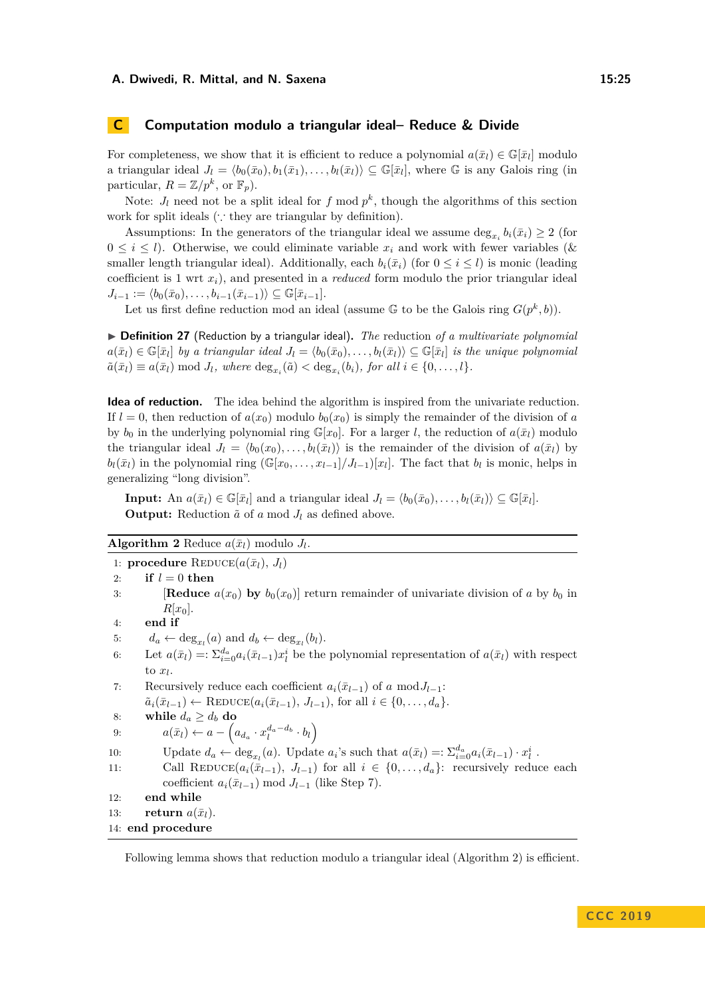## <span id="page-24-0"></span>**C Computation modulo a triangular ideal– Reduce & Divide**

For completeness, we show that it is efficient to reduce a polynomial  $a(\bar{x}_l) \in \mathbb{G}[\bar{x}_l]$  modulo a triangular ideal  $J_l = \langle b_0(\bar{x}_0), b_1(\bar{x}_1), \ldots, b_l(\bar{x}_l) \rangle \subseteq \mathbb{G}[\bar{x}_l]$ , where G is any Galois ring (in particular,  $R = \mathbb{Z}/p^k$ , or  $\mathbb{F}_p$ ).

Note:  $J_l$  need not be a split ideal for  $f \mod p^k$ , though the algorithms of this section work for split ideals (∵ they are triangular by definition).

Assumptions: In the generators of the triangular ideal we assume  $\deg_{x_i} b_i(\bar{x}_i) \geq 2$  (for  $0 \leq i \leq l$ ). Otherwise, we could eliminate variable  $x_i$  and work with fewer variables ( $\&$ smaller length triangular ideal). Additionally, each  $b_i(\bar{x}_i)$  (for  $0 \leq i \leq l$ ) is monic (leading coefficient is 1 wrt *xi*), and presented in a *reduced* form modulo the prior triangular ideal  $J_{i-1} := \langle b_0(\bar{x}_0), \ldots, b_{i-1}(\bar{x}_{i-1}) \rangle \subseteq \mathbb{G}[\bar{x}_{i-1}].$ 

Let us first define reduction mod an ideal (assume  $\mathbb{G}$  to be the Galois ring  $G(p^k, b)$ ).

▶ **Definition 27** (Reduction by a triangular ideal). The reduction of a multivariate polynomial  $a(\bar{x}_l) \in \mathbb{G}[\bar{x}_l]$  *by a triangular ideal*  $J_l = \langle b_0(\bar{x}_0), \ldots, b_l(\bar{x}_l) \rangle \subseteq \mathbb{G}[\bar{x}_l]$  *is the unique polynomial*  $\tilde{a}(\bar{x}_l) \equiv a(\bar{x}_l) \bmod J_l$ , where  $\deg_{x_i}(\tilde{a}) < \deg_{x_i}(b_i)$ , for all  $i \in \{0, ..., l\}$ .

**Idea of reduction.** The idea behind the algorithm is inspired from the univariate reduction. If  $l = 0$ , then reduction of  $a(x_0)$  modulo  $b_0(x_0)$  is simply the remainder of the division of *a* by  $b_0$  in the underlying polynomial ring  $\mathbb{G}[x_0]$ . For a larger *l*, the reduction of  $a(\bar{x}_l)$  modulo the triangular ideal  $J_l = \langle b_0(x_0), \ldots, b_l(\bar{x}_l) \rangle$  is the remainder of the division of  $a(\bar{x}_l)$  by  $b_l(\bar{x}_l)$  in the polynomial ring  $(\mathbb{G}[x_0,\ldots,x_{l-1}]/J_{l-1})[x_l]$ . The fact that  $b_l$  is monic, helps in generalizing "long division".

**Input:** An  $a(\bar{x}_l) \in \mathbb{G}[\bar{x}_l]$  and a triangular ideal  $J_l = \langle b_0(\bar{x}_0), \ldots, b_l(\bar{x}_l) \rangle \subseteq \mathbb{G}[\bar{x}_l].$ **Output:** Reduction  $\tilde{a}$  of *a* mod  $J_l$  as defined above.

<span id="page-24-2"></span>

| <b>Algorithm 2</b> Reduce $a(\bar{x}_l)$ modulo $J_l$ . |  |  |  |
|---------------------------------------------------------|--|--|--|
|---------------------------------------------------------|--|--|--|

1: **procedure** REDUCE $(a(\bar{x}_l), J_l)$ 

2: **if**  $l = 0$  **then** 3: **[Reduce**  $a(x_0)$  by  $b_0(x_0)$ ] return remainder of univariate division of *a* by  $b_0$  in  $R[x_0]$ 4: **end if** 5:  $d_a \leftarrow \deg_{x_l}(a) \text{ and } d_b \leftarrow \deg_{x_l}(b_l).$ 6: Let  $a(\bar{x}_l) = \sum_{i=0}^{d_a} a_i(\bar{x}_{l-1}) x_l^i$  be the polynomial representation of  $a(\bar{x}_l)$  with respect to  $x_l$ . 7: Recursively reduce each coefficient  $a_i(\bar{x}_{l-1})$  of *a* mod $J_{l-1}$ :  $\tilde{a}_i(\bar{x}_{l-1}) \leftarrow \text{REDUCE}(a_i(\bar{x}_{l-1}), J_{l-1}), \text{ for all } i \in \{0, \ldots, d_a\}.$ 8: while  $d_a \geq d_b$  do 9:  $a(\bar{x}_l) \leftarrow a - \left(a_{d_a} \cdot x_l^{d_a - d_b} \cdot b_l\right)$ 10: Update  $d_a \leftarrow \deg_{x_l}(a)$ . Update  $a_i$ 's such that  $a(\bar{x}_l) =: \sum_{i=0}^{d_a} a_i(\bar{x}_{l-1}) \cdot x_l^i$ . 11: Call REDUCE $(a_i(\bar{x}_{l-1}), J_{l-1})$  for all  $i \in \{0, ..., d_a\}$ : recursively reduce each coefficient  $a_i(\bar{x}_{l-1})$  mod  $J_{l-1}$  (like Step 7). 12: **end while** 13: **return**  $a(\bar{x}_l)$ . 14: **end procedure**

<span id="page-24-1"></span>Following lemma shows that reduction modulo a triangular ideal (Algorithm [2\)](#page-24-2) is efficient.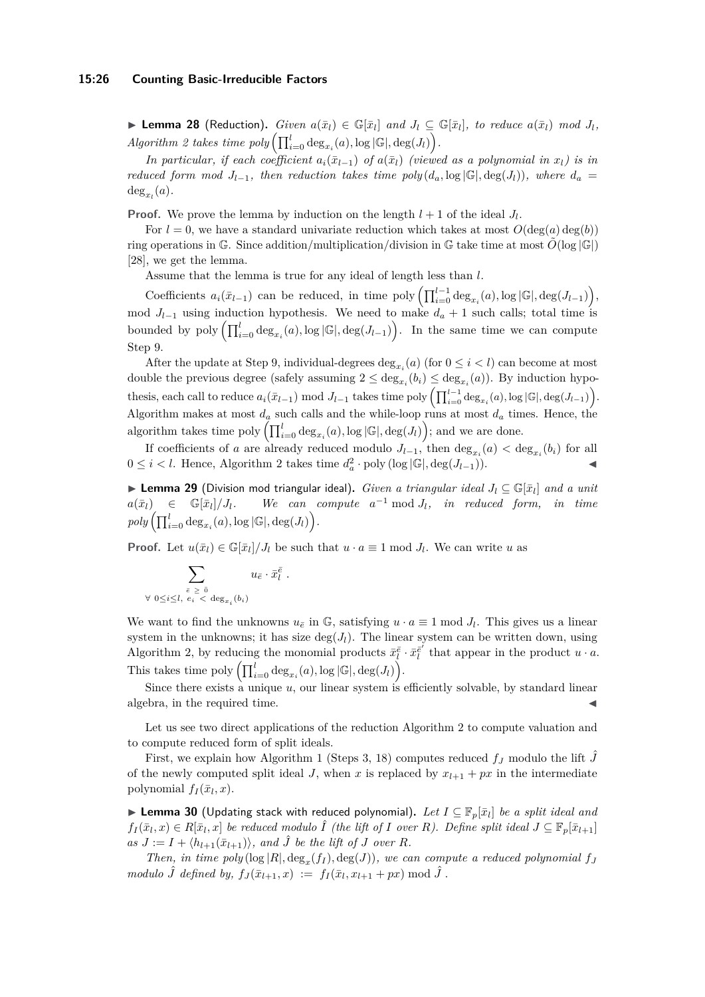**Lemma 28** (Reduction). Given  $a(\bar{x}_l) \in \mathbb{G}[\bar{x}_l]$  and  $J_l \subseteq \mathbb{G}[\bar{x}_l]$ , to reduce  $a(\bar{x}_l)$  mod  $J_l$ ,  $Algorithm \ 2 \ takes \ time \ poly \left( \prod_{i=0}^{l} \deg_{x_i}(a), \log |\mathbb{G}|, \deg(J_l) \right).$  $Algorithm \ 2 \ takes \ time \ poly \left( \prod_{i=0}^{l} \deg_{x_i}(a), \log |\mathbb{G}|, \deg(J_l) \right).$  $Algorithm \ 2 \ takes \ time \ poly \left( \prod_{i=0}^{l} \deg_{x_i}(a), \log |\mathbb{G}|, \deg(J_l) \right).$ 

*In particular, if each coefficient*  $a_i(\bar{x}_{l-1})$  *of*  $a(\bar{x}_l)$  (viewed as a polynomial in  $x_l$ ) is in *reduced form mod*  $J_{l-1}$ *, then reduction takes time poly*  $(d_a, \log |\mathbb{G}|, \deg(J_l))$ *, where*  $d_a =$  $\deg_{x_l}(a)$ .

**Proof.** We prove the lemma by induction on the length  $l + 1$  of the ideal  $J_l$ .

For  $l = 0$ , we have a standard univariate reduction which takes at most  $O(\deg(a) \deg(b))$ ring operations in G. Since addition/multiplication/division in G take time at most  $\tilde{O}(\log |\mathbb{G}|)$ [\[28\]](#page-20-23), we get the lemma.

Assume that the lemma is true for any ideal of length less than *l*.

Coefficients  $a_i(\bar{x}_{l-1})$  can be reduced, in time poly  $\left(\prod_{i=0}^{l-1} \deg_{x_i}(a), \log |\mathbb{G}|, \deg(J_{l-1})\right)$ , mod  $J_{l-1}$  using induction hypothesis. We need to make  $d_a + 1$  such calls; total time is bounded by poly  $\left(\prod_{i=0}^{l} \deg_{x_i}(a), \log |\mathbb{G}|, \deg(J_{l-1})\right)$ . In the same time we can compute Step 9.

After the update at Step 9, individual-degrees  $\deg_{x_i}(a)$  (for  $0 \leq i < l$ ) can become at most double the previous degree (safely assuming  $2 \le \deg_{x_i}(b_i) \le \deg_{x_i}(a)$ ). By induction hypothesis, each call to reduce  $a_i(\bar{x}_{l-1}) \mod J_{l-1}$  takes time poly  $\left(\prod_{i=0}^{l-1} \deg_{x_i}(a), \log |\mathbb{G}|, \deg(J_{l-1})\right)$ . Algorithm makes at most  $d_a$  such calls and the while-loop runs at most  $d_a$  times. Hence, the algorithm takes time  $\text{poly}\left(\prod_{i=0}^{l} \deg_{x_i}(a), \log |\mathbb{G}|, \deg(J_l)\right)$ ; and we are done.

If coefficients of *a* are already reduced modulo  $J_{l-1}$ , then  $\deg_{x_i}(a) < \deg_{x_i}(b_i)$  for all 0 ≤ *i* < *l*. Hence, Algorithm [2](#page-24-2) takes time  $d_a^2 \cdot \text{poly}(\log |\mathbb{G}|, \deg(J_{l-1}))$ .  $\triangleleft$ 

<span id="page-25-1"></span>I **Lemma 29** (Division mod triangular ideal)**.** *Given a triangular ideal J<sup>l</sup>* ⊆ G[*x*¯*<sup>l</sup>* ] *and a unit*  $a(\bar{x}_l) \in \mathbb{G}[\bar{x}_l]/J_l.$  $]/J_l$ *.* We can compute  $a^{-1}$  mod  $J_l$ *, in reduced form, in time*  $poly\left(\prod_{i=0}^{l}\deg_{x_i}(a), \log|\mathbb{G}|, \deg(J_l)\right)$ .

**Proof.** Let  $u(\bar{x}_l) \in \mathbb{G}[\bar{x}_l]/J_l$  be such that  $u \cdot a \equiv 1 \mod J_l$ . We can write *u* as

$$
\sum_{\substack{\bar{e} \ \ge \ \bar{0} \\ \forall \ 0 \le i \le l, \ e_i \ < \ \deg_{x_i}(b_i)}} u_{\bar{e}} \cdot \bar{x}_l^{\bar{e}}.
$$

We want to find the unknowns  $u_{\bar{e}}$  in G, satisfying  $u \cdot a \equiv 1 \mod J_l$ . This gives us a linear system in the unknowns; it has size  $\deg(J_l)$ . The linear system can be written down, using Algorithm [2,](#page-24-2) by reducing the monomial products  $\bar{x}_l^{\bar{e}} \cdot \bar{x}_l^{\bar{e}'}$  that appear in the product  $u \cdot a$ . This takes time  $\text{poly}\left(\prod_{i=0}^{l} \deg_{x_i}(a), \log |\mathbb{G}|, \deg(J_l)\right)$ .

Since there exists a unique *u*, our linear system is efficiently solvable, by standard linear algebra, in the required time.

Let us see two direct applications of the reduction Algorithm [2](#page-24-2) to compute valuation and to compute reduced form of split ideals.

First, we explain how Algorithm [1](#page-10-0) (Steps 3, 18) computes reduced  $f<sub>J</sub>$  modulo the lift  $\hat{J}$ of the newly computed split ideal *J*, when *x* is replaced by  $x_{l+1} + px$  in the intermediate polynomial  $f_I(\bar{x}_l, x)$ .

<span id="page-25-0"></span>▶ Lemma 30 (Updating stack with reduced polynomial). Let  $I \subseteq \mathbb{F}_p[\bar{x}_l]$  be a split ideal and  $f_I(\bar{x}_l,x) \in R[\bar{x}_l,x]$  be reduced modulo  $\hat{I}$  (the lift of I over R). Define split ideal  $J \subseteq \mathbb{F}_p[\bar{x}_{l+1}]$  $as J := I + \langle h_{l+1}(\bar{x}_{l+1}) \rangle$ , and  $\hat{J}$  be the lift of *J* over *R*.

*Then, in time*  $poly(log |R|, deg_x(f_I), deg(J))$ *, we can compute a reduced polynomial*  $f_J$  $modulo \hat{J}$  *defined by,*  $f_J(\bar{x}_{l+1}, x) := f_I(\bar{x}_l, x_{l+1} + px) \mod \hat{J}$ .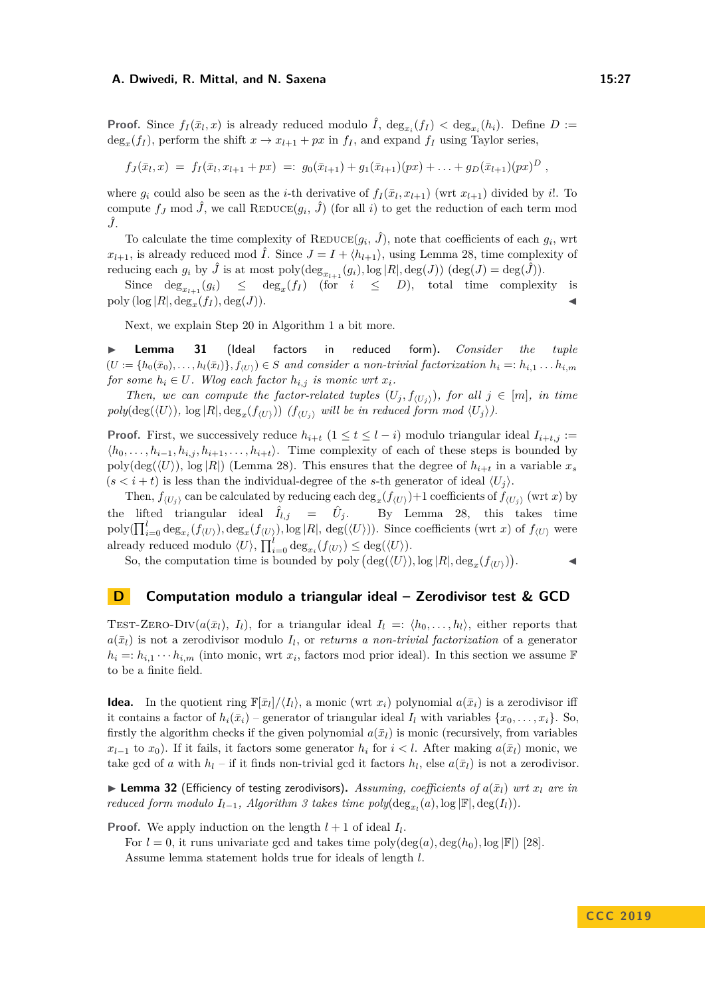**Proof.** Since  $f_I(\bar{x}_l, x)$  is already reduced modulo  $\hat{I}$ ,  $\deg_{x_i}(f_I) < \deg_{x_i}(h_i)$ . Define  $D :=$  $\deg_x(f_I)$ , perform the shift  $x \to x_{l+1} + px$  in  $f_I$ , and expand  $f_I$  using Taylor series,

$$
f_J(\bar{x}_l,x) = f_I(\bar{x}_l,x_{l+1}+px) =: g_0(\bar{x}_{l+1}) + g_1(\bar{x}_{l+1})(px) + \ldots + g_D(\bar{x}_{l+1})(px)^D,
$$

where  $g_i$  could also be seen as the *i*-th derivative of  $f_I(\bar{x}_l, x_{l+1})$  (wrt  $x_{l+1}$ ) divided by *i*!. To compute  $f_J$  mod  $\hat{J}$ , we call  $\text{REDUCE}(g_i, \hat{J})$  (for all *i*) to get the reduction of each term mod *J*ˆ.

To calculate the time complexity of  $\text{REDUCE}(g_i, \hat{J})$ , note that coefficients of each  $g_i$ , wrt  $x_{l+1}$ , is already reduced mod  $\hat{I}$ . Since  $J = I + \langle h_{l+1} \rangle$ , using Lemma [28,](#page-24-1) time complexity of reducing each  $g_i$  by  $\hat{J}$  is at most poly $(\deg_{x_{l+1}}(g_i), \log |R|, \deg(J))$   $(\deg(J) = \deg(\hat{J}))$ .

Since  $\deg_{x_{l+1}}(g_i) \leq \deg_x(f_i)$  (for  $i \leq D$ ), total time complexity is poly  $(\log |R|, \deg_x(f_I), \deg(J)).$ 

Next, we explain Step 20 in Algorithm [1](#page-10-0) a bit more.

<span id="page-26-1"></span>I **Lemma 31** (Ideal factors in reduced form)**.** *Consider the tuple*  $(U := \{h_0(\bar{x}_0), \ldots, h_l(\bar{x}_l)\}, f_{(U)}) \in S$  and consider a non-trivial factorization  $h_i =: h_{i,1} \ldots h_{i,m}$ *for some*  $h_i \in U$ *. Wlog each factor*  $h_{i,j}$  *is monic wrt*  $x_i$ *.* 

*Then, we can compute the factor-related tuples*  $(U_i, f_{(U_i)})$ *, for all*  $j \in [m]$ *, in time*  $poly(\deg(\langle U \rangle), \log |R|, \deg_x(f_{\langle U \rangle}))$  ( $f_{\langle U_j \rangle}$  *will be in reduced form mod*  $\langle U_j \rangle)$ *.* 

**Proof.** First, we successively reduce  $h_{i+t}$  ( $1 \le t \le l-i$ ) modulo triangular ideal  $I_{i+t,j}$  :=  $\langle h_0, \ldots, h_{i-1}, h_{i,j}, h_{i+1}, \ldots, h_{i+t} \rangle$ . Time complexity of each of these steps is bounded by poly(deg( $\langle U \rangle$ ), log |*R*|) (Lemma [28\)](#page-24-1). This ensures that the degree of  $h_{i+t}$  in a variable  $x_s$  $(s < i + t)$  is less than the individual-degree of the *s*-th generator of ideal  $\langle U_i \rangle$ .

Then,  $f_{(U_j)}$  can be calculated by reducing each  $\deg_x(f_{(U)})+1$  coefficients of  $f_{(U_j)}$  (wrt *x*) by the lifted triangular ideal  $\hat{I}_{l,j}$  =  $\hat{U}_j$ . By Lemma [28,](#page-24-1) this takes time  $\text{poly}(\prod_{i=0}^{l} \text{deg}_{x_i}(f_{\langle U \rangle}), \text{deg}_x(f_{\langle U \rangle}), \text{log}|R|, \text{deg}(\langle U \rangle)).$  Since coefficients (wrt *x*) of  $f_{\langle U \rangle}$  were already reduced modulo  $\langle U \rangle$ ,  $\prod_{i=0}^{l} \deg_{x_i}(f_{\langle U \rangle}) \leq \deg(\langle U \rangle)$ .

So, the computation time is bounded by poly  $(\deg(\langle U \rangle), \log |R|, \deg_x(f_{\langle U \rangle}))$  $\mathcal{L}$   $\mathcal{L}$ 

$$
f_{\rm{max}}
$$

## <span id="page-26-0"></span>**D Computation modulo a triangular ideal – Zerodivisor test & GCD**

TEST-ZERO-DIV $(a(\bar{x}_l), I_l)$ , for a triangular ideal  $I_l =: \langle h_0, \ldots, h_l \rangle$ , either reports that  $a(\bar{x}_l)$  is not a zerodivisor modulo  $I_l$ , or *returns a non-trivial factorization* of a generator  $h_i =: h_{i,1} \cdots h_{i,m}$  (into monic, wrt  $x_i$ , factors mod prior ideal). In this section we assume F to be a finite field.

**Idea.** In the quotient ring  $\mathbb{F}[\bar{x}_l]/\langle I_l \rangle$ , a monic (wrt  $x_i$ ) polynomial  $a(\bar{x}_i)$  is a zerodivisor iff it contains a factor of  $h_i(\bar{x}_i)$  – generator of triangular ideal  $I_l$  with variables  $\{x_0, \ldots, x_i\}$ . So, firstly the algorithm checks if the given polynomial  $a(\bar{x}_l)$  is monic (recursively, from variables  $x_{l-1}$  to  $x_0$ ). If it fails, it factors some generator  $h_i$  for  $i < l$ . After making  $a(\bar{x}_l)$  monic, we take gcd of *a* with  $h_l$  – if it finds non-trivial gcd it factors  $h_l$ , else  $a(\bar{x}_l)$  is not a zerodivisor.

<span id="page-26-2"></span>**Example 23** (Efficiency of testing zerodivisors). Assuming, coefficients of  $a(\bar{x}_l)$  wrt  $x_l$  are in *reduced form modulo*  $I_{l-1}$ *, Algorithm [3](#page-27-0) takes time*  $poly(\deg_{x_l}(a), \log |\mathbb{F}|, \deg(I_l))$ *<i>.* 

**Proof.** We apply induction on the length  $l + 1$  of ideal  $I_l$ .

For  $l = 0$ , it runs univariate gcd and takes time  $\text{poly}(\text{deg}(a), \text{deg}(h_0), \text{log }|\mathbb{F}|)$  [\[28\]](#page-20-23). Assume lemma statement holds true for ideals of length *l*.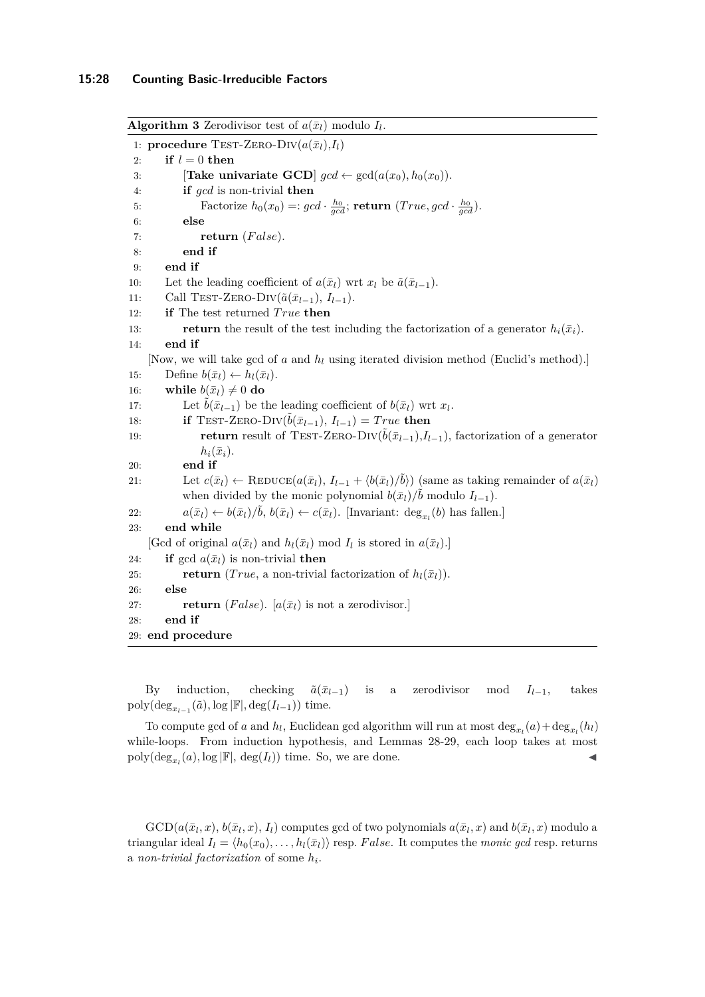<span id="page-27-0"></span>**Algorithm 3** Zerodivisor test of  $a(\bar{x}_l)$  modulo  $I_l$ . 1: **procedure** TEST-ZERO-DIV $(a(\bar{x}_l), I_l)$ 2: **if**  $l = 0$  **then** 3: **[Take univariate GCD**]  $gcd \leftarrow gcd(a(x_0), h_0(x_0))$ . 4: **if** *gcd* is non-trivial **then** 5: Factorize  $h_0(x_0) =: \text{gcd} \cdot \frac{h_0}{\text{gcd}}$ ; **return**  $(\text{True}, \text{gcd} \cdot \frac{h_0}{\text{gcd}})$ . 6: **else** 7: **return** (*F alse*). 8: **end if** 9: **end if** 10: Let the leading coefficient of  $a(\bar{x}_l)$  wrt  $x_l$  be  $\tilde{a}(\bar{x}_{l-1})$ . 11: Call TEST-ZERO-DIV $(\tilde{a}(\bar{x}_{l-1}), I_{l-1})$ . 12: **if** The test returned *True* then 13: **return** the result of the test including the factorization of a generator  $h_i(\bar{x}_i)$ . 14: **end if** [Now, we will take gcd of *a* and *h<sup>l</sup>* using iterated division method (Euclid's method).] 15: Define  $b(\bar{x}_l) \leftarrow h_l(\bar{x}_l)$ . 16: **while**  $b(\bar{x}_l) \neq 0$  do 17: Let  $\tilde{b}(\bar{x}_{l-1})$  be the leading coefficient of  $b(\bar{x}_l)$  wrt  $x_l$ . 18: **if** TEST-ZERO-DIV $(\tilde{b}(\bar{x}_{l-1}), I_{l-1}) = True$  then 19: **return** result of TEST-ZERO-DIV $(\tilde{b}(\bar{x}_{l-1}), I_{l-1})$ , factorization of a generator  $h_i(\bar{x}_i)$ . 20: **end if** 21: Let  $c(\bar{x}_l) \leftarrow \text{REDUCE}(a(\bar{x}_l), I_{l-1} + \langle b(\bar{x}_l)/\tilde{b} \rangle)$  (same as taking remainder of  $a(\bar{x}_l)$ ) when divided by the monic polynomial  $b(\bar{x}_l)/\tilde{b}$  modulo  $I_{l-1}$ ). 22:  $a(\bar{x}_l) \leftarrow b(\bar{x}_l)/\tilde{b}, b(\bar{x}_l) \leftarrow c(\bar{x}_l).$  [Invariant: deg<sub>*x<sub>l</sub>*</sub>(*b*) has fallen.] 23: **end while** [Gcd of original  $a(\bar{x}_l)$  and  $h_l(\bar{x}_l)$  mod  $I_l$  is stored in  $a(\bar{x}_l)$ .] 24: **if** gcd  $a(\bar{x}_l)$  is non-trivial **then** 25: **return** (*True*, a non-trivial factorization of  $h_l(\bar{x}_l)$ ). 26: **else** 27: **return** (*False*). [ $a(\bar{x}_l)$  is not a zerodivisor.] 28: **end if** 29: **end procedure**

By induction, checking  $\tilde{a}(\bar{x}_{l-1})$  is a zerodivisor mod  $I_{l-1}$ , takes  $\text{poly}(\text{deg}_{x_{l-1}}(\tilde{a}), \log |\mathbb{F}|, \text{deg}(I_{l-1}))$  time.

To compute gcd of *a* and  $h_l$ , Euclidean gcd algorithm will run at most  $\deg_{x_l}(a) + \deg_{x_l}(h_l)$ while-loops. From induction hypothesis, and Lemmas [28-](#page-24-1)[29,](#page-25-1) each loop takes at most poly( $deg_{x_l}(a)$ ,  $log |F|$ ,  $deg(I_l)$ ) time. So, we are done.

 $GCD(a(\bar{x}_l, x), b(\bar{x}_l, x), I_l)$  computes gcd of two polynomials  $a(\bar{x}_l, x)$  and  $b(\bar{x}_l, x)$  modulo a triangular ideal  $I_l = \langle h_0(x_0), \ldots, h_l(\bar{x}_l) \rangle$  resp. *False*. It computes the *monic gcd* resp. returns a *non-trivial factorization* of some *h<sup>i</sup>* .